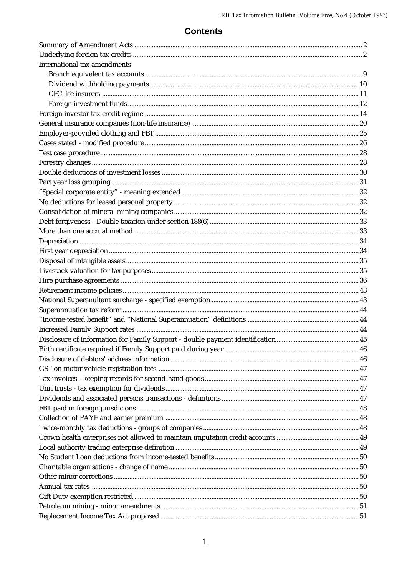## **Contents**

| <b>International tax amendments</b> |  |
|-------------------------------------|--|
|                                     |  |
|                                     |  |
|                                     |  |
|                                     |  |
|                                     |  |
|                                     |  |
|                                     |  |
|                                     |  |
|                                     |  |
|                                     |  |
|                                     |  |
|                                     |  |
|                                     |  |
|                                     |  |
|                                     |  |
|                                     |  |
|                                     |  |
|                                     |  |
|                                     |  |
|                                     |  |
|                                     |  |
|                                     |  |
|                                     |  |
|                                     |  |
|                                     |  |
|                                     |  |
|                                     |  |
|                                     |  |
|                                     |  |
|                                     |  |
|                                     |  |
|                                     |  |
|                                     |  |
|                                     |  |
|                                     |  |
|                                     |  |
|                                     |  |
|                                     |  |
|                                     |  |
|                                     |  |
|                                     |  |
|                                     |  |
|                                     |  |
|                                     |  |
|                                     |  |
|                                     |  |
|                                     |  |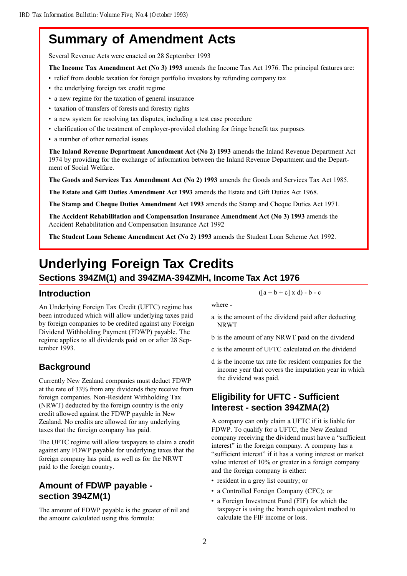## **Summary of Amendment Acts**

Several Revenue Acts were enacted on 28 September 1993

The Income Tax Amendment Act (No 3) 1993 amends the Income Tax Act 1976. The principal features are:

- relief from double taxation for foreign portfolio investors by refunding company tax
- the underlying foreign tax credit regime
- a new regime for the taxation of general insurance
- taxation of transfers of forests and forestry rights
- a new system for resolving tax disputes, including a test case procedure
- clarification of the treatment of employer-provided clothing for fringe benefit tax purposes
- a number of other remedial issues

The Inland Revenue Department Amendment Act (No 2) 1993 amends the Inland Revenue Department Act 1974 by providing for the exchange of information between the Inland Revenue Department and the Department of Social Welfare.

The Goods and Services Tax Amendment Act (No 2) 1993 amends the Goods and Services Tax Act 1985.

The Estate and Gift Duties Amendment Act 1993 amends the Estate and Gift Duties Act 1968.

The Stamp and Cheque Duties Amendment Act 1993 amends the Stamp and Cheque Duties Act 1971.

The Accident Rehabilitation and Compensation Insurance Amendment Act (No 3) 1993 amends the Accident Rehabilitation and Compensation Insurance Act 1992

The Student Loan Scheme Amendment Act (No 2) 1993 amends the Student Loan Scheme Act 1992.

## **Underlying Foreign Tax Credits**

### **Sections 394ZM(1) and 394ZMA-394ZMH, Income Tax Act 1976**

## **Introduction**

An Underlying Foreign Tax Credit (UFTC) regime has been introduced which will allow underlying taxes paid by foreign companies to be credited against any Foreign Dividend Withholding Payment (FDWP) payable. The regime applies to all dividends paid on or after 28 September 1993.

## **Background**

Currently New Zealand companies must deduct FDWP at the rate of 33% from any dividends they receive from foreign companies. Non-Resident Withholding Tax (NRWT) deducted by the foreign country is the only credit allowed against the FDWP payable in New Zealand. No credits are allowed for any underlying taxes that the foreign company has paid.

The UFTC regime will allow taxpayers to claim a credit against any FDWP payable for underlying taxes that the foreign company has paid, as well as for the NRWT paid to the foreign country.

## **Amount of FDWP payable section 394ZM(1)**

The amount of FDWP payable is the greater of nil and the amount calculated using this formula:

 $([a + b + c] \times d) - b - c$ 

where -

- a is the amount of the dividend paid after deducting NRWT
- b is the amount of any NRWT paid on the dividend
- c is the amount of UFTC calculated on the dividend
- d is the income tax rate for resident companies for the income year that covers the imputation year in which the dividend was paid.

## **Eligibility for UFTC - Sufficient Interest - section 394ZMA(2)**

A company can only claim a UFTC if it is liable for FDWP. To qualify for a UFTC, the New Zealand company receiving the dividend must have a "sufficient interest" in the foreign company. A company has a "sufficient interest" if it has a voting interest or market value interest of 10% or greater in a foreign company and the foreign company is either:

- resident in a grey list country; or
- a Controlled Foreign Company (CFC); or
- a Foreign Investment Fund (FIF) for which the taxpayer is using the branch equivalent method to calculate the FIF income or loss.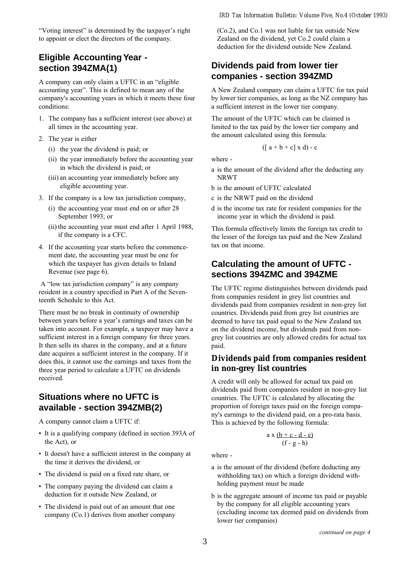"Voting interest" is determined by the taxpayer's right to appoint or elect the directors of the company.

## **Eligible Accounting Year section 394ZMA(1)**

A company can only claim a UFTC in an "eligible accounting year". This is defined to mean any of the company's accounting years in which it meets these four conditions:

- 1. The company has a sufficient interest (see above) at all times in the accounting year.
- 2. The year is either
	- (i) the year the dividend is paid; or
	- (ii) the year immediately before the accounting year in which the dividend is paid; or
	- (iii) an accounting year immediately before any eligible accounting year.
- 3. If the company is a low tax jurisdiction company,
	- (i) the accounting year must end on or after 28 September 1993; or
	- (ii) the accounting year must end after 1 April 1988, if the company is a CFC.
- 4. If the accounting year starts before the commencement date, the accounting year must be one for which the taxpayer has given details to Inland Revenue (see page 6).

A "low tax jurisdiction company" is any company resident in a country specified in Part A of the Seventeenth Schedule to this Act.

There must be no break in continuity of ownership between years before a year's earnings and taxes can be taken into account. For example, a taxpayer may have a sufficient interest in a foreign company for three years. It then sells its shares in the company, and at a future date acquires a sufficient interest in the company. If it does this, it cannot use the earnings and taxes from the three year period to calculate a UFTC on dividends received.

## **Situations where no UFTC is available - section 394ZMB(2)**

A company cannot claim a UFTC if:

- It is a qualifying company (defined in section 393A of the Act), or
- It doesn't have a sufficient interest in the company at the time it derives the dividend, or
- The dividend is paid on a fixed rate share, or
- The company paying the dividend can claim a deduction for it outside New Zealand, or
- The dividend is paid out of an amount that one company (Co.1) derives from another company

#### *IRD Tax Information Bulletin: Volume Five, No.4 (October 1993)*

(Co.2), and Co.1 was not liable for tax outside New Zealand on the dividend, yet Co.2 could claim a deduction for the dividend outside New Zealand.

## **Dividends paid from lower tier companies - section 394ZMD**

A New Zealand company can claim a UFTC for tax paid by lower tier companies, as long as the NZ company has a sufficient interest in the lower tier company.

The amount of the UFTC which can be claimed is limited to the tax paid by the lower tier company and the amount calculated using this formula:

$$
(\left[\begin{array}{c}a+b+c\end{array}\right]x\,d)-c
$$

where -

- a is the amount of the dividend after the deducting any NRWT
- b is the amount of UFTC calculated
- c is the NRWT paid on the dividend
- d is the income tax rate for resident companies for the income year in which the dividend is paid.

This formula effectively limits the foreign tax credit to the lesser of the foreign tax paid and the New Zealand tax on that income.

## **Calculating the amount of UFTC sections 394ZMC and 394ZME**

The UFTC regime distinguishes between dividends paid from companies resident in grey list countries and dividends paid from companies resident in non-grey list countries. Dividends paid from grey list countries are deemed to have tax paid equal to the New Zealand tax on the dividend income, but dividends paid from nongrey list countries are only allowed credits for actual tax paid.

### **Dividends paid from companies resident in non-grey list countries**

A credit will only be allowed for actual tax paid on dividends paid from companies resident in non-grey list countries. The UFTC is calculated by allocating the proportion of foreign taxes paid on the foreign company's earnings to the dividend paid, on a pro-rata basis. This is achieved by the following formula:

$$
a x (b + c - d - e)
$$
  
(f - g - h)

where -

- a is the amount of the dividend (before deducting any withholding tax) on which a foreign dividend withholding payment must be made
- b is the aggregate amount of income tax paid or payable by the company for all eligible accounting years (excluding income tax deemed paid on dividends from lower tier companies)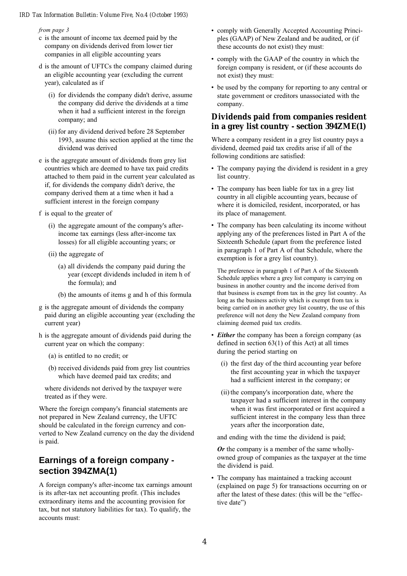#### from page 3

- c is the amount of income tax deemed paid by the company on dividends derived from lower tier companies in all eligible accounting years
- d is the amount of UFTCs the company claimed during an eligible accounting year (excluding the current year), calculated as if
	- (i) for dividends the company didn't derive, assume the company did derive the dividends at a time when it had a sufficient interest in the foreign company; and
	- (ii) for any dividend derived before 28 September 1993, assume this section applied at the time the dividend was derived
- e is the aggregate amount of dividends from grey list countries which are deemed to have tax paid credits attached to them paid in the current year calculated as if, for dividends the company didn't derive, the company derived them at a time when it had a sufficient interest in the foreign company
- f is equal to the greater of
	- (i) the aggregate amount of the company's afterincome tax earnings (less after-income tax losses) for all eligible accounting years; or
	- (ii) the aggregate of
		- (a) all dividends the company paid during the year (except dividends included in item h of the formula); and
		- (b) the amounts of items g and h of this formula
- g is the aggregate amount of dividends the company paid during an eligible accounting year (excluding the current year)
- h is the aggregate amount of dividends paid during the current year on which the company:
	- (a) is entitled to no credit; or
	- (b) received dividends paid from grey list countries which have deemed paid tax credits; and
	- where dividends not derived by the taxpayer were treated as if they were.

Where the foreign company's financial statements are not prepared in New Zealand currency, the UFTC should be calculated in the foreign currency and converted to New Zealand currency on the day the dividend is paid.

## **Earnings of a foreign company section 394ZMA(1)**

A foreign company's after-income tax earnings amount is its after-tax net accounting profit. (This includes extraordinary items and the accounting provision for tax, but not statutory liabilities for tax). To qualify, the accounts must:

- comply with Generally Accepted Accounting Principles (GAAP) of New Zealand and be audited, or (if these accounts do not exist) they must:
- comply with the GAAP of the country in which the foreign company is resident, or (if these accounts do not exist) they must:
- be used by the company for reporting to any central or state government or creditors unassociated with the company.

### **Dividends paid from companies resident in a grey list country - section 394ZME(1)**

Where a company resident in a grey list country pays a dividend, deemed paid tax credits arise if all of the following conditions are satisfied:

- The company paying the dividend is resident in a grey list country.
- The company has been liable for tax in a grey list country in all eligible accounting years, because of where it is domiciled, resident, incorporated, or has its place of management.
- The company has been calculating its income without applying any of the preferences listed in Part A of the Sixteenth Schedule (apart from the preference listed in paragraph 1 of Part A of that Schedule, where the exemption is for a grey list country).

The preference in paragraph 1 of Part A of the Sixteenth Schedule applies where a grey list company is carrying on business in another country and the income derived from that business is exempt from tax in the grey list country. As long as the business activity which is exempt from tax is being carried on in another grey list country, the use of this preference will not deny the New Zealand company from claiming deemed paid tax credits.

- *Either* the company has been a foreign company (as defined in section 63(1) of this Act) at all times during the period starting on
	- (i) the first day of the third accounting year before the first accounting year in which the taxpayer had a sufficient interest in the company; or
	- (ii) the company's incorporation date, where the taxpayer had a sufficient interest in the company when it was first incorporated or first acquired a sufficient interest in the company less than three years after the incorporation date,

and ending with the time the dividend is paid;

 $Or$  the company is a member of the same whollyowned group of companies as the taxpayer at the time the dividend is paid.

 The company has maintained a tracking account (explained on page 5) for transactions occurring on or after the latest of these dates: (this will be the "effective date")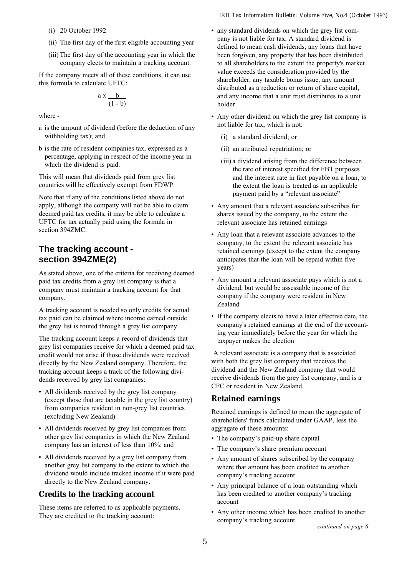- (i) 20 October 1992
- (ii) The first day of the first eligible accounting year
- (iii) The first day of the accounting year in which the company elects to maintain a tracking account.

If the company meets all of these conditions, it can use this formula to calculate UFTC:

$$
\frac{a x \frac{b}{(1-b)}}{}
$$

where -

- a is the amount of dividend (before the deduction of any withholding tax); and
- b is the rate of resident companies tax, expressed as a percentage, applying in respect of the income year in which the dividend is paid.

This will mean that dividends paid from grey list countries will be effectively exempt from FDWP.

Note that if any of the conditions listed above do not apply, although the company will not be able to claim deemed paid tax credits, it may be able to calculate a UFTC for tax actually paid using the formula in section 394ZMC.

### **The tracking account section 394ZME(2)**

As stated above, one of the criteria for receiving deemed paid tax credits from a grey list company is that a company must maintain a tracking account for that company.

A tracking account is needed so only credits for actual tax paid can be claimed where income earned outside the grey list is routed through a grey list company.

The tracking account keeps a record of dividends that grey list companies receive for which a deemed paid tax credit would not arise if those dividends were received directly by the New Zealand company. Therefore, the tracking account keeps a track of the following dividends received by grey list companies:

- All dividends received by the grey list company (except those that are taxable in the grey list country) from companies resident in non-grey list countries (excluding New Zealand)
- All dividends received by grey list companies from other grey list companies in which the New Zealand company has an interest of less than 10%; and
- All dividends received by a grey list company from another grey list company to the extent to which the dividend would include tracked income if it were paid directly to the New Zealand company.

### **Credits to the tracking account**

These items are referred to as applicable payments. They are credited to the tracking account:

- any standard dividends on which the grey list company is not liable for tax. A standard dividend is defined to mean cash dividends, any loans that have been forgiven, any property that has been distributed to all shareholders to the extent the property's market value exceeds the consideration provided by the shareholder, any taxable bonus issue, any amount distributed as a reduction or return of share capital, and any income that a unit trust distributes to a unit holder
- Any other dividend on which the grey list company is not liable for tax, which is not:
	- (i) a standard dividend; or
	- (ii) an attributed repatriation; or
	- (iii) a dividend arising from the difference between the rate of interest specified for FBT purposes and the interest rate in fact payable on a loan, to the extent the loan is treated as an applicable payment paid by a "relevant associate"
- Any amount that a relevant associate subscribes for shares issued by the company, to the extent the relevant associate has retained earnings
- Any loan that a relevant associate advances to the company, to the extent the relevant associate has retained earnings (except to the extent the company anticipates that the loan will be repaid within five years)
- Any amount a relevant associate pays which is not a dividend, but would be assessable income of the company if the company were resident in New Zealand
- If the company elects to have a later effective date, the company's retained earnings at the end of the accounting year immediately before the year for which the taxpayer makes the election

 A relevant associate is a company that is associated with both the grey list company that receives the dividend and the New Zealand company that would receive dividends from the grey list company, and is a CFC or resident in New Zealand.

### **Retained earnings**

Retained earnings is defined to mean the aggregate of shareholders' funds calculated under GAAP, less the aggregate of these amounts:

- The company's paid-up share capital
- The company's share premium account
- Any amount of shares subscribed by the company where that amount has been credited to another company's tracking account
- Any principal balance of a loan outstanding which has been credited to another company's tracking account
- Any other income which has been credited to another company's tracking account.

continued on page 6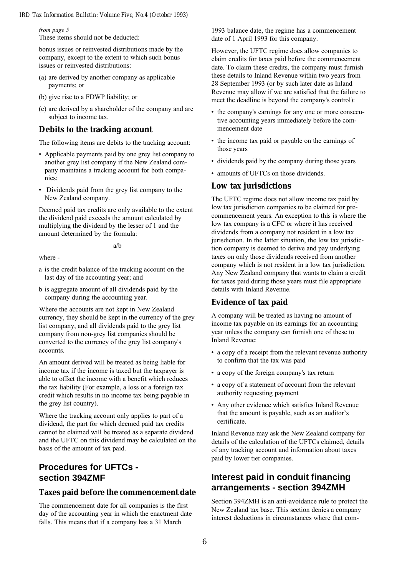#### from page 5

These items should not be deducted:

bonus issues or reinvested distributions made by the company, except to the extent to which such bonus issues or reinvested distributions:

- (a) are derived by another company as applicable payments; or
- (b) give rise to a FDWP liability; or
- (c) are derived by a shareholder of the company and are subject to income tax.

### **Debits to the tracking account**

The following items are debits to the tracking account:

- Applicable payments paid by one grey list company to another grey list company if the New Zealand company maintains a tracking account for both companies;
- Dividends paid from the grey list company to the New Zealand company.

Deemed paid tax credits are only available to the extent the dividend paid exceeds the amount calculated by multiplying the dividend by the lesser of 1 and the amount determined by the formula:

a/b

where -

- a is the credit balance of the tracking account on the last day of the accounting year; and
- b is aggregate amount of all dividends paid by the company during the accounting year.

Where the accounts are not kept in New Zealand currency, they should be kept in the currency of the grey list company, and all dividends paid to the grey list company from non-grey list companies should be converted to the currency of the grey list company's accounts.

An amount derived will be treated as being liable for income tax if the income is taxed but the taxpayer is able to offset the income with a benefit which reduces the tax liability (For example, a loss or a foreign tax credit which results in no income tax being payable in the grey list country).

Where the tracking account only applies to part of a dividend, the part for which deemed paid tax credits cannot be claimed will be treated as a separate dividend and the UFTC on this dividend may be calculated on the basis of the amount of tax paid.

## **Procedures for UFTCs section 394ZMF**

### **Taxes paid before the commencement date**

The commencement date for all companies is the first day of the accounting year in which the enactment date falls. This means that if a company has a 31 March

1993 balance date, the regime has a commencement date of 1 April 1993 for this company.

However, the UFTC regime does allow companies to claim credits for taxes paid before the commencement date. To claim these credits, the company must furnish these details to Inland Revenue within two years from 28 September 1993 (or by such later date as Inland Revenue may allow if we are satisfied that the failure to meet the deadline is beyond the company's control):

- the company's earnings for any one or more consecutive accounting years immediately before the commencement date
- the income tax paid or payable on the earnings of those years
- dividends paid by the company during those years
- amounts of UFTCs on those dividends.

### **Low tax jurisdictions**

The UFTC regime does not allow income tax paid by low tax jurisdiction companies to be claimed for precommencement years. An exception to this is where the low tax company is a CFC or where it has received dividends from a company not resident in a low tax jurisdiction. In the latter situation, the low tax jurisdiction company is deemed to derive and pay underlying taxes on only those dividends received from another company which is not resident in a low tax jurisdiction. Any New Zealand company that wants to claim a credit for taxes paid during those years must file appropriate details with Inland Revenue.

### **Evidence of tax paid**

A company will be treated as having no amount of income tax payable on its earnings for an accounting year unless the company can furnish one of these to Inland Revenue:

- a copy of a receipt from the relevant revenue authority to confirm that the tax was paid
- a copy of the foreign company's tax return
- a copy of a statement of account from the relevant authority requesting payment
- Any other evidence which satisfies Inland Revenue that the amount is payable, such as an auditor's certificate.

Inland Revenue may ask the New Zealand company for details of the calculation of the UFTCs claimed, details of any tracking account and information about taxes paid by lower tier companies.

## **Interest paid in conduit financing arrangements - section 394ZMH**

Section 394ZMH is an anti-avoidance rule to protect the New Zealand tax base. This section denies a company interest deductions in circumstances where that com-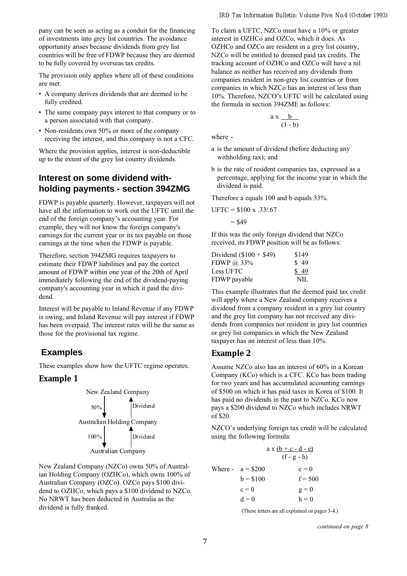pany can be seen as acting as a conduit for the financing of investments into grey list countries. The avoidance opportunity arises because dividends from grey list countries will be free of FDWP because they are deemed to be fully covered by overseas tax credits.

The provision only applies where all of these conditions are met:

- A company derives dividends that are deemed to be fully credited.
- The same company pays interest to that company or to a person associated with that company.
- Non-residents own 50% or more of the company receiving the interest, and this company is not a CFC.

Where the provision applies, interest is non-deductible up to the extent of the grey list country dividends.

### **Interest on some dividend withholding payments - section 394ZMG**

FDWP is payable quarterly. However, taxpayers will not have all the information to work out the UFTC until the end of the foreign company's accounting year. For example, they will not know the foreign company's earnings for the current year or its tax payable on those earnings at the time when the FDWP is payable.

Therefore, section 394ZMG requires taxpayers to estimate their FDWP liabilities and pay the correct amount of FDWP within one year of the 20th of April immediately following the end of the dividend-paying company's accounting year in which it paid the dividend.

Interest will be payable to Inland Revenue if any FDWP is owing, and Inland Revenue will pay interest if FDWP has been overpaid. The interest rates will be the same as those for the provisional tax regime.

## **Examples**

These examples show how the UFTC regime operates.

### **Example 1**



New Zealand Company (NZCo) owns 50% of Australian Holding Company (OZHCo), which owns 100% of Australian Company (OZCo). OZCo pays \$100 dividend to OZHCo, which pays a \$100 dividend to NZCo. No NRWT has been deducted in Australia as the dividend is fully franked.

To claim a UFTC, NZCo must have a 10% or greater interest in OZHCo and OZCo, which it does. As OZHCo and OZCo are resident in a grey list country, NZCo will be entitled to deemed paid tax credits. The tracking account of OZHCo and OZCo will have a nil balance as neither has received any dividends from companies resident in non-grey list countries or from companies in which NZCo has an interest of less than 10%. Therefore, NZCO's UFTC will be calculated using the formula in section 394ZME as follows:

$$
a x \frac{b}{(1-b)}
$$

where -

- a is the amount of dividend (before deducting any withholding tax); and
- b is the rate of resident companies tax, expressed as a percentage, applying for the income year in which the dividend is paid.

Therefore a equals 100 and b equals 33%.

 $UFTC = $100 \text{ x } .33/.67$ 

 $= $49$ 

If this was the only foreign dividend that NZCo received, its FDWP position will be as follows:

| Dividend $($100 + $49)$ | \$149 |
|-------------------------|-------|
| FDWP $\omega$ 33%       | \$49  |
| Less UFTC               | \$49  |
| FDWP payable            | NIL.  |

This example illustrates that the deemed paid tax credit will apply where a New Zealand company receives a dividend from a company resident in a grey list country and the grey list company has not received any dividends from companies not resident in grey list countries or grey list companies in which the New Zealand taxpayer has an interest of less than 10%.

### **Example 2**

Assume NZCo also has an interest of 60% in a Korean Company (KCo) which is a CFC. KCo has been trading for two years and has accumulated accounting earnings of \$500 on which it has paid taxes in Korea of \$100. It has paid no dividends in the past to NZCo. KCo now pays a \$200 dividend to NZCo which includes NRWT of \$20.

NZCO's underlying foreign tax credit will be calculated using the following formula:

|                    | $a x (b + c - d - e)$<br>$(f - g - h)$ |
|--------------------|----------------------------------------|
| Where - $a = $200$ | $e = 0$                                |
| $b = $100$         | $f = 500$                              |
| $c = 0$            | $g = 0$                                |
| $d = 0$            | $h = 0$                                |

(These letters are all explained on pages 3-4.)

continued on page 8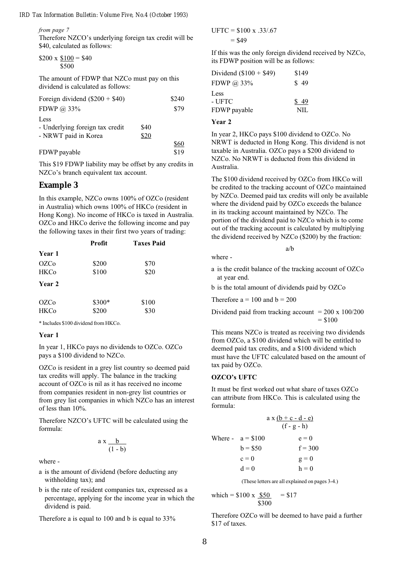from page 7

Therefore NZCO's underlying foreign tax credit will be \$40, calculated as follows:

$$
$200 \times \frac{$100}{$500} = $40
$$

The amount of FDWP that NZCo must pay on this dividend is calculated as follows:

| Foreign dividend $(\$200 + \$40)$ |      | \$240 |
|-----------------------------------|------|-------|
| FDWP $\omega$ 33%                 |      | \$79  |
| Less                              |      |       |
| - Underlying foreign tax credit   | \$40 |       |
| - NRWT paid in Korea              | \$20 |       |
|                                   |      | \$60  |
| FDWP payable                      |      | \$19  |

This \$19 FDWP liability may be offset by any credits in NZCo's branch equivalent tax account.

### **Example 3**

In this example, NZCo owns 100% of OZCo (resident in Australia) which owns 100% of HKCo (resident in Hong Kong). No income of HKCo is taxed in Australia. OZCo and HKCo derive the following income and pay the following taxes in their first two years of trading:

| Profit |       |                   |
|--------|-------|-------------------|
|        |       |                   |
| \$200  | \$70  |                   |
| \$100  | \$20  |                   |
|        |       |                   |
|        |       |                   |
| \$300* | \$100 |                   |
|        |       | <b>Taxes Paid</b> |

\* Includes \$100 dividend from HKCo.

#### Year 1

In year 1, HKCo pays no dividends to OZCo. OZCo pays a \$100 dividend to NZCo.

OZCo is resident in a grey list country so deemed paid tax credits will apply. The balance in the tracking account of OZCo is nil as it has received no income from companies resident in non-grey list countries or from grey list companies in which NZCo has an interest of less than 10%.

Therefore NZCO's UFTC will be calculated using the formula:

$$
a x \frac{b}{(1-b)}
$$

where -

- a is the amount of dividend (before deducting any withholding tax); and
- b is the rate of resident companies tax, expressed as a percentage, applying for the income year in which the dividend is paid.

Therefore a is equal to 100 and b is equal to 33%

 $UFTC = $100 \text{ x } .33/.67$  $= $49$ 

If this was the only foreign dividend received by NZCo, its FDWP position will be as follows:

| Dividend $(\$100 + \$49)$      | \$149        |
|--------------------------------|--------------|
| FDWP @ 33%                     | \$49         |
| Less<br>- UFTC<br>FDWP payable | \$49<br>NIL. |
|                                |              |

#### Year 2

where -

In year 2, HKCo pays \$100 dividend to OZCo. No NRWT is deducted in Hong Kong. This dividend is not taxable in Australia. OZCo pays a \$200 dividend to NZCo. No NRWT is deducted from this dividend in Australia.

The \$100 dividend received by OZCo from HKCo will be credited to the tracking account of OZCo maintained by NZCo. Deemed paid tax credits will only be available where the dividend paid by OZCo exceeds the balance in its tracking account maintained by NZCo. The portion of the dividend paid to NZCo which is to come out of the tracking account is calculated by multiplying the dividend received by NZCo (\$200) by the fraction:

a is the credit balance of the tracking account of OZCo at year end.

a/b

b is the total amount of dividends paid by OZCo

Therefore  $a = 100$  and  $b = 200$ 

Dividend paid from tracking account 
$$
= 200 \times 100/200
$$

$$
= $100
$$

This means NZCo is treated as receiving two dividends from OZCo, a \$100 dividend which will be entitled to deemed paid tax credits, and a \$100 dividend which must have the UFTC calculated based on the amount of tax paid by OZCo.

#### OZCOs UFTC

It must be first worked out what share of taxes OZCo can attribute from HKCo. This is calculated using the formula:

|                    | $a x (b + c - d - e)$<br>$(f - g - h)$ |
|--------------------|----------------------------------------|
| Where - $a = $100$ | $e = 0$                                |
| $b = $50$          | $f = 300$                              |
| $c = 0$            | $g = 0$                                |
| $d=0$              | $h = 0$                                |

(These letters are all explained on pages 3-4.)

which = \$100 x 
$$
\frac{$50}{\$300}
$$
 = \$17

Therefore OZCo will be deemed to have paid a further \$17 of taxes.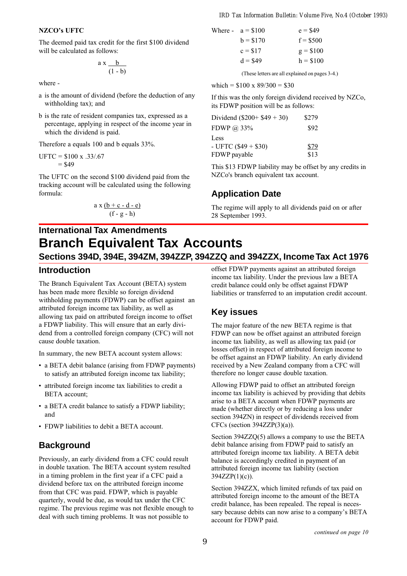#### NZCO's UFTC

The deemed paid tax credit for the first \$100 dividend will be calculated as follows:

$$
a x \frac{b}{(1-b)}
$$

where -

- a is the amount of dividend (before the deduction of any withholding tax); and
- b is the rate of resident companies tax, expressed as a percentage, applying in respect of the income year in which the dividend is paid.

Therefore a equals 100 and b equals 33%.

$$
UFTC = $100 \times .33/.67
$$
  
= \$49

The UFTC on the second \$100 dividend paid from the tracking account will be calculated using the following formula:

$$
a x (b + c - d - e)
$$
  
(f - g - h)

Where - 
$$
a = \$100
$$
  $e = \$49$ 

\n $b = \$170$   $f = \$500$ 

\n $c = \$17$   $g = \$100$ 

\n $d = \$49$   $h = \$100$ 

(These letters are all explained on pages 3-4.)

which =  $$100 \times 89/300 = $30$ 

If this was the only foreign dividend received by NZCo, its FDWP position will be as follows:

| Dividend $(\$200 + \$49 + 30)$ | \$279 |
|--------------------------------|-------|
| FDWP $@33\%$                   | \$92  |
| Less                           |       |
| - UFTC $(\$49 + \$30)$         | \$79  |
| FDWP payable                   | \$13  |

This \$13 FDWP liability may be offset by any credits in NZCo's branch equivalent tax account.

### **Application Date**

The regime will apply to all dividends paid on or after 28 September 1993.

## **International Tax Amendments Branch Equivalent Tax Accounts Sections 394D, 394E, 394ZM, 394ZZP, 394ZZQ and 394ZZX, Income Tax Act 1976**

### **Introduction**

The Branch Equivalent Tax Account (BETA) system has been made more flexible so foreign dividend withholding payments (FDWP) can be offset against an attributed foreign income tax liability, as well as allowing tax paid on attributed foreign income to offset a FDWP liability. This will ensure that an early dividend from a controlled foreign company (CFC) will not cause double taxation.

In summary, the new BETA account system allows:

- a BETA debit balance (arising from FDWP payments) to satisfy an attributed foreign income tax liability;
- attributed foreign income tax liabilities to credit a BETA account;
- a BETA credit balance to satisfy a FDWP liability; and
- FDWP liabilities to debit a BETA account.

### **Background**

Previously, an early dividend from a CFC could result in double taxation. The BETA account system resulted in a timing problem in the first year if a CFC paid a dividend before tax on the attributed foreign income from that CFC was paid. FDWP, which is payable quarterly, would be due, as would tax under the CFC regime. The previous regime was not flexible enough to deal with such timing problems. It was not possible to

offset FDWP payments against an attributed foreign income tax liability. Under the previous law a BETA credit balance could only be offset against FDWP liabilities or transferred to an imputation credit account.

## **Key issues**

The major feature of the new BETA regime is that FDWP can now be offset against an attributed foreign income tax liability, as well as allowing tax paid (or losses offset) in respect of attributed foreign income to be offset against an FDWP liability. An early dividend received by a New Zealand company from a CFC will therefore no longer cause double taxation.

Allowing FDWP paid to offset an attributed foreign income tax liability is achieved by providing that debits arise to a BETA account when FDWP payments are made (whether directly or by reducing a loss under section 394ZN) in respect of dividends received from CFCs (section  $394ZZP(3)(a)$ ).

Section 394ZZQ(5) allows a company to use the BETA debit balance arising from FDWP paid to satisfy an attributed foreign income tax liability. A BETA debit balance is accordingly credited in payment of an attributed foreign income tax liability (section 394ZZP(1)(c)).

Section 394ZZX, which limited refunds of tax paid on attributed foreign income to the amount of the BETA credit balance, has been repealed. The repeal is necessary because debits can now arise to a company's BETA account for FDWP paid.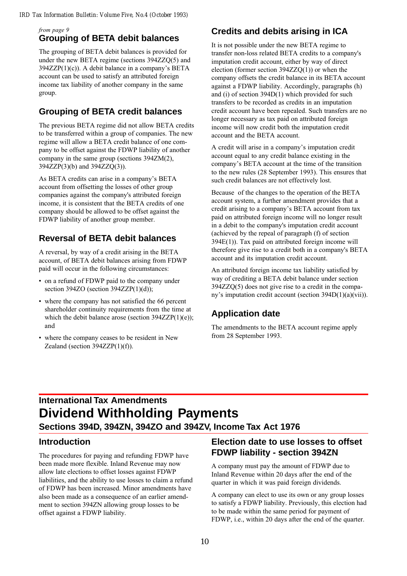### from page 9 **Grouping of BETA debit balances**

The grouping of BETA debit balances is provided for under the new BETA regime (sections 394ZZQ(5) and  $394ZZP(1)(c)$ ). A debit balance in a company's BETA account can be used to satisfy an attributed foreign income tax liability of another company in the same group.

## **Grouping of BETA credit balances**

The previous BETA regime did not allow BETA credits to be transferred within a group of companies. The new regime will allow a BETA credit balance of one company to be offset against the FDWP liability of another company in the same group (sections 394ZM(2), 394ZZP(3)(b) and 394ZZQ(3)).

As BETA credits can arise in a company's BETA account from offsetting the losses of other group companies against the company's attributed foreign income, it is consistent that the BETA credits of one company should be allowed to be offset against the FDWP liability of another group member.

## **Reversal of BETA debit balances**

A reversal, by way of a credit arising in the BETA account, of BETA debit balances arising from FDWP paid will occur in the following circumstances:

- on a refund of FDWP paid to the company under section  $394ZO$  (section  $394ZZP(1)(d)$ );
- where the company has not satisfied the 66 percent shareholder continuity requirements from the time at which the debit balance arose (section 394ZZP(1)(e)); and
- where the company ceases to be resident in New Zealand (section  $394ZZP(1)(f)$ ).

## **Credits and debits arising in ICA**

It is not possible under the new BETA regime to transfer non-loss related BETA credits to a company's imputation credit account, either by way of direct election (former section 394ZZQ(1)) or when the company offsets the credit balance in its BETA account against a FDWP liability. Accordingly, paragraphs (h) and (i) of section 394D(1) which provided for such transfers to be recorded as credits in an imputation credit account have been repealed. Such transfers are no longer necessary as tax paid on attributed foreign income will now credit both the imputation credit account and the BETA account.

A credit will arise in a company's imputation credit account equal to any credit balance existing in the company's BETA account at the time of the transition to the new rules (28 September 1993). This ensures that such credit balances are not effectively lost.

Because of the changes to the operation of the BETA account system, a further amendment provides that a credit arising to a company's BETA account from tax paid on attributed foreign income will no longer result in a debit to the company's imputation credit account (achieved by the repeal of paragraph (f) of section 394E(1)). Tax paid on attributed foreign income will therefore give rise to a credit both in a company's BETA account and its imputation credit account.

An attributed foreign income tax liability satisfied by way of crediting a BETA debit balance under section 394ZZQ(5) does not give rise to a credit in the company's imputation credit account (section 394D(1)(a)(vii)).

## **Application date**

The amendments to the BETA account regime apply from 28 September 1993.

## **International Tax Amendments Dividend Withholding Payments**

**Sections 394D, 394ZN, 394ZO and 394ZV, Income Tax Act 1976**

## **Introduction**

The procedures for paying and refunding FDWP have been made more flexible. Inland Revenue may now allow late elections to offset losses against FDWP liabilities, and the ability to use losses to claim a refund of FDWP has been increased. Minor amendments have also been made as a consequence of an earlier amendment to section 394ZN allowing group losses to be offset against a FDWP liability.

## **Election date to use losses to offset FDWP liability - section 394ZN**

A company must pay the amount of FDWP due to Inland Revenue within 20 days after the end of the quarter in which it was paid foreign dividends.

A company can elect to use its own or any group losses to satisfy a FDWP liability. Previously, this election had to be made within the same period for payment of FDWP, i.e., within 20 days after the end of the quarter.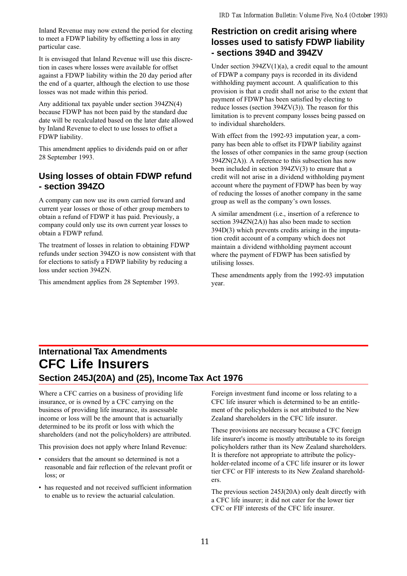Inland Revenue may now extend the period for electing to meet a FDWP liability by offsetting a loss in any particular case.

It is envisaged that Inland Revenue will use this discretion in cases where losses were available for offset against a FDWP liability within the 20 day period after the end of a quarter, although the election to use those losses was not made within this period.

Any additional tax payable under section 394ZN(4) because FDWP has not been paid by the standard due date will be recalculated based on the later date allowed by Inland Revenue to elect to use losses to offset a FDWP liability.

This amendment applies to dividends paid on or after 28 September 1993.

## **Using losses of obtain FDWP refund - section 394ZO**

A company can now use its own carried forward and current year losses or those of other group members to obtain a refund of FDWP it has paid. Previously, a company could only use its own current year losses to obtain a FDWP refund.

The treatment of losses in relation to obtaining FDWP refunds under section 394ZO is now consistent with that for elections to satisfy a FDWP liability by reducing a loss under section 394ZN.

This amendment applies from 28 September 1993.

### **Restriction on credit arising where losses used to satisfy FDWP liability - sections 394D and 394ZV**

Under section  $394ZV(1)(a)$ , a credit equal to the amount of FDWP a company pays is recorded in its dividend withholding payment account. A qualification to this provision is that a credit shall not arise to the extent that payment of FDWP has been satisfied by electing to reduce losses (section 394ZV(3)). The reason for this limitation is to prevent company losses being passed on to individual shareholders.

With effect from the 1992-93 imputation year, a company has been able to offset its FDWP liability against the losses of other companies in the same group (section 394ZN(2A)). A reference to this subsection has now been included in section 394ZV(3) to ensure that a credit will not arise in a dividend withholding payment account where the payment of FDWP has been by way of reducing the losses of another company in the same group as well as the company's own losses.

A similar amendment (i.e., insertion of a reference to section 394ZN(2A)) has also been made to section 394D(3) which prevents credits arising in the imputation credit account of a company which does not maintain a dividend withholding payment account where the payment of FDWP has been satisfied by utilising losses.

These amendments apply from the 1992-93 imputation year.

## **International Tax Amendments CFC Life Insurers Section 245J(20A) and (25), Income Tax Act 1976**

Where a CFC carries on a business of providing life insurance, or is owned by a CFC carrying on the business of providing life insurance, its assessable income or loss will be the amount that is actuarially determined to be its profit or loss with which the shareholders (and not the policyholders) are attributed.

This provision does not apply where Inland Revenue:

- considers that the amount so determined is not a reasonable and fair reflection of the relevant profit or loss; or
- has requested and not received sufficient information to enable us to review the actuarial calculation.

Foreign investment fund income or loss relating to a CFC life insurer which is determined to be an entitlement of the policyholders is not attributed to the New Zealand shareholders in the CFC life insurer.

These provisions are necessary because a CFC foreign life insurer's income is mostly attributable to its foreign policyholders rather than its New Zealand shareholders. It is therefore not appropriate to attribute the policyholder-related income of a CFC life insurer or its lower tier CFC or FIF interests to its New Zealand shareholders.

The previous section 245J(20A) only dealt directly with a CFC life insurer; it did not cater for the lower tier CFC or FIF interests of the CFC life insurer.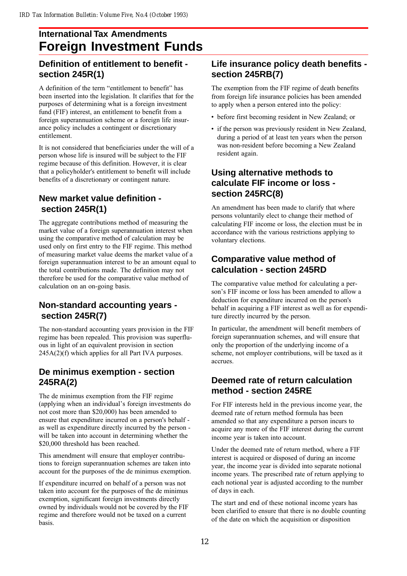## **International Tax Amendments Foreign Investment Funds**

## **Definition of entitlement to benefit section 245R(1)**

A definition of the term "entitlement to benefit" has been inserted into the legislation. It clarifies that for the purposes of determining what is a foreign investment fund (FIF) interest, an entitlement to benefit from a foreign superannuation scheme or a foreign life insurance policy includes a contingent or discretionary entitlement.

It is not considered that beneficiaries under the will of a person whose life is insured will be subject to the FIF regime because of this definition. However, it is clear that a policyholder's entitlement to benefit will include benefits of a discretionary or contingent nature.

## **New market value definition section 245R(1)**

The aggregate contributions method of measuring the market value of a foreign superannuation interest when using the comparative method of calculation may be used only on first entry to the FIF regime. This method of measuring market value deems the market value of a foreign superannuation interest to be an amount equal to the total contributions made. The definition may not therefore be used for the comparative value method of calculation on an on-going basis.

## **Non-standard accounting years section 245R(7)**

The non-standard accounting years provision in the FIF regime has been repealed. This provision was superfluous in light of an equivalent provision in section 245A(2)(f) which applies for all Part IVA purposes.

## **De minimus exemption - section 245RA(2)**

The de minimus exemption from the FIF regime (applying when an individual's foreign investments do not cost more than \$20,000) has been amended to ensure that expenditure incurred on a person's behalf as well as expenditure directly incurred by the person will be taken into account in determining whether the \$20,000 threshold has been reached.

This amendment will ensure that employer contributions to foreign superannuation schemes are taken into account for the purposes of the de minimus exemption.

If expenditure incurred on behalf of a person was not taken into account for the purposes of the de minimus exemption, significant foreign investments directly owned by individuals would not be covered by the FIF regime and therefore would not be taxed on a current basis.

## **Life insurance policy death benefits section 245RB(7)**

The exemption from the FIF regime of death benefits from foreign life insurance policies has been amended to apply when a person entered into the policy:

- before first becoming resident in New Zealand; or
- if the person was previously resident in New Zealand, during a period of at least ten years when the person was non-resident before becoming a New Zealand resident again.

## **Using alternative methods to calculate FIF income or loss section 245RC(8)**

An amendment has been made to clarify that where persons voluntarily elect to change their method of calculating FIF income or loss, the election must be in accordance with the various restrictions applying to voluntary elections.

## **Comparative value method of calculation - section 245RD**

The comparative value method for calculating a person's FIF income or loss has been amended to allow a deduction for expenditure incurred on the person's behalf in acquiring a FIF interest as well as for expenditure directly incurred by the person.

In particular, the amendment will benefit members of foreign superannuation schemes, and will ensure that only the proportion of the underlying income of a scheme, not employer contributions, will be taxed as it accrues.

## **Deemed rate of return calculation method - section 245RE**

For FIF interests held in the previous income year, the deemed rate of return method formula has been amended so that any expenditure a person incurs to acquire any more of the FIF interest during the current income year is taken into account.

Under the deemed rate of return method, where a FIF interest is acquired or disposed of during an income year, the income year is divided into separate notional income years. The prescribed rate of return applying to each notional year is adjusted according to the number of days in each.

The start and end of these notional income years has been clarified to ensure that there is no double counting of the date on which the acquisition or disposition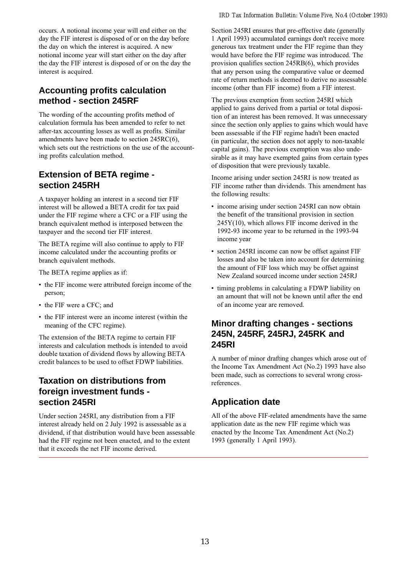occurs. A notional income year will end either on the day the FIF interest is disposed of or on the day before the day on which the interest is acquired. A new notional income year will start either on the day after the day the FIF interest is disposed of or on the day the interest is acquired.

## **Accounting profits calculation method - section 245RF**

The wording of the accounting profits method of calculation formula has been amended to refer to net after-tax accounting losses as well as profits. Similar amendments have been made to section 245RC(6), which sets out the restrictions on the use of the accounting profits calculation method.

## **Extension of BETA regime section 245RH**

A taxpayer holding an interest in a second tier FIF interest will be allowed a BETA credit for tax paid under the FIF regime where a CFC or a FIF using the branch equivalent method is interposed between the taxpayer and the second tier FIF interest.

The BETA regime will also continue to apply to FIF income calculated under the accounting profits or branch equivalent methods.

The BETA regime applies as if:

- the FIF income were attributed foreign income of the person;
- the FIF were a CFC; and
- the FIF interest were an income interest (within the meaning of the CFC regime).

The extension of the BETA regime to certain FIF interests and calculation methods is intended to avoid double taxation of dividend flows by allowing BETA credit balances to be used to offset FDWP liabilities.

## **Taxation on distributions from foreign investment funds section 245RI**

Under section 245RI, any distribution from a FIF interest already held on 2 July 1992 is assessable as a dividend, if that distribution would have been assessable had the FIF regime not been enacted, and to the extent that it exceeds the net FIF income derived.

Section 245RI ensures that pre-effective date (generally 1 April 1993) accumulated earnings don't receive more generous tax treatment under the FIF regime than they would have before the FIF regime was introduced. The provision qualifies section 245RB(6), which provides that any person using the comparative value or deemed rate of return methods is deemed to derive no assessable income (other than FIF income) from a FIF interest.

The previous exemption from section 245RI which applied to gains derived from a partial or total disposition of an interest has been removed. It was unnecessary since the section only applies to gains which would have been assessable if the FIF regime hadn't been enacted (in particular, the section does not apply to non-taxable capital gains). The previous exemption was also undesirable as it may have exempted gains from certain types of disposition that were previously taxable.

Income arising under section 245RI is now treated as FIF income rather than dividends. This amendment has the following results:

- income arising under section 245RI can now obtain the benefit of the transitional provision in section  $245Y(10)$ , which allows FIF income derived in the 1992-93 income year to be returned in the 1993-94 income year
- section 245RI income can now be offset against FIF losses and also be taken into account for determining the amount of FIF loss which may be offset against New Zealand sourced income under section 245RJ
- timing problems in calculating a FDWP liability on an amount that will not be known until after the end of an income year are removed.

## **Minor drafting changes - sections 245N, 245RF, 245RJ, 245RK and 245RI**

A number of minor drafting changes which arose out of the Income Tax Amendment Act (No.2) 1993 have also been made, such as corrections to several wrong crossreferences.

## **Application date**

All of the above FIF-related amendments have the same application date as the new FIF regime which was enacted by the Income Tax Amendment Act (No.2) 1993 (generally 1 April 1993).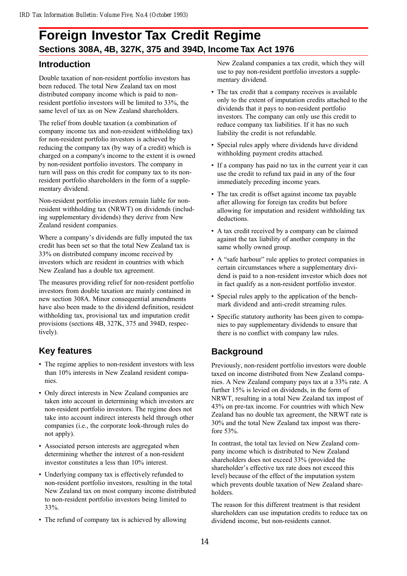## **Foreign Investor Tax Credit Regime Sections 308A, 4B, 327K, 375 and 394D, Income Tax Act 1976**

## **Introduction**

Double taxation of non-resident portfolio investors has been reduced. The total New Zealand tax on most distributed company income which is paid to nonresident portfolio investors will be limited to 33%, the same level of tax as on New Zealand shareholders.

The relief from double taxation (a combination of company income tax and non-resident withholding tax) for non-resident portfolio investors is achieved by reducing the company tax (by way of a credit) which is charged on a company's income to the extent it is owned by non-resident portfolio investors. The company in turn will pass on this credit for company tax to its nonresident portfolio shareholders in the form of a supplementary dividend.

Non-resident portfolio investors remain liable for nonresident withholding tax (NRWT) on dividends (including supplementary dividends) they derive from New Zealand resident companies.

Where a company's dividends are fully imputed the tax credit has been set so that the total New Zealand tax is 33% on distributed company income received by investors which are resident in countries with which New Zealand has a double tax agreement.

The measures providing relief for non-resident portfolio investors from double taxation are mainly contained in new section 308A. Minor consequential amendments have also been made to the dividend definition, resident withholding tax, provisional tax and imputation credit provisions (sections 4B, 327K, 375 and 394D, respectively).

## **Key features**

- The regime applies to non-resident investors with less than 10% interests in New Zealand resident companies.
- Only direct interests in New Zealand companies are taken into account in determining which investors are non-resident portfolio investors. The regime does not take into account indirect interests held through other companies (i.e., the corporate look-through rules do not apply).
- Associated person interests are aggregated when determining whether the interest of a non-resident investor constitutes a less than 10% interest.
- Underlying company tax is effectively refunded to non-resident portfolio investors, resulting in the total New Zealand tax on most company income distributed to non-resident portfolio investors being limited to 33%.
- The refund of company tax is achieved by allowing

New Zealand companies a tax credit, which they will use to pay non-resident portfolio investors a supplementary dividend.

- The tax credit that a company receives is available only to the extent of imputation credits attached to the dividends that it pays to non-resident portfolio investors. The company can only use this credit to reduce company tax liabilities. If it has no such liability the credit is not refundable.
- Special rules apply where dividends have dividend withholding payment credits attached.
- If a company has paid no tax in the current year it can use the credit to refund tax paid in any of the four immediately preceding income years.
- The tax credit is offset against income tax payable after allowing for foreign tax credits but before allowing for imputation and resident withholding tax deductions.
- A tax credit received by a company can be claimed against the tax liability of another company in the same wholly owned group.
- A "safe harbour" rule applies to protect companies in certain circumstances where a supplementary dividend is paid to a non-resident investor which does not in fact qualify as a non-resident portfolio investor.
- Special rules apply to the application of the benchmark dividend and anti-credit streaming rules.
- Specific statutory authority has been given to companies to pay supplementary dividends to ensure that there is no conflict with company law rules.

## **Background**

Previously, non-resident portfolio investors were double taxed on income distributed from New Zealand companies. A New Zealand company pays tax at a 33% rate. A further 15% is levied on dividends, in the form of NRWT, resulting in a total New Zealand tax impost of 43% on pre-tax income. For countries with which New Zealand has no double tax agreement, the NRWT rate is 30% and the total New Zealand tax impost was therefore 53%.

In contrast, the total tax levied on New Zealand company income which is distributed to New Zealand shareholders does not exceed 33% (provided the shareholder's effective tax rate does not exceed this level) because of the effect of the imputation system which prevents double taxation of New Zealand shareholders.

The reason for this different treatment is that resident shareholders can use imputation credits to reduce tax on dividend income, but non-residents cannot.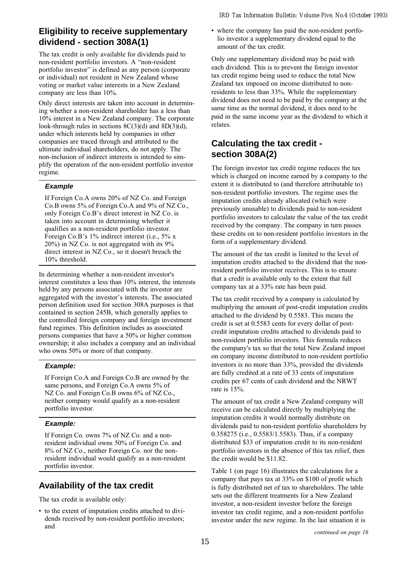## **Eligibility to receive supplementary dividend - section 308A(1)**

The tax credit is only available for dividends paid to non-resident portfolio investors. A "non-resident portfolio investor" is defined as any person (corporate or individual) not resident in New Zealand whose voting or market value interests in a New Zealand company are less than 10%.

Only direct interests are taken into account in determining whether a non-resident shareholder has a less than 10% interest in a New Zealand company. The corporate look-through rules in sections 8C(3)(d) and 8D(3)(d), under which interests held by companies in other companies are traced through and attributed to the ultimate individual shareholders, do not apply. The non-inclusion of indirect interests is intended to simplify the operation of the non-resident portfolio investor regime.

### **Example**

If Foreign Co.A owns 20% of NZ Co. and Foreign Co.B owns 5% of Foreign Co.A and 9% of NZ Co., only Foreign Co.B's direct interest in NZ Co. is taken into account in determining whether it qualifies as a non-resident portfolio investor. Foreign Co.B's  $1\%$  indirect interest (i.e.,  $5\%$  x 20%) in NZ Co. is not aggregated with its 9% direct interest in NZ Co., so it doesn't breach the 10% threshold.

In determining whether a non-resident investor's interest constitutes a less than 10% interest, the interests held by any persons associated with the investor are aggregated with the investor's interests. The associated person definition used for section 308A purposes is that contained in section 245B, which generally applies to the controlled foreign company and foreign investment fund regimes. This definition includes as associated persons companies that have a 50% or higher common ownership; it also includes a company and an individual who owns 50% or more of that company.

### **Example:**

If Foreign Co.A and Foreign Co.B are owned by the same persons, and Foreign Co.A owns 5% of NZ Co. and Foreign Co.B owns 6% of NZ Co., neither company would qualify as a non-resident portfolio investor.

### **Example:**

If Foreign Co. owns 7% of NZ Co. and a nonresident individual owns 50% of Foreign Co. and 8% of NZ Co., neither Foreign Co. nor the nonresident individual would qualify as a non-resident portfolio investor.

## **Availability of the tax credit**

The tax credit is available only:

 to the extent of imputation credits attached to dividends received by non-resident portfolio investors; and

 where the company has paid the non-resident portfolio investor a supplementary dividend equal to the amount of the tax credit.

Only one supplementary dividend may be paid with each dividend. This is to prevent the foreign investor tax credit regime being used to reduce the total New Zealand tax imposed on income distributed to nonresidents to less than 33%. While the supplementary dividend does not need to be paid by the company at the same time as the normal dividend, it does need to be paid in the same income year as the dividend to which it relates.

## **Calculating the tax credit section 308A(2)**

The foreign investor tax credit regime reduces the tax which is charged on income earned by a company to the extent it is distributed to (and therefore attributable to) non-resident portfolio investors. The regime uses the imputation credits already allocated (which were previously unusable) to dividends paid to non-resident portfolio investors to calculate the value of the tax credit received by the company. The company in turn passes these credits on to non-resident portfolio investors in the form of a supplementary dividend.

The amount of the tax credit is limited to the level of imputation credits attached to the dividend that the nonresident portfolio investor receives. This is to ensure that a credit is available only to the extent that full company tax at a 33% rate has been paid.

The tax credit received by a company is calculated by multiplying the amount of post-credit imputation credits attached to the dividend by 0.5583. This means the credit is set at 0.5583 cents for every dollar of postcredit imputation credits attached to dividends paid to non-resident portfolio investors. This formula reduces the company's tax so that the total New Zealand impost on company income distributed to non-resident portfolio investors is no more than 33%, provided the dividends are fully credited at a rate of 33 cents of imputation credits per 67 cents of cash dividend and the NRWT rate is 15%.

The amount of tax credit a New Zealand company will receive can be calculated directly by multiplying the imputation credits it would normally distribute on dividends paid to non-resident portfolio shareholders by 0.358275 (i.e., 0.5583/1.5583). Thus, if a company distributed \$33 of imputation credit to its non-resident portfolio investors in the absence of this tax relief, then the credit would be \$11.82.

Table 1 (on page 16) illustrates the calculations for a company that pays tax at 33% on \$100 of profit which is fully distributed net of tax to shareholders. The table sets out the different treatments for a New Zealand investor, a non-resident investor before the foreign investor tax credit regime, and a non-resident portfolio investor under the new regime. In the last situation it is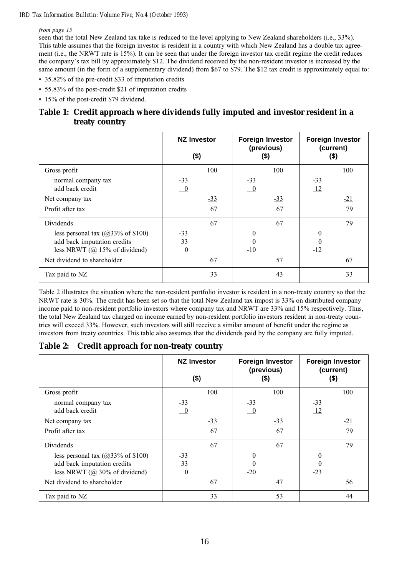### from page 15

seen that the total New Zealand tax take is reduced to the level applying to New Zealand shareholders (i.e., 33%). This table assumes that the foreign investor is resident in a country with which New Zealand has a double tax agreement (i.e., the NRWT rate is 15%). It can be seen that under the foreign investor tax credit regime the credit reduces the companys tax bill by approximately \$12. The dividend received by the non-resident investor is increased by the same amount (in the form of a supplementary dividend) from \$67 to \$79. The \$12 tax credit is approximately equal to:

- 35.82% of the pre-credit \$33 of imputation credits
- 55.83% of the post-credit \$21 of imputation credits
- 15% of the post-credit \$79 dividend.

### **Table 1: Credit approach where dividends fully imputed and investor resident in a treaty country**

|                                       | <b>NZ Investor</b><br>$($ \$) |       | <b>Foreign Investor</b><br>(previous)<br>(\$) |       | <b>Foreign Investor</b><br>(current)<br>$($)$ |       |
|---------------------------------------|-------------------------------|-------|-----------------------------------------------|-------|-----------------------------------------------|-------|
| Gross profit                          |                               | 100   |                                               | 100   |                                               | 100   |
| normal company tax                    | $-33$                         |       | $-33$                                         |       | $-33$                                         |       |
| add back credit                       | $\overline{\phantom{0}}^0$    |       | $\underline{\phantom{0}}$                     |       | $\frac{12}{2}$                                |       |
| Net company tax                       |                               | $-33$ |                                               | $-33$ |                                               | $-21$ |
| Profit after tax                      |                               | 67    |                                               | 67    |                                               | 79    |
| Dividends                             |                               | 67    |                                               | 67    |                                               | 79    |
| less personal tax $(a)$ 33% of \$100) | $-33$                         |       | $\theta$                                      |       | 0                                             |       |
| add back imputation credits           | 33                            |       | $\theta$                                      |       | 0                                             |       |
| less NRWT $(Q$ 15% of dividend)       | $\theta$                      |       | $-10$                                         |       | $-12$                                         |       |
| Net dividend to shareholder           |                               | 67    |                                               | 57    |                                               | 67    |
| Tax paid to NZ                        |                               | 33    |                                               | 43    |                                               | 33    |

Table 2 illustrates the situation where the non-resident portfolio investor is resident in a non-treaty country so that the NRWT rate is 30%. The credit has been set so that the total New Zealand tax impost is 33% on distributed company income paid to non-resident portfolio investors where company tax and NRWT are 33% and 15% respectively. Thus, the total New Zealand tax charged on income earned by non-resident portfolio investors resident in non-treaty countries will exceed 33%. However, such investors will still receive a similar amount of benefit under the regime as investors from treaty countries. This table also assumes that the dividends paid by the company are fully imputed.

### **Table 2: Credit approach for non-treaty country**

|                                           | <b>NZ Investor</b><br>$($ \$) |       | <b>Foreign Investor</b><br>(previous)<br>(\$) |       | <b>Foreign Investor</b><br>(current)<br>$($)$ |       |
|-------------------------------------------|-------------------------------|-------|-----------------------------------------------|-------|-----------------------------------------------|-------|
| Gross profit                              |                               | 100   |                                               | 100   |                                               | 100   |
| normal company tax                        | $-33$                         |       | $-33$                                         |       | $-33$                                         |       |
| add back credit                           | $\overline{\phantom{0}}$      |       | $\overline{\phantom{0}}^0$                    |       | $\perp$                                       |       |
| Net company tax                           |                               | $-33$ |                                               | $-33$ |                                               | $-21$ |
| Profit after tax                          |                               | 67    |                                               | 67    |                                               | 79    |
| Dividends                                 |                               | 67    |                                               | 67    |                                               | 79    |
| less personal tax $(a)$ 33% of \$100)     | $-33$                         |       | $\mathbf{0}$                                  |       | $\theta$                                      |       |
| add back imputation credits               | 33                            |       | $\Omega$                                      |       |                                               |       |
| less NRWT $(Q\ 30\% \text{ of dividend})$ | $\theta$                      |       | $-20$                                         |       | $-23$                                         |       |
| Net dividend to shareholder               |                               | 67    |                                               | 47    |                                               | 56    |
| Tax paid to NZ                            |                               | 33    |                                               | 53    |                                               | 44    |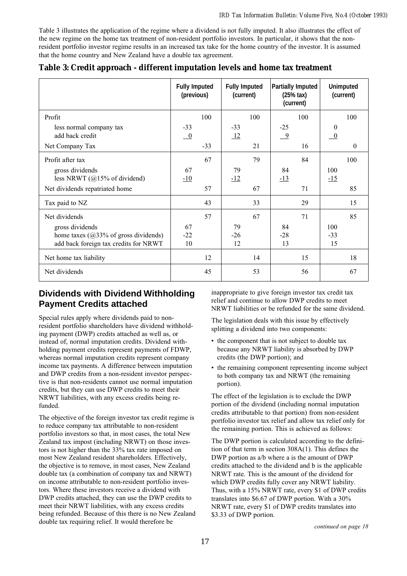Table 3 illustrates the application of the regime where a dividend is not fully imputed. It also illustrates the effect of the new regime on the home tax treatment of non-resident portfolio investors. In particular, it shows that the nonresident portfolio investor regime results in an increased tax take for the home country of the investor. It is assumed that the home country and New Zealand have a double tax agreement.

|                                                                                                     | <b>Fully Imputed</b><br>(previous)  | <b>Fully Imputed</b><br>(current) | <b>Partially Imputed</b><br>$(25%$ tax)<br>(current) | <b>Unimputed</b><br>(current) |
|-----------------------------------------------------------------------------------------------------|-------------------------------------|-----------------------------------|------------------------------------------------------|-------------------------------|
| Profit                                                                                              | 100                                 | 100                               | 100                                                  | 100                           |
| less normal company tax<br>add back credit                                                          | $-33$<br>$\overline{\phantom{0}}^0$ | $-33$<br>12                       | $-25$<br>$\overline{-9}$                             | $\bf{0}$<br>$\theta$          |
| Net Company Tax                                                                                     | $-33$                               | 21                                | 16                                                   | $\Omega$                      |
| Profit after tax                                                                                    | 67                                  | 79                                | 84                                                   | 100                           |
| gross dividends<br>less NRWT $(@15\%$ of dividend)                                                  | 67<br>$-10$                         | 79<br>$-12$                       | 84<br>$-13$                                          | 100<br>$-15$                  |
| Net dividends repatriated home                                                                      | 57                                  | 67                                | 71                                                   | 85                            |
| Tax paid to NZ                                                                                      | 43                                  | 33                                | 29                                                   | 15                            |
| Net dividends                                                                                       | 57                                  | 67                                | 71                                                   | 85                            |
| gross dividends<br>home taxes $(@33\%$ of gross dividends)<br>add back foreign tax credits for NRWT | 67<br>$-22$<br>10                   | 79<br>$-26$<br>12                 | 84<br>$-28$<br>13                                    | 100<br>$-33$<br>15            |
| Net home tax liability                                                                              | 12                                  | 14                                | 15                                                   | 18                            |
| Net dividends                                                                                       | 45                                  | 53                                | 56                                                   | 67                            |

**Table 3: Credit approach - different imputation levels and home tax treatment**

## **Dividends with Dividend Withholding Payment Credits attached**

Special rules apply where dividends paid to nonresident portfolio shareholders have dividend withholding payment (DWP) credits attached as well as, or instead of, normal imputation credits. Dividend withholding payment credits represent payments of FDWP, whereas normal imputation credits represent company income tax payments. A difference between imputation and DWP credits from a non-resident investor perspective is that non-residents cannot use normal imputation credits, but they can use DWP credits to meet their NRWT liabilities, with any excess credits being refunded.

The objective of the foreign investor tax credit regime is to reduce company tax attributable to non-resident portfolio investors so that, in most cases, the total New Zealand tax impost (including NRWT) on those investors is not higher than the 33% tax rate imposed on most New Zealand resident shareholders. Effectively, the objective is to remove, in most cases, New Zealand double tax (a combination of company tax and NRWT) on income attributable to non-resident portfolio investors. Where these investors receive a dividend with DWP credits attached, they can use the DWP credits to meet their NRWT liabilities, with any excess credits being refunded. Because of this there is no New Zealand double tax requiring relief. It would therefore be

inappropriate to give foreign investor tax credit tax relief and continue to allow DWP credits to meet NRWT liabilities or be refunded for the same dividend.

The legislation deals with this issue by effectively splitting a dividend into two components:

- the component that is not subject to double tax because any NRWT liability is absorbed by DWP credits (the DWP portion); and
- the remaining component representing income subject to both company tax and NRWT (the remaining portion).

The effect of the legislation is to exclude the DWP portion of the dividend (including normal imputation credits attributable to that portion) from non-resident portfolio investor tax relief and allow tax relief only for the remaining portion. This is achieved as follows:

The DWP portion is calculated according to the definition of that term in section 308A(1). This defines the DWP portion as a/b where a is the amount of DWP credits attached to the dividend and b is the applicable NRWT rate. This is the amount of the dividend for which DWP credits fully cover any NRWT liability. Thus, with a 15% NRWT rate, every \$1 of DWP credits translates into \$6.67 of DWP portion. With a 30% NRWT rate, every \$1 of DWP credits translates into \$3.33 of DWP portion.

continued on page 18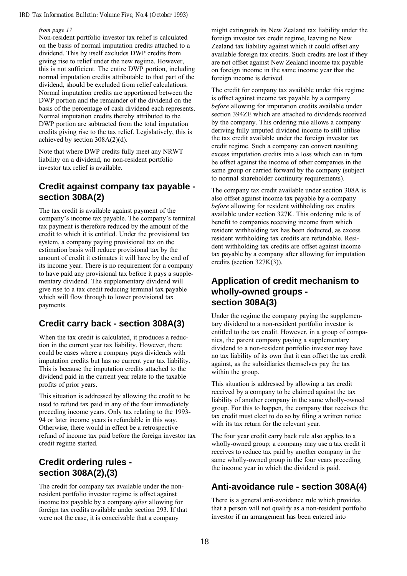#### from page 17

Non-resident portfolio investor tax relief is calculated on the basis of normal imputation credits attached to a dividend. This by itself excludes DWP credits from giving rise to relief under the new regime. However, this is not sufficient. The entire DWP portion, including normal imputation credits attributable to that part of the dividend, should be excluded from relief calculations. Normal imputation credits are apportioned between the DWP portion and the remainder of the dividend on the basis of the percentage of cash dividend each represents. Normal imputation credits thereby attributed to the DWP portion are subtracted from the total imputation credits giving rise to the tax relief. Legislatively, this is achieved by section 308A(2)(d).

Note that where DWP credits fully meet any NRWT liability on a dividend, no non-resident portfolio investor tax relief is available.

## **Credit against company tax payable section 308A(2)**

The tax credit is available against payment of the company's income tax payable. The company's terminal tax payment is therefore reduced by the amount of the credit to which it is entitled. Under the provisional tax system, a company paying provisional tax on the estimation basis will reduce provisional tax by the amount of credit it estimates it will have by the end of its income year. There is no requirement for a company to have paid any provisional tax before it pays a supplementary dividend. The supplementary dividend will give rise to a tax credit reducing terminal tax payable which will flow through to lower provisional tax payments.

## **Credit carry back - section 308A(3)**

When the tax credit is calculated, it produces a reduction in the current year tax liability. However, there could be cases where a company pays dividends with imputation credits but has no current year tax liability. This is because the imputation credits attached to the dividend paid in the current year relate to the taxable profits of prior years.

This situation is addressed by allowing the credit to be used to refund tax paid in any of the four immediately preceding income years. Only tax relating to the 1993- 94 or later income years is refundable in this way. Otherwise, there would in effect be a retrospective refund of income tax paid before the foreign investor tax credit regime started.

## **Credit ordering rules section 308A(2),(3)**

The credit for company tax available under the nonresident portfolio investor regime is offset against income tax payable by a company *after* allowing for foreign tax credits available under section 293. If that were not the case, it is conceivable that a company

might extinguish its New Zealand tax liability under the foreign investor tax credit regime, leaving no New Zealand tax liability against which it could offset any available foreign tax credits. Such credits are lost if they are not offset against New Zealand income tax payable on foreign income in the same income year that the foreign income is derived.

The credit for company tax available under this regime is offset against income tax payable by a company before allowing for imputation credits available under section 394ZE which are attached to dividends received by the company. This ordering rule allows a company deriving fully imputed dividend income to still utilise the tax credit available under the foreign investor tax credit regime. Such a company can convert resulting excess imputation credits into a loss which can in turn be offset against the income of other companies in the same group or carried forward by the company (subject to normal shareholder continuity requirements).

The company tax credit available under section 308A is also offset against income tax payable by a company before allowing for resident withholding tax credits available under section 327K. This ordering rule is of benefit to companies receiving income from which resident withholding tax has been deducted, as excess resident withholding tax credits are refundable. Resident withholding tax credits are offset against income tax payable by a company after allowing for imputation credits (section 327K(3)).

### **Application of credit mechanism to wholly-owned groups section 308A(3)**

Under the regime the company paying the supplementary dividend to a non-resident portfolio investor is entitled to the tax credit. However, in a group of companies, the parent company paying a supplementary dividend to a non-resident portfolio investor may have no tax liability of its own that it can offset the tax credit against, as the subsidiaries themselves pay the tax within the group.

This situation is addressed by allowing a tax credit received by a company to be claimed against the tax liability of another company in the same wholly-owned group. For this to happen, the company that receives the tax credit must elect to do so by filing a written notice with its tax return for the relevant year.

The four year credit carry back rule also applies to a wholly-owned group; a company may use a tax credit it receives to reduce tax paid by another company in the same wholly-owned group in the four years preceding the income year in which the dividend is paid.

## **Anti-avoidance rule - section 308A(4)**

There is a general anti-avoidance rule which provides that a person will not qualify as a non-resident portfolio investor if an arrangement has been entered into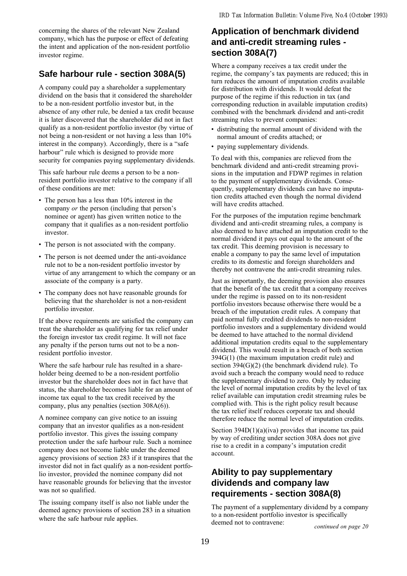concerning the shares of the relevant New Zealand company, which has the purpose or effect of defeating the intent and application of the non-resident portfolio investor regime.

## **Safe harbour rule - section 308A(5)**

A company could pay a shareholder a supplementary dividend on the basis that it considered the shareholder to be a non-resident portfolio investor but, in the absence of any other rule, be denied a tax credit because it is later discovered that the shareholder did not in fact qualify as a non-resident portfolio investor (by virtue of not being a non-resident or not having a less than 10% interest in the company). Accordingly, there is a "safe harbour" rule which is designed to provide more security for companies paying supplementary dividends.

This safe harbour rule deems a person to be a nonresident portfolio investor relative to the company if all of these conditions are met:

- The person has a less than 10% interest in the company  $or$  the person (including that person's nominee or agent) has given written notice to the company that it qualifies as a non-resident portfolio investor.
- The person is not associated with the company.
- The person is not deemed under the anti-avoidance rule not to be a non-resident portfolio investor by virtue of any arrangement to which the company or an associate of the company is a party.
- The company does not have reasonable grounds for believing that the shareholder is not a non-resident portfolio investor.

If the above requirements are satisfied the company can treat the shareholder as qualifying for tax relief under the foreign investor tax credit regime. It will not face any penalty if the person turns out not to be a nonresident portfolio investor.

Where the safe harbour rule has resulted in a shareholder being deemed to be a non-resident portfolio investor but the shareholder does not in fact have that status, the shareholder becomes liable for an amount of income tax equal to the tax credit received by the company, plus any penalties (section 308A(6)).

A nominee company can give notice to an issuing company that an investor qualifies as a non-resident portfolio investor. This gives the issuing company protection under the safe harbour rule. Such a nominee company does not become liable under the deemed agency provisions of section 283 if it transpires that the investor did not in fact qualify as a non-resident portfolio investor, provided the nominee company did not have reasonable grounds for believing that the investor was not so qualified.

The issuing company itself is also not liable under the deemed agency provisions of section 283 in a situation where the safe harbour rule applies.

## **Application of benchmark dividend and anti-credit streaming rules section 308A(7)**

Where a company receives a tax credit under the regime, the company's tax payments are reduced; this in turn reduces the amount of imputation credits available for distribution with dividends. It would defeat the purpose of the regime if this reduction in tax (and corresponding reduction in available imputation credits) combined with the benchmark dividend and anti-credit streaming rules to prevent companies:

- distributing the normal amount of dividend with the normal amount of credits attached; or
- paying supplementary dividends.

To deal with this, companies are relieved from the benchmark dividend and anti-credit streaming provisions in the imputation and FDWP regimes in relation to the payment of supplementary dividends. Consequently, supplementary dividends can have no imputation credits attached even though the normal dividend will have credits attached.

For the purposes of the imputation regime benchmark dividend and anti-credit streaming rules, a company is also deemed to have attached an imputation credit to the normal dividend it pays out equal to the amount of the tax credit. This deeming provision is necessary to enable a company to pay the same level of imputation credits to its domestic and foreign shareholders and thereby not contravene the anti-credit streaming rules.

Just as importantly, the deeming provision also ensures that the benefit of the tax credit that a company receives under the regime is passed on to its non-resident portfolio investors because otherwise there would be a breach of the imputation credit rules. A company that paid normal fully credited dividends to non-resident portfolio investors and a supplementary dividend would be deemed to have attached to the normal dividend additional imputation credits equal to the supplementary dividend. This would result in a breach of both section 394G(1) (the maximum imputation credit rule) and section 394(G)(2) (the benchmark dividend rule). To avoid such a breach the company would need to reduce the supplementary dividend to zero. Only by reducing the level of normal imputation credits by the level of tax relief available can imputation credit streaming rules be complied with. This is the right policy result because the tax relief itself reduces corporate tax and should therefore reduce the normal level of imputation credits.

Section  $394D(1)(a)(iva)$  provides that income tax paid by way of crediting under section 308A does not give rise to a credit in a company's imputation credit account.

## **Ability to pay supplementary dividends and company law requirements - section 308A(8)**

The payment of a supplementary dividend by a company to a non-resident portfolio investor is specifically deemed not to contravene:<br>
continued on page 20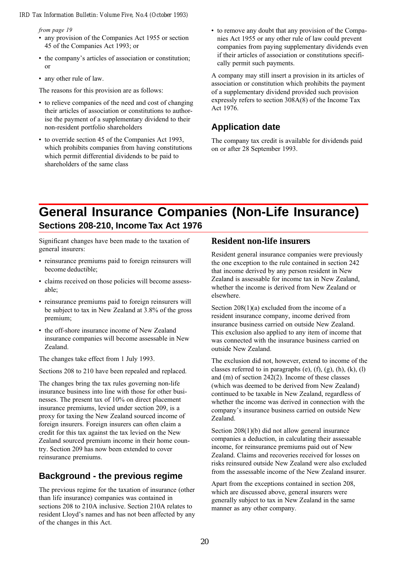from page 19

- any provision of the Companies Act 1955 or section 45 of the Companies Act 1993; or
- the company's articles of association or constitution; or
- any other rule of law.

The reasons for this provision are as follows:

- to relieve companies of the need and cost of changing their articles of association or constitutions to authorise the payment of a supplementary dividend to their non-resident portfolio shareholders
- to override section 45 of the Companies Act 1993, which prohibits companies from having constitutions which permit differential dividends to be paid to shareholders of the same class

• to remove any doubt that any provision of the Companies Act 1955 or any other rule of law could prevent companies from paying supplementary dividends even if their articles of association or constitutions specifically permit such payments.

A company may still insert a provision in its articles of association or constitution which prohibits the payment of a supplementary dividend provided such provision expressly refers to section 308A(8) of the Income Tax Act 1976.

## **Application date**

The company tax credit is available for dividends paid on or after 28 September 1993.

## **General Insurance Companies (Non-Life Insurance) Sections 208-210, Income Tax Act 1976**

Significant changes have been made to the taxation of general insurers:

- reinsurance premiums paid to foreign reinsurers will become deductible;
- claims received on those policies will become assessable;
- reinsurance premiums paid to foreign reinsurers will be subject to tax in New Zealand at 3.8% of the gross premium;
- the off-shore insurance income of New Zealand insurance companies will become assessable in New Zealand.

The changes take effect from 1 July 1993.

Sections 208 to 210 have been repealed and replaced.

The changes bring the tax rules governing non-life insurance business into line with those for other businesses. The present tax of 10% on direct placement insurance premiums, levied under section 209, is a proxy for taxing the New Zealand sourced income of foreign insurers. Foreign insurers can often claim a credit for this tax against the tax levied on the New Zealand sourced premium income in their home country. Section 209 has now been extended to cover reinsurance premiums.

## **Background - the previous regime**

The previous regime for the taxation of insurance (other than life insurance) companies was contained in sections 208 to 210A inclusive. Section 210A relates to resident Lloyd's names and has not been affected by any of the changes in this Act.

### **Resident non-life insurers**

Resident general insurance companies were previously the one exception to the rule contained in section 242 that income derived by any person resident in New Zealand is assessable for income tax in New Zealand, whether the income is derived from New Zealand or elsewhere.

Section 208(1)(a) excluded from the income of a resident insurance company, income derived from insurance business carried on outside New Zealand. This exclusion also applied to any item of income that was connected with the insurance business carried on outside New Zealand.

The exclusion did not, however, extend to income of the classes referred to in paragraphs (e),  $(f)$ ,  $(g)$ ,  $(h)$ ,  $(k)$ ,  $(l)$ and (m) of section 242(2). Income of these classes (which was deemed to be derived from New Zealand) continued to be taxable in New Zealand, regardless of whether the income was derived in connection with the company's insurance business carried on outside New Zealand.

Section 208(1)(b) did not allow general insurance companies a deduction, in calculating their assessable income, for reinsurance premiums paid out of New Zealand. Claims and recoveries received for losses on risks reinsured outside New Zealand were also excluded from the assessable income of the New Zealand insurer.

Apart from the exceptions contained in section 208, which are discussed above, general insurers were generally subject to tax in New Zealand in the same manner as any other company.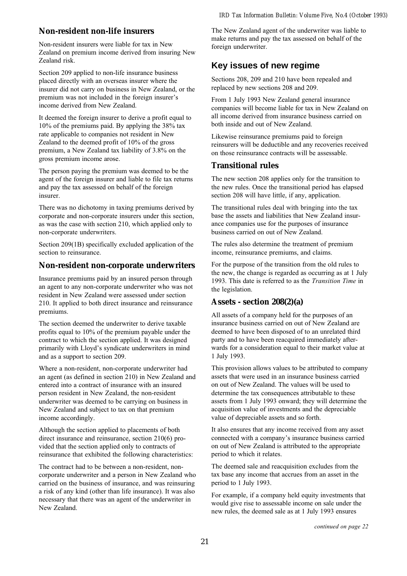### **Non-resident non-life insurers**

Non-resident insurers were liable for tax in New Zealand on premium income derived from insuring New Zealand risk.

Section 209 applied to non-life insurance business placed directly with an overseas insurer where the insurer did not carry on business in New Zealand, or the premium was not included in the foreign insurer's income derived from New Zealand.

It deemed the foreign insurer to derive a profit equal to 10% of the premiums paid. By applying the 38% tax rate applicable to companies not resident in New Zealand to the deemed profit of 10% of the gross premium, a New Zealand tax liability of 3.8% on the gross premium income arose.

The person paying the premium was deemed to be the agent of the foreign insurer and liable to file tax returns and pay the tax assessed on behalf of the foreign insurer.

There was no dichotomy in taxing premiums derived by corporate and non-corporate insurers under this section, as was the case with section 210, which applied only to non-corporate underwriters.

Section 209(1B) specifically excluded application of the section to reinsurance.

### **Non-resident non-corporate underwriters**

Insurance premiums paid by an insured person through an agent to any non-corporate underwriter who was not resident in New Zealand were assessed under section 210. It applied to both direct insurance and reinsurance premiums.

The section deemed the underwriter to derive taxable profits equal to 10% of the premium payable under the contract to which the section applied. It was designed primarily with Lloyd's syndicate underwriters in mind and as a support to section 209.

Where a non-resident, non-corporate underwriter had an agent (as defined in section 210) in New Zealand and entered into a contract of insurance with an insured person resident in New Zealand, the non-resident underwriter was deemed to be carrying on business in New Zealand and subject to tax on that premium income accordingly.

Although the section applied to placements of both direct insurance and reinsurance, section 210(6) provided that the section applied only to contracts of reinsurance that exhibited the following characteristics:

The contract had to be between a non-resident, noncorporate underwriter and a person in New Zealand who carried on the business of insurance, and was reinsuring a risk of any kind (other than life insurance). It was also necessary that there was an agent of the underwriter in New Zealand.

The New Zealand agent of the underwriter was liable to make returns and pay the tax assessed on behalf of the foreign underwriter.

## **Key issues of new regime**

Sections 208, 209 and 210 have been repealed and replaced by new sections 208 and 209.

From 1 July 1993 New Zealand general insurance companies will become liable for tax in New Zealand on all income derived from insurance business carried on both inside and out of New Zealand.

Likewise reinsurance premiums paid to foreign reinsurers will be deductible and any recoveries received on those reinsurance contracts will be assessable.

### **Transitional rules**

The new section 208 applies only for the transition to the new rules. Once the transitional period has elapsed section 208 will have little, if any, application.

The transitional rules deal with bringing into the tax base the assets and liabilities that New Zealand insurance companies use for the purposes of insurance business carried on out of New Zealand.

The rules also determine the treatment of premium income, reinsurance premiums, and claims.

For the purpose of the transition from the old rules to the new, the change is regarded as occurring as at 1 July 1993. This date is referred to as the Transition Time in the legislation.

### **Assets - section 208(2)(a)**

All assets of a company held for the purposes of an insurance business carried on out of New Zealand are deemed to have been disposed of to an unrelated third party and to have been reacquired immediately afterwards for a consideration equal to their market value at 1 July 1993.

This provision allows values to be attributed to company assets that were used in an insurance business carried on out of New Zealand. The values will be used to determine the tax consequences attributable to these assets from 1 July 1993 onward; they will determine the acquisition value of investments and the depreciable value of depreciable assets and so forth.

It also ensures that any income received from any asset connected with a company's insurance business carried on out of New Zealand is attributed to the appropriate period to which it relates.

The deemed sale and reacquisition excludes from the tax base any income that accrues from an asset in the period to 1 July 1993.

For example, if a company held equity investments that would give rise to assessable income on sale under the new rules, the deemed sale as at 1 July 1993 ensures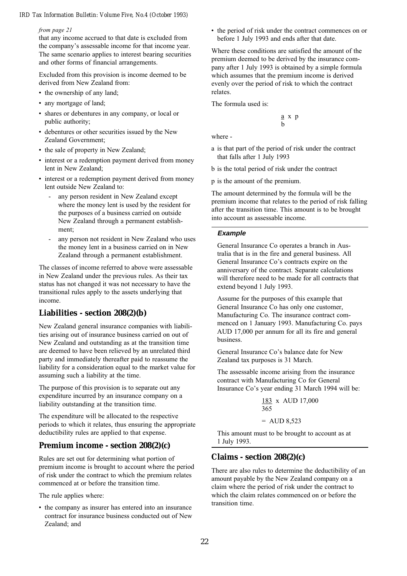#### from page 21

that any income accrued to that date is excluded from the company's assessable income for that income year. The same scenario applies to interest bearing securities and other forms of financial arrangements.

Excluded from this provision is income deemed to be derived from New Zealand from:

- the ownership of any land;
- any mortgage of land;
- shares or debentures in any company, or local or public authority;
- debentures or other securities issued by the New Zealand Government;
- the sale of property in New Zealand;
- interest or a redemption payment derived from money lent in New Zealand;
- interest or a redemption payment derived from money lent outside New Zealand to:
	- any person resident in New Zealand except where the money lent is used by the resident for the purposes of a business carried on outside New Zealand through a permanent establishment;
	- any person not resident in New Zealand who uses the money lent in a business carried on in New Zealand through a permanent establishment.

The classes of income referred to above were assessable in New Zealand under the previous rules. As their tax status has not changed it was not necessary to have the transitional rules apply to the assets underlying that income.

### **Liabilities - section 208(2)(b)**

New Zealand general insurance companies with liabilities arising out of insurance business carried on out of New Zealand and outstanding as at the transition time are deemed to have been relieved by an unrelated third party and immediately thereafter paid to reassume the liability for a consideration equal to the market value for assuming such a liability at the time.

The purpose of this provision is to separate out any expenditure incurred by an insurance company on a liability outstanding at the transition time.

The expenditure will be allocated to the respective periods to which it relates, thus ensuring the appropriate deductibility rules are applied to that expense.

### **Premium income - section 208(2)(c)**

Rules are set out for determining what portion of premium income is brought to account where the period of risk under the contract to which the premium relates commenced at or before the transition time.

The rule applies where:

• the company as insurer has entered into an insurance contract for insurance business conducted out of New Zealand; and

• the period of risk under the contract commences on or before 1 July 1993 and ends after that date.

Where these conditions are satisfied the amount of the premium deemed to be derived by the insurance company after 1 July 1993 is obtained by a simple formula which assumes that the premium income is derived evenly over the period of risk to which the contract relates.

The formula used is:

$$
\begin{array}{c}\underline{a} \ x \ p \\ b \end{array}
$$

where -

- a is that part of the period of risk under the contract that falls after 1 July 1993
- b is the total period of risk under the contract

p is the amount of the premium.

The amount determined by the formula will be the premium income that relates to the period of risk falling after the transition time. This amount is to be brought into account as assessable income.

### **Example**

General Insurance Co operates a branch in Australia that is in the fire and general business. All General Insurance Co's contracts expire on the anniversary of the contract. Separate calculations will therefore need to be made for all contracts that extend beyond 1 July 1993.

Assume for the purposes of this example that General Insurance Co has only one customer, Manufacturing Co. The insurance contract commenced on 1 January 1993. Manufacturing Co. pays AUD 17,000 per annum for all its fire and general business.

General Insurance Co's balance date for New Zealand tax purposes is 31 March.

The assessable income arising from the insurance contract with Manufacturing Co for General Insurance Co's year ending 31 March 1994 will be:

$$
\frac{183}{365} \times \text{AUD} \, 17,000
$$
\n
$$
= \text{AUD} \, 8,523
$$

This amount must to be brought to account as at 1 July 1993.

### **Claims - section 208(2)(c)**

There are also rules to determine the deductibility of an amount payable by the New Zealand company on a claim where the period of risk under the contract to which the claim relates commenced on or before the transition time.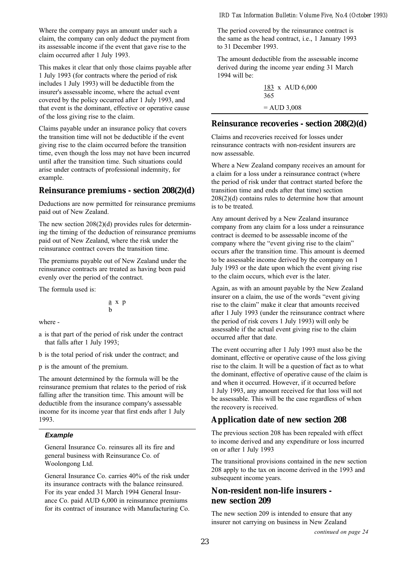Where the company pays an amount under such a claim, the company can only deduct the payment from its assessable income if the event that gave rise to the claim occurred after 1 July 1993.

This makes it clear that only those claims payable after 1 July 1993 (for contracts where the period of risk includes 1 July 1993) will be deductible from the insurer's assessable income, where the actual event covered by the policy occurred after 1 July 1993, and that event is the dominant, effective or operative cause of the loss giving rise to the claim.

Claims payable under an insurance policy that covers the transition time will not be deductible if the event giving rise to the claim occurred before the transition time, even though the loss may not have been incurred until after the transition time. Such situations could arise under contracts of professional indemnity, for example.

### **Reinsurance premiums - section 208(2)(d)**

Deductions are now permitted for reinsurance premiums paid out of New Zealand.

The new section 208(2)(d) provides rules for determining the timing of the deduction of reinsurance premiums paid out of New Zealand, where the risk under the reinsurance contract covers the transition time.

The premiums payable out of New Zealand under the reinsurance contracts are treated as having been paid evenly over the period of the contract.

The formula used is:

$$
\begin{array}{c}\underline{a} \ x \ p \\ b \end{array}
$$

where -

a is that part of the period of risk under the contract that falls after 1 July 1993;

b is the total period of risk under the contract; and

p is the amount of the premium.

The amount determined by the formula will be the reinsurance premium that relates to the period of risk falling after the transition time. This amount will be deductible from the insurance company's assessable income for its income year that first ends after 1 July 1993.

### **Example**

General Insurance Co. reinsures all its fire and general business with Reinsurance Co. of Woolongong Ltd.

General Insurance Co. carries 40% of the risk under its insurance contracts with the balance reinsured. For its year ended 31 March 1994 General Insurance Co. paid AUD 6,000 in reinsurance premiums for its contract of insurance with Manufacturing Co. The period covered by the reinsurance contract is the same as the head contract, i.e., 1 January 1993 to 31 December 1993.

The amount deductible from the assessable income derived during the income year ending 31 March 1994 will be:

> 183 x AUD 6,000 365 = AUD 3,008

### **Reinsurance recoveries - section 208(2)(d)**

Claims and recoveries received for losses under reinsurance contracts with non-resident insurers are now assessable.

Where a New Zealand company receives an amount for a claim for a loss under a reinsurance contract (where the period of risk under that contract started before the transition time and ends after that time) section 208(2)(d) contains rules to determine how that amount is to be treated.

Any amount derived by a New Zealand insurance company from any claim for a loss under a reinsurance contract is deemed to be assessable income of the company where the "event giving rise to the claim" occurs after the transition time. This amount is deemed to be assessable income derived by the company on 1 July 1993 or the date upon which the event giving rise to the claim occurs, which ever is the later.

Again, as with an amount payable by the New Zealand insurer on a claim, the use of the words "event giving" rise to the claim" make it clear that amounts received after 1 July 1993 (under the reinsurance contract where the period of risk covers 1 July 1993) will only be assessable if the actual event giving rise to the claim occurred after that date.

The event occurring after 1 July 1993 must also be the dominant, effective or operative cause of the loss giving rise to the claim. It will be a question of fact as to what the dominant, effective of operative cause of the claim is and when it occurred. However, if it occurred before 1 July 1993, any amount received for that loss will not be assessable. This will be the case regardless of when the recovery is received.

### **Application date of new section 208**

The previous section 208 has been repealed with effect to income derived and any expenditure or loss incurred on or after 1 July 1993

The transitional provisions contained in the new section 208 apply to the tax on income derived in the 1993 and subsequent income years.

### **Non-resident non-life insurers new section 209**

The new section 209 is intended to ensure that any insurer not carrying on business in New Zealand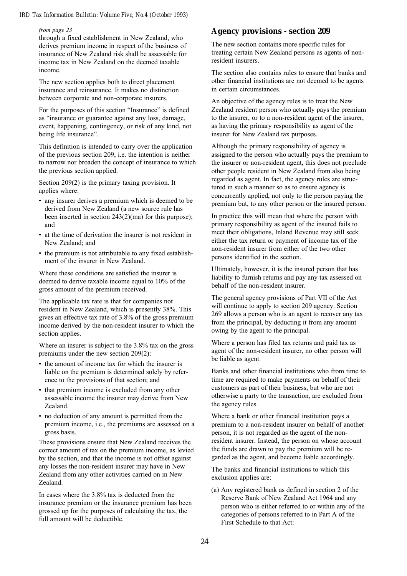#### from page 23

through a fixed establishment in New Zealand, who derives premium income in respect of the business of insurance of New Zealand risk shall be assessable for income tax in New Zealand on the deemed taxable income.

The new section applies both to direct placement insurance and reinsurance. It makes no distinction between corporate and non-corporate insurers.

For the purposes of this section "Insurance" is defined as "insurance or guarantee against any loss, damage, event, happening, contingency, or risk of any kind, not being life insurance".

This definition is intended to carry over the application of the previous section 209, i.e. the intention is neither to narrow nor broaden the concept of insurance to which the previous section applied.

Section 209(2) is the primary taxing provision. It applies where:

- any insurer derives a premium which is deemed to be derived from New Zealand (a new source rule has been inserted in section 243(2)(ma) for this purpose); and
- at the time of derivation the insurer is not resident in New Zealand; and
- the premium is not attributable to any fixed establishment of the insurer in New Zealand.

Where these conditions are satisfied the insurer is deemed to derive taxable income equal to 10% of the gross amount of the premium received.

The applicable tax rate is that for companies not resident in New Zealand, which is presently 38%. This gives an effective tax rate of 3.8% of the gross premium income derived by the non-resident insurer to which the section applies.

Where an insurer is subject to the 3.8% tax on the gross premiums under the new section 209(2):

- the amount of income tax for which the insurer is liable on the premium is determined solely by reference to the provisions of that section; and
- that premium income is excluded from any other assessable income the insurer may derive from New Zealand.
- no deduction of any amount is permitted from the premium income, i.e., the premiums are assessed on a gross basis.

These provisions ensure that New Zealand receives the correct amount of tax on the premium income, as levied by the section, and that the income is not offset against any losses the non-resident insurer may have in New Zealand from any other activities carried on in New Zealand.

In cases where the 3.8% tax is deducted from the insurance premium or the insurance premium has been grossed up for the purposes of calculating the tax, the full amount will be deductible.

### **Agency provisions - section 209**

The new section contains more specific rules for treating certain New Zealand persons as agents of nonresident insurers.

The section also contains rules to ensure that banks and other financial institutions are not deemed to be agents in certain circumstances.

An objective of the agency rules is to treat the New Zealand resident person who actually pays the premium to the insurer, or to a non-resident agent of the insurer, as having the primary responsibility as agent of the insurer for New Zealand tax purposes.

Although the primary responsibility of agency is assigned to the person who actually pays the premium to the insurer or non-resident agent, this does not preclude other people resident in New Zealand from also being regarded as agent. In fact, the agency rules are structured in such a manner so as to ensure agency is concurrently applied, not only to the person paying the premium but, to any other person or the insured person.

In practice this will mean that where the person with primary responsibility as agent of the insured fails to meet their obligations, Inland Revenue may still seek either the tax return or payment of income tax of the non-resident insurer from either of the two other persons identified in the section.

Ultimately, however, it is the insured person that has liability to furnish returns and pay any tax assessed on behalf of the non-resident insurer.

The general agency provisions of Part VII of the Act will continue to apply to section 209 agency. Section 269 allows a person who is an agent to recover any tax from the principal, by deducting it from any amount owing by the agent to the principal.

Where a person has filed tax returns and paid tax as agent of the non-resident insurer, no other person will be liable as agent.

Banks and other financial institutions who from time to time are required to make payments on behalf of their customers as part of their business, but who are not otherwise a party to the transaction, are excluded from the agency rules.

Where a bank or other financial institution pays a premium to a non-resident insurer on behalf of another person, it is not regarded as the agent of the nonresident insurer. Instead, the person on whose account the funds are drawn to pay the premium will be regarded as the agent, and become liable accordingly.

The banks and financial institutions to which this exclusion applies are:

(a) Any registered bank as defined in section 2 of the Reserve Bank of New Zealand Act 1964 and any person who is either referred to or within any of the categories of persons referred to in Part A of the First Schedule to that Act: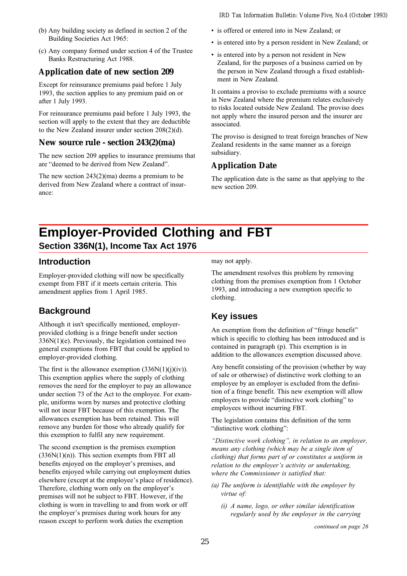- (b) Any building society as defined in section 2 of the Building Societies Act 1965:
- (c) Any company formed under section 4 of the Trustee Banks Restructuring Act 1988.

## **Application date of new section 209**

Except for reinsurance premiums paid before 1 July 1993, the section applies to any premium paid on or after 1 July 1993.

For reinsurance premiums paid before 1 July 1993, the section will apply to the extent that they are deductible to the New Zealand insurer under section 208(2)(d).

### **New source rule - section 243(2)(ma)**

The new section 209 applies to insurance premiums that are "deemed to be derived from New Zealand".

The new section 243(2)(ma) deems a premium to be derived from New Zealand where a contract of insurance:

- is offered or entered into in New Zealand; or
- is entered into by a person resident in New Zealand; or
- is entered into by a person not resident in New Zealand, for the purposes of a business carried on by the person in New Zealand through a fixed establishment in New Zealand.

It contains a proviso to exclude premiums with a source in New Zealand where the premium relates exclusively to risks located outside New Zealand. The proviso does not apply where the insured person and the insurer are associated.

The proviso is designed to treat foreign branches of New Zealand residents in the same manner as a foreign subsidiary.

## **Application Date**

The application date is the same as that applying to the new section 209.

## **Employer-Provided Clothing and FBT Section 336N(1), Income Tax Act 1976**

### **Introduction**

Employer-provided clothing will now be specifically exempt from FBT if it meets certain criteria. This amendment applies from 1 April 1985.

## **Background**

Although it isn't specifically mentioned, employerprovided clothing is a fringe benefit under section 336N(1)(e). Previously, the legislation contained two general exemptions from FBT that could be applied to employer-provided clothing.

The first is the allowance exemption  $(336N(1)(j)(iv))$ . This exemption applies where the supply of clothing removes the need for the employer to pay an allowance under section 73 of the Act to the employee. For example, uniforms worn by nurses and protective clothing will not incur FBT because of this exemption. The allowances exemption has been retained. This will remove any burden for those who already qualify for this exemption to fulfil any new requirement.

The second exemption is the premises exemption  $(336N(1)(n))$ . This section exempts from FBT all benefits enjoyed on the employer's premises, and benefits enjoyed while carrying out employment duties elsewhere (except at the employee's place of residence). Therefore, clothing worn only on the employer's premises will not be subject to FBT. However, if the clothing is worn in travelling to and from work or off the employer's premises during work hours for any reason except to perform work duties the exemption

may not apply.

The amendment resolves this problem by removing clothing from the premises exemption from 1 October 1993, and introducing a new exemption specific to clothing.

## **Key issues**

An exemption from the definition of "fringe benefit" which is specific to clothing has been introduced and is contained in paragraph (p). This exemption is in addition to the allowances exemption discussed above.

Any benefit consisting of the provision (whether by way of sale or otherwise) of distinctive work clothing to an employee by an employer is excluded from the definition of a fringe benefit. This new exemption will allow employers to provide "distinctive work clothing" to employees without incurring FBT.

The legislation contains this definition of the term "distinctive work clothing":

"Distinctive work clothing", in relation to an employer, means any clothing (which may be a single item of clothing) that forms part of or constitutes a uniform in relation to the employer's activity or undertaking, where the Commissioner is satisfied that:

- (a) The uniform is identifiable with the employer by virtue of:
	- (i) A name, logo, or other similar identification regularly used by the employer in the carrying

continued on page 26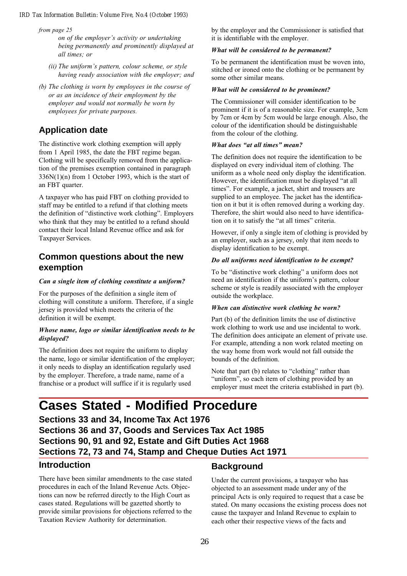from page 25

on of the employer's activity or undertaking being permanently and prominently displayed at all times; or

- $(ii)$  The uniform's pattern, colour scheme, or style having ready association with the employer; and
- (b) The clothing is worn by employees in the course of or as an incidence of their employment by the employer and would not normally be worn by employees for private purposes.

## **Application date**

The distinctive work clothing exemption will apply from 1 April 1985, the date the FBT regime began. Clothing will be specifically removed from the application of the premises exemption contained in paragraph 336N(1)(n) from 1 October 1993, which is the start of an FBT quarter.

A taxpayer who has paid FBT on clothing provided to staff may be entitled to a refund if that clothing meets the definition of "distinctive work clothing". Employers who think that they may be entitled to a refund should contact their local Inland Revenue office and ask for Taxpayer Services.

## **Common questions about the new exemption**

### Can a single item of clothing constitute a uniform?

For the purposes of the definition a single item of clothing will constitute a uniform. Therefore, if a single jersey is provided which meets the criteria of the definition it will be exempt.

### Whose name, logo or similar identification needs to be displayed?

The definition does not require the uniform to display the name, logo or similar identification of the employer; it only needs to display an identification regularly used by the employer. Therefore, a trade name, name of a franchise or a product will suffice if it is regularly used

by the employer and the Commissioner is satisfied that it is identifiable with the employer.

### What will be considered to be permanent?

To be permanent the identification must be woven into, stitched or ironed onto the clothing or be permanent by some other similar means.

### What will be considered to be prominent?

The Commissioner will consider identification to be prominent if it is of a reasonable size. For example, 3cm by 7cm or 4cm by 5cm would be large enough. Also, the colour of the identification should be distinguishable from the colour of the clothing.

### What does "at all times" mean?

The definition does not require the identification to be displayed on every individual item of clothing. The uniform as a whole need only display the identification. However, the identification must be displayed "at all times". For example, a jacket, shirt and trousers are supplied to an employee. The jacket has the identification on it but it is often removed during a working day. Therefore, the shirt would also need to have identification on it to satisfy the "at all times" criteria.

However, if only a single item of clothing is provided by an employer, such as a jersey, only that item needs to display identification to be exempt.

### Do all uniforms need identification to be exempt?

To be "distinctive work clothing" a uniform does not need an identification if the uniform's pattern, colour scheme or style is readily associated with the employer outside the workplace.

### When can distinctive work clothing be worn?

Part (b) of the definition limits the use of distinctive work clothing to work use and use incidental to work. The definition does anticipate an element of private use. For example, attending a non work related meeting on the way home from work would not fall outside the bounds of the definition.

Note that part (b) relates to "clothing" rather than "uniform", so each item of clothing provided by an employer must meet the criteria established in part (b).

## **Cases Stated - Modified Procedure**

**Sections 33 and 34, Income Tax Act 1976 Sections 36 and 37, Goods and Services Tax Act 1985 Sections 90, 91 and 92, Estate and Gift Duties Act 1968 Sections 72, 73 and 74, Stamp and Cheque Duties Act 1971**

### **Introduction**

There have been similar amendments to the case stated procedures in each of the Inland Revenue Acts. Objections can now be referred directly to the High Court as cases stated. Regulations will be gazetted shortly to provide similar provisions for objections referred to the Taxation Review Authority for determination.

### **Background**

Under the current provisions, a taxpayer who has objected to an assessment made under any of the principal Acts is only required to request that a case be stated. On many occasions the existing process does not cause the taxpayer and Inland Revenue to explain to each other their respective views of the facts and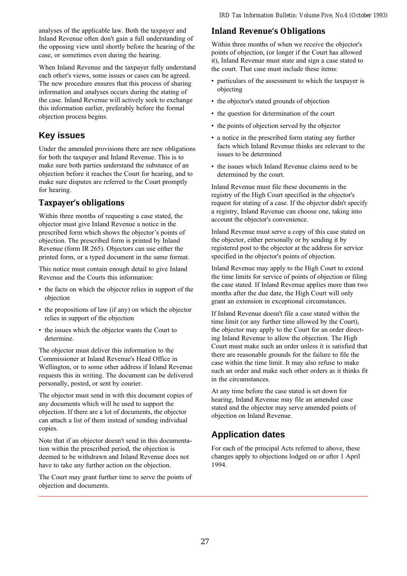analyses of the applicable law. Both the taxpayer and Inland Revenue often don't gain a full understanding of the opposing view until shortly before the hearing of the case, or sometimes even during the hearing.

When Inland Revenue and the taxpayer fully understand each other's views, some issues or cases can be agreed. The new procedure ensures that this process of sharing information and analyses occurs during the stating of the case. Inland Revenue will actively seek to exchange this information earlier, preferably before the formal objection process begins.

## **Key issues**

Under the amended provisions there are new obligations for both the taxpayer and Inland Revenue. This is to make sure both parties understand the substance of an objection before it reaches the Court for hearing, and to make sure disputes are referred to the Court promptly for hearing.

### **Taxpayer's obligations**

Within three months of requesting a case stated, the objector must give Inland Revenue a notice in the prescribed form which shows the objector's points of objection. The prescribed form is printed by Inland Revenue (form IR 265). Objectors can use either the printed form, or a typed document in the same format.

This notice must contain enough detail to give Inland Revenue and the Courts this information:

- the facts on which the objector relies in support of the objection
- the propositions of law (if any) on which the objector relies in support of the objection
- the issues which the objector wants the Court to determine.

The objector must deliver this information to the Commissioner at Inland Revenue's Head Office in Wellington, or to some other address if Inland Revenue requests this in writing. The document can be delivered personally, posted, or sent by courier.

The objector must send in with this document copies of any documents which will be used to support the objection. If there are a lot of documents, the objector can attach a list of them instead of sending individual copies.

Note that if an objector doesn't send in this documentation within the prescribed period, the objection is deemed to be withdrawn and Inland Revenue does not have to take any further action on the objection.

The Court may grant further time to serve the points of objection and documents.

### **Inland Revenue's Obligations**

Within three months of when we receive the objector's points of objection, (or longer if the Court has allowed it), Inland Revenue must state and sign a case stated to the court. That case must include these items:

- particulars of the assessment to which the taxpayer is objecting
- the objector's stated grounds of objection
- the question for determination of the court
- the points of objection served by the objector
- a notice in the prescribed form stating any further facts which Inland Revenue thinks are relevant to the issues to be determined
- the issues which Inland Revenue claims need to be determined by the court.

Inland Revenue must file these documents in the registry of the High Court specified in the objector's request for stating of a case. If the objector didn't specify a registry, Inland Revenue can choose one, taking into account the objector's convenience.

Inland Revenue must serve a copy of this case stated on the objector, either personally or by sending it by registered post to the objector at the address for service specified in the objector's points of objection.

Inland Revenue may apply to the High Court to extend the time limits for service of points of objection or filing the case stated. If Inland Revenue applies more than two months after the due date, the High Court will only grant an extension in exceptional circumstances.

If Inland Revenue doesn't file a case stated within the time limit (or any further time allowed by the Court), the objector may apply to the Court for an order directing Inland Revenue to allow the objection. The High Court must make such an order unless it is satisfied that there are reasonable grounds for the failure to file the case within the time limit. It may also refuse to make such an order and make such other orders as it thinks fit in the circumstances.

At any time before the case stated is set down for hearing, Inland Revenue may file an amended case stated and the objector may serve amended points of objection on Inland Revenue.

## **Application dates**

For each of the principal Acts referred to above, these changes apply to objections lodged on or after 1 April 1994.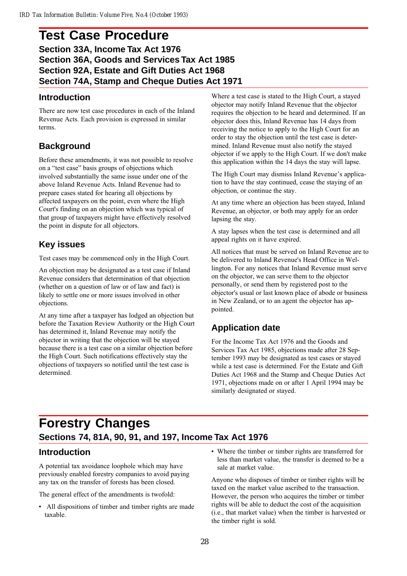## **Test Case Procedure Section 33A, Income Tax Act 1976 Section 36A, Goods and Services Tax Act 1985 Section 92A, Estate and Gift Duties Act 1968 Section 74A, Stamp and Cheque Duties Act 1971**

### **Introduction**

There are now test case procedures in each of the Inland Revenue Acts. Each provision is expressed in similar terms.

## **Background**

Before these amendments, it was not possible to resolve on a "test case" basis groups of objections which involved substantially the same issue under one of the above Inland Revenue Acts. Inland Revenue had to prepare cases stated for hearing all objections by affected taxpayers on the point, even where the High Court's finding on an objection which was typical of that group of taxpayers might have effectively resolved the point in dispute for all objectors.

## **Key issues**

Test cases may be commenced only in the High Court.

An objection may be designated as a test case if Inland Revenue considers that determination of that objection (whether on a question of law or of law and fact) is likely to settle one or more issues involved in other objections.

At any time after a taxpayer has lodged an objection but before the Taxation Review Authority or the High Court has determined it, Inland Revenue may notify the objector in writing that the objection will be stayed because there is a test case on a similar objection before the High Court. Such notifications effectively stay the objections of taxpayers so notified until the test case is determined.

Where a test case is stated to the High Court, a stayed objector may notify Inland Revenue that the objector requires the objection to be heard and determined. If an objector does this, Inland Revenue has 14 days from receiving the notice to apply to the High Court for an order to stay the objection until the test case is determined. Inland Revenue must also notify the stayed objector if we apply to the High Court. If we don't make this application within the 14 days the stay will lapse.

The High Court may dismiss Inland Revenue's application to have the stay continued, cease the staying of an objection, or continue the stay.

At any time where an objection has been stayed, Inland Revenue, an objector, or both may apply for an order lapsing the stay.

A stay lapses when the test case is determined and all appeal rights on it have expired.

All notices that must be served on Inland Revenue are to be delivered to Inland Revenue's Head Office in Wellington. For any notices that Inland Revenue must serve on the objector, we can serve them to the objector personally, or send them by registered post to the objector's usual or last known place of abode or business in New Zealand, or to an agent the objector has appointed.

## **Application date**

For the Income Tax Act 1976 and the Goods and Services Tax Act 1985, objections made after 28 September 1993 may be designated as test cases or stayed while a test case is determined. For the Estate and Gift Duties Act 1968 and the Stamp and Cheque Duties Act 1971, objections made on or after 1 April 1994 may be similarly designated or stayed.

## **Forestry Changes Sections 74, 81A, 90, 91, and 197, Income Tax Act 1976**

## **Introduction**

A potential tax avoidance loophole which may have previously enabled forestry companies to avoid paying any tax on the transfer of forests has been closed.

The general effect of the amendments is twofold:

- All dispositions of timber and timber rights are made taxable.
- Where the timber or timber rights are transferred for less than market value, the transfer is deemed to be a sale at market value.

Anyone who disposes of timber or timber rights will be taxed on the market value ascribed to the transaction. However, the person who acquires the timber or timber rights will be able to deduct the cost of the acquisition (i.e., that market value) when the timber is harvested or the timber right is sold.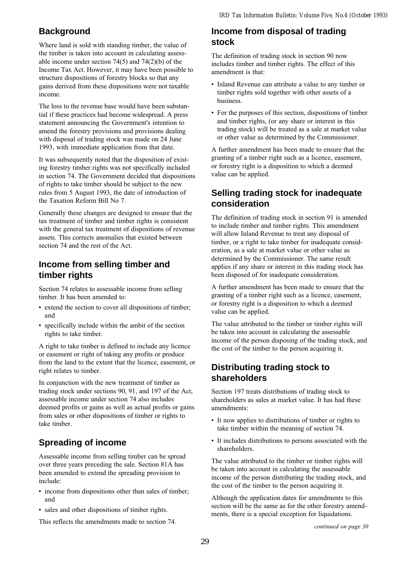## **Background**

Where land is sold with standing timber, the value of the timber is taken into account in calculating assessable income under section 74(5) and 74(2)(b) of the Income Tax Act. However, it may have been possible to structure dispositions of forestry blocks so that any gains derived from these dispositions were not taxable income.

The loss to the revenue base would have been substantial if these practices had become widespread. A press statement announcing the Government's intention to amend the forestry provisions and provisions dealing with disposal of trading stock was made on 24 June 1993, with immediate application from that date.

It was subsequently noted that the disposition of existing forestry timber rights was not specifically included in section 74. The Government decided that dispositions of rights to take timber should be subject to the new rules from 5 August 1993, the date of introduction of the Taxation Reform Bill No 7.

Generally these changes are designed to ensure that the tax treatment of timber and timber rights is consistent with the general tax treatment of dispositions of revenue assets. This corrects anomalies that existed between section 74 and the rest of the Act.

## **Income from selling timber and timber rights**

Section 74 relates to assessable income from selling timber. It has been amended to:

- extend the section to cover all dispositions of timber; and
- specifically include within the ambit of the section rights to take timber.

A right to take timber is defined to include any licence or easement or right of taking any profits or produce from the land to the extent that the licence, easement, or right relates to timber.

In conjunction with the new treatment of timber as trading stock under sections 90, 91, and 197 of the Act, assessable income under section 74 also includes deemed profits or gains as well as actual profits or gains from sales or other dispositions of timber or rights to take timber.

## **Spreading of income**

Assessable income from selling timber can be spread over three years preceding the sale. Section 81A has been amended to extend the spreading provision to include:

- income from dispositions other than sales of timber; and
- sales and other dispositions of timber rights.

This reflects the amendments made to section 74.

## **Income from disposal of trading stock**

The definition of trading stock in section 90 now includes timber and timber rights. The effect of this amendment is that:

- Inland Revenue can attribute a value to any timber or timber rights sold together with other assets of a business.
- For the purposes of this section, dispositions of timber and timber rights, (or any share or interest in this trading stock) will be treated as a sale at market value or other value as determined by the Commissioner.

A further amendment has been made to ensure that the granting of a timber right such as a licence, easement, or forestry right is a disposition to which a deemed value can be applied.

## **Selling trading stock for inadequate consideration**

The definition of trading stock in section 91 is amended to include timber and timber rights. This amendment will allow Inland Revenue to treat any disposal of timber, or a right to take timber for inadequate consideration, as a sale at market value or other value as determined by the Commissioner. The same result applies if any share or interest in this trading stock has been disposed of for inadequate consideration.

A further amendment has been made to ensure that the granting of a timber right such as a licence, easement, or forestry right is a disposition to which a deemed value can be applied.

The value attributed to the timber or timber rights will be taken into account in calculating the assessable income of the person disposing of the trading stock, and the cost of the timber to the person acquiring it.

## **Distributing trading stock to shareholders**

Section 197 treats distributions of trading stock to shareholders as sales at market value. It has had these amendments:

- It now applies to distributions of timber or rights to take timber within the meaning of section 74.
- It includes distributions to persons associated with the shareholders.

The value attributed to the timber or timber rights will be taken into account in calculating the assessable income of the person distributing the trading stock, and the cost of the timber to the person acquiring it.

Although the application dates for amendments to this section will be the same as for the other forestry amendments, there is a special exception for liquidations.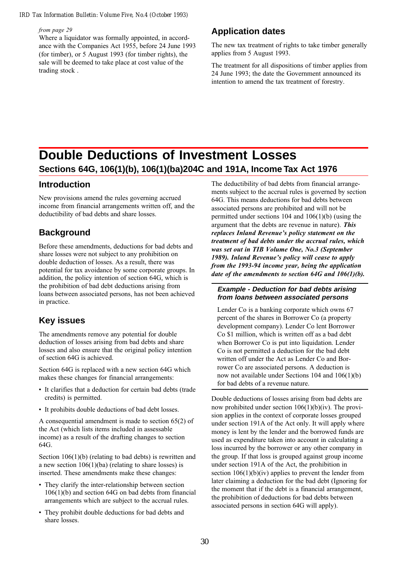#### from page 29

Where a liquidator was formally appointed, in accordance with the Companies Act 1955, before 24 June 1993 (for timber), or 5 August 1993 (for timber rights), the sale will be deemed to take place at cost value of the trading stock .

### **Application dates**

The new tax treatment of rights to take timber generally applies from 5 August 1993.

The treatment for all dispositions of timber applies from 24 June 1993; the date the Government announced its intention to amend the tax treatment of forestry.

## **Double Deductions of Investment Losses Sections 64G, 106(1)(b), 106(1)(ba)204C and 191A, Income Tax Act 1976**

### **Introduction**

New provisions amend the rules governing accrued income from financial arrangements written off, and the deductibility of bad debts and share losses.

## **Background**

Before these amendments, deductions for bad debts and share losses were not subject to any prohibition on double deduction of losses. As a result, there was potential for tax avoidance by some corporate groups. In addition, the policy intention of section 64G, which is the prohibition of bad debt deductions arising from loans between associated persons, has not been achieved in practice.

## **Key issues**

The amendments remove any potential for double deduction of losses arising from bad debts and share losses and also ensure that the original policy intention of section 64G is achieved.

Section 64G is replaced with a new section 64G which makes these changes for financial arrangements:

- It clarifies that a deduction for certain bad debts (trade credits) is permitted.
- It prohibits double deductions of bad debt losses.

A consequential amendment is made to section 65(2) of the Act (which lists items included in assessable income) as a result of the drafting changes to section 64G.

Section 106(1)(b) (relating to bad debts) is rewritten and a new section 106(1)(ba) (relating to share losses) is inserted. These amendments make these changes:

- They clarify the inter-relationship between section 106(1)(b) and section 64G on bad debts from financial arrangements which are subject to the accrual rules.
- They prohibit double deductions for bad debts and share losses.

The deductibility of bad debts from financial arrangements subject to the accrual rules is governed by section 64G. This means deductions for bad debts between associated persons are prohibited and will not be permitted under sections 104 and 106(1)(b) (using the argument that the debts are revenue in nature). This replaces Inland Revenue's policy statement on the treatment of bad debts under the accrual rules, which was set out in TIB Volume One, No.3 (September 1989). Inland Revenue's policy will cease to apply from the 1993-94 income year, being the application date of the amendments to section 64G and 106(1)(b).

### **Example - Deduction for bad debts arising from loans between associated persons**

Lender Co is a banking corporate which owns 67 percent of the shares in Borrower Co (a property development company). Lender Co lent Borrower Co \$1 million, which is written off as a bad debt when Borrower Co is put into liquidation. Lender Co is not permitted a deduction for the bad debt written off under the Act as Lender Co and Borrower Co are associated persons. A deduction is now not available under Sections 104 and 106(1)(b) for bad debts of a revenue nature.

Double deductions of losses arising from bad debts are now prohibited under section 106(1)(b)(iv). The provision applies in the context of corporate losses grouped under section 191A of the Act only. It will apply where money is lent by the lender and the borrowed funds are used as expenditure taken into account in calculating a loss incurred by the borrower or any other company in the group. If that loss is grouped against group income under section 191A of the Act, the prohibition in section  $106(1)(b)(iv)$  applies to prevent the lender from later claiming a deduction for the bad debt (Ignoring for the moment that if the debt is a financial arrangement, the prohibition of deductions for bad debts between associated persons in section 64G will apply).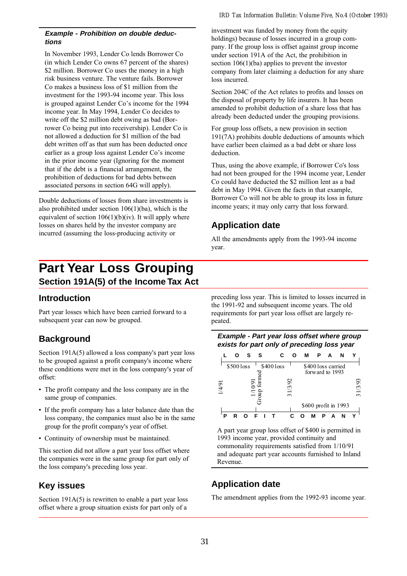### **Example - Prohibition on double deductions**

In November 1993, Lender Co lends Borrower Co (in which Lender Co owns 67 percent of the shares) \$2 million. Borrower Co uses the money in a high risk business venture. The venture fails. Borrower Co makes a business loss of \$1 million from the investment for the 1993-94 income year. This loss is grouped against Lender Co's income for the 1994 income year. In May 1994, Lender Co decides to write off the \$2 million debt owing as bad (Borrower Co being put into receivership). Lender Co is not allowed a deduction for \$1 million of the bad debt written off as that sum has been deducted once earlier as a group loss against Lender Co's income in the prior income year (Ignoring for the moment that if the debt is a financial arrangement, the prohibition of deductions for bad debts between associated persons in section 64G will apply).

Double deductions of losses from share investments is also prohibited under section 106(1)(ba), which is the equivalent of section  $106(1)(b)(iv)$ . It will apply where losses on shares held by the investor company are incurred (assuming the loss-producing activity or

### investment was funded by money from the equity holdings) because of losses incurred in a group company. If the group loss is offset against group income under section 191A of the Act, the prohibition in section 106(1)(ba) applies to prevent the investor company from later claiming a deduction for any share loss incurred.

Section 204C of the Act relates to profits and losses on the disposal of property by life insurers. It has been amended to prohibit deduction of a share loss that has already been deducted under the grouping provisions.

For group loss offsets, a new provision in section 191(7A) prohibits double deductions of amounts which have earlier been claimed as a bad debt or share loss deduction.

Thus, using the above example, if Borrower Co's loss had not been grouped for the 1994 income year, Lender Co could have deducted the \$2 million lent as a bad debt in May 1994. Given the facts in that example, Borrower Co will not be able to group its loss in future income years; it may only carry that loss forward.

## **Application date**

All the amendments apply from the 1993-94 income year.

## **Part Year Loss Grouping Section 191A(5) of the Income Tax Act**

## **Introduction**

Part year losses which have been carried forward to a subsequent year can now be grouped.

## **Background**

Section 191A(5) allowed a loss company's part year loss to be grouped against a profit company's income where these conditions were met in the loss company's year of offset:

- The profit company and the loss company are in the same group of companies.
- If the profit company has a later balance date than the loss company, the companies must also be in the same group for the profit company's year of offset.
- Continuity of ownership must be maintained.

This section did not allow a part year loss offset where the companies were in the same group for part only of the loss company's preceding loss year.

## **Key issues**

Section 191A(5) is rewritten to enable a part year loss offset where a group situation exists for part only of a preceding loss year. This is limited to losses incurred in the 1991-92 and subsequent income years. The old requirements for part year loss offset are largely repeated.





A part year group loss offset of \$400 is permitted in 1993 income year, provided continuity and commonality requirements satisfied from 1/10/91 and adequate part year accounts furnished to Inland Revenue.

## **Application date**

The amendment applies from the 1992-93 income year.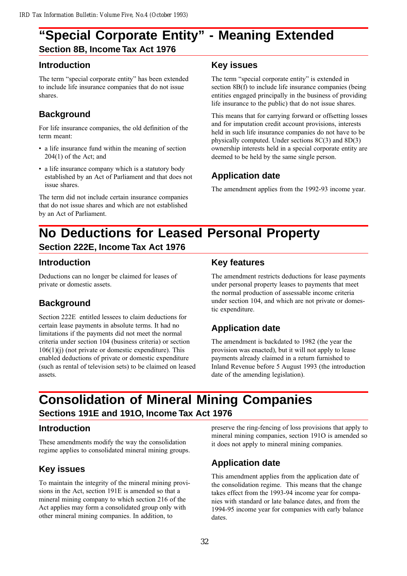## **"Special Corporate Entity" - Meaning Extended Section 8B, Income Tax Act 1976**

## **Introduction**

The term "special corporate entity" has been extended to include life insurance companies that do not issue shares.

## **Background**

For life insurance companies, the old definition of the term meant:

- a life insurance fund within the meaning of section 204(1) of the Act; and
- a life insurance company which is a statutory body established by an Act of Parliament and that does not issue shares.

The term did not include certain insurance companies that do not issue shares and which are not established by an Act of Parliament.

## **Key issues**

The term "special corporate entity" is extended in section 8B(f) to include life insurance companies (being entities engaged principally in the business of providing life insurance to the public) that do not issue shares.

This means that for carrying forward or offsetting losses and for imputation credit account provisions, interests held in such life insurance companies do not have to be physically computed. Under sections 8C(3) and 8D(3) ownership interests held in a special corporate entity are deemed to be held by the same single person.

## **Application date**

The amendment applies from the 1992-93 income year.

## **No Deductions for Leased Personal Property Section 222E, Income Tax Act 1976**

## **Introduction**

Deductions can no longer be claimed for leases of private or domestic assets.

## **Background**

Section 222E entitled lessees to claim deductions for certain lease payments in absolute terms. It had no limitations if the payments did not meet the normal criteria under section 104 (business criteria) or section  $106(1)(j)$  (not private or domestic expenditure). This enabled deductions of private or domestic expenditure (such as rental of television sets) to be claimed on leased assets.

## **Key features**

The amendment restricts deductions for lease payments under personal property leases to payments that meet the normal production of assessable income criteria under section 104, and which are not private or domestic expenditure.

## **Application date**

The amendment is backdated to 1982 (the year the provision was enacted), but it will not apply to lease payments already claimed in a return furnished to Inland Revenue before 5 August 1993 (the introduction date of the amending legislation).

## **Consolidation of Mineral Mining Companies Sections 191E and 191O, Income Tax Act 1976**

## **Introduction**

These amendments modify the way the consolidation regime applies to consolidated mineral mining groups.

## **Key issues**

To maintain the integrity of the mineral mining provisions in the Act, section 191E is amended so that a mineral mining company to which section 216 of the Act applies may form a consolidated group only with other mineral mining companies. In addition, to

preserve the ring-fencing of loss provisions that apply to mineral mining companies, section 191O is amended so it does not apply to mineral mining companies.

## **Application date**

This amendment applies from the application date of the consolidation regime. This means that the change takes effect from the 1993-94 income year for companies with standard or late balance dates, and from the 1994-95 income year for companies with early balance dates.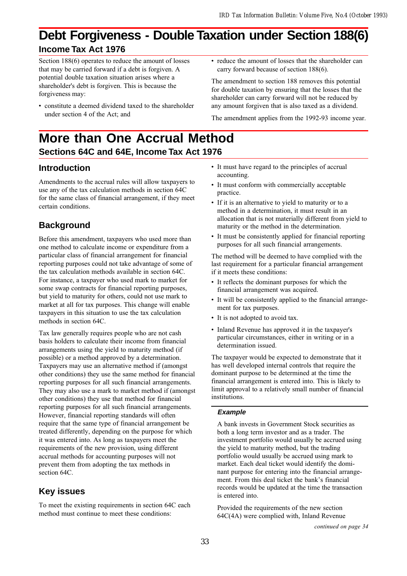## **Debt Forgiveness - Double Taxation under Section 188(6) Income Tax Act 1976**

Section 188(6) operates to reduce the amount of losses that may be carried forward if a debt is forgiven. A potential double taxation situation arises where a shareholder's debt is forgiven. This is because the forgiveness may:

- constitute a deemed dividend taxed to the shareholder under section 4 of the Act; and
- reduce the amount of losses that the shareholder can carry forward because of section 188(6).

The amendment to section 188 removes this potential for double taxation by ensuring that the losses that the shareholder can carry forward will not be reduced by any amount forgiven that is also taxed as a dividend.

The amendment applies from the 1992-93 income year.

**More than One Accrual Method Sections 64C and 64E, Income Tax Act 1976**

## **Introduction**

Amendments to the accrual rules will allow taxpayers to use any of the tax calculation methods in section 64C for the same class of financial arrangement, if they meet certain conditions.

## **Background**

Before this amendment, taxpayers who used more than one method to calculate income or expenditure from a particular class of financial arrangement for financial reporting purposes could not take advantage of some of the tax calculation methods available in section 64C. For instance, a taxpayer who used mark to market for some swap contracts for financial reporting purposes, but yield to maturity for others, could not use mark to market at all for tax purposes. This change will enable taxpayers in this situation to use the tax calculation methods in section 64C.

Tax law generally requires people who are not cash basis holders to calculate their income from financial arrangements using the yield to maturity method (if possible) or a method approved by a determination. Taxpayers may use an alternative method if (amongst other conditions) they use the same method for financial reporting purposes for all such financial arrangements. They may also use a mark to market method if (amongst other conditions) they use that method for financial reporting purposes for all such financial arrangements. However, financial reporting standards will often require that the same type of financial arrangement be treated differently, depending on the purpose for which it was entered into. As long as taxpayers meet the requirements of the new provision, using different accrual methods for accounting purposes will not prevent them from adopting the tax methods in section 64C.

## **Key issues**

To meet the existing requirements in section 64C each method must continue to meet these conditions:

- It must have regard to the principles of accrual accounting.
- It must conform with commercially acceptable practice.
- If it is an alternative to yield to maturity or to a method in a determination, it must result in an allocation that is not materially different from yield to maturity or the method in the determination.
- It must be consistently applied for financial reporting purposes for all such financial arrangements.

The method will be deemed to have complied with the last requirement for a particular financial arrangement if it meets these conditions:

- It reflects the dominant purposes for which the financial arrangement was acquired.
- It will be consistently applied to the financial arrangement for tax purposes.
- It is not adopted to avoid tax.
- Inland Revenue has approved it in the taxpayer's particular circumstances, either in writing or in a determination issued.

The taxpayer would be expected to demonstrate that it has well developed internal controls that require the dominant purpose to be determined at the time the financial arrangement is entered into. This is likely to limit approval to a relatively small number of financial institutions.

### **Example**

A bank invests in Government Stock securities as both a long term investor and as a trader. The investment portfolio would usually be accrued using the yield to maturity method, but the trading portfolio would usually be accrued using mark to market. Each deal ticket would identify the dominant purpose for entering into the financial arrangement. From this deal ticket the bank's financial records would be updated at the time the transaction is entered into.

Provided the requirements of the new section 64C(4A) were complied with, Inland Revenue

continued on page 34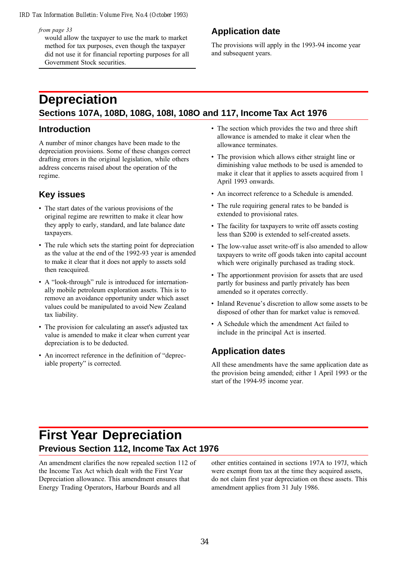from page 33

would allow the taxpayer to use the mark to market method for tax purposes, even though the taxpayer did not use it for financial reporting purposes for all Government Stock securities.

## **Application date**

The provisions will apply in the 1993-94 income year and subsequent years.

## **Depreciation Sections 107A, 108D, 108G, 108I, 108O and 117, Income Tax Act 1976**

### **Introduction**

A number of minor changes have been made to the depreciation provisions. Some of these changes correct drafting errors in the original legislation, while others address concerns raised about the operation of the regime.

## **Key issues**

- The start dates of the various provisions of the original regime are rewritten to make it clear how they apply to early, standard, and late balance date taxpayers.
- The rule which sets the starting point for depreciation as the value at the end of the 1992-93 year is amended to make it clear that it does not apply to assets sold then reacquired.
- A "look-through" rule is introduced for internationally mobile petroleum exploration assets. This is to remove an avoidance opportunity under which asset values could be manipulated to avoid New Zealand tax liability.
- The provision for calculating an asset's adjusted tax value is amended to make it clear when current year depreciation is to be deducted.
- An incorrect reference in the definition of "depreciable property" is corrected.
- The section which provides the two and three shift allowance is amended to make it clear when the allowance terminates.
- The provision which allows either straight line or diminishing value methods to be used is amended to make it clear that it applies to assets acquired from 1 April 1993 onwards.
- An incorrect reference to a Schedule is amended.
- The rule requiring general rates to be banded is extended to provisional rates.
- The facility for taxpayers to write off assets costing less than \$200 is extended to self-created assets.
- The low-value asset write-off is also amended to allow taxpayers to write off goods taken into capital account which were originally purchased as trading stock.
- The apportionment provision for assets that are used partly for business and partly privately has been amended so it operates correctly.
- Inland Revenue's discretion to allow some assets to be disposed of other than for market value is removed.
- A Schedule which the amendment Act failed to include in the principal Act is inserted.

## **Application dates**

All these amendments have the same application date as the provision being amended; either 1 April 1993 or the start of the 1994-95 income year.

## **First Year Depreciation Previous Section 112, Income Tax Act 1976**

An amendment clarifies the now repealed section 112 of the Income Tax Act which dealt with the First Year Depreciation allowance. This amendment ensures that Energy Trading Operators, Harbour Boards and all

other entities contained in sections 197A to 197J, which were exempt from tax at the time they acquired assets, do not claim first year depreciation on these assets. This amendment applies from 31 July 1986.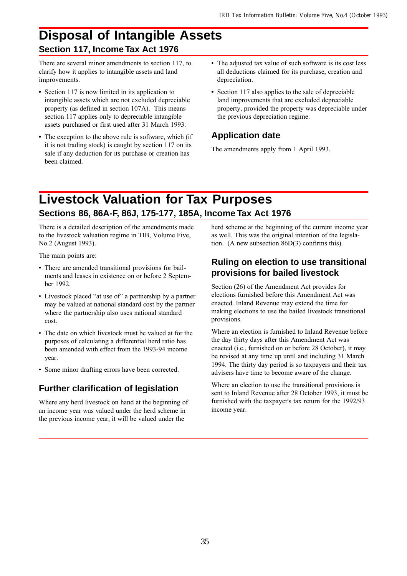## **Disposal of Intangible Assets Section 117, Income Tax Act 1976**

There are several minor amendments to section 117, to clarify how it applies to intangible assets and land improvements.

- Section 117 is now limited in its application to intangible assets which are not excluded depreciable property (as defined in section 107A). This means section 117 applies only to depreciable intangible assets purchased or first used after 31 March 1993.
- The exception to the above rule is software, which (if it is not trading stock) is caught by section 117 on its sale if any deduction for its purchase or creation has been claimed.
- The adjusted tax value of such software is its cost less all deductions claimed for its purchase, creation and depreciation.
- Section 117 also applies to the sale of depreciable land improvements that are excluded depreciable property, provided the property was depreciable under the previous depreciation regime.

## **Application date**

The amendments apply from 1 April 1993.

## **Livestock Valuation for Tax Purposes Sections 86, 86A-F, 86J, 175-177, 185A, Income Tax Act 1976**

There is a detailed description of the amendments made to the livestock valuation regime in TIB, Volume Five, No.2 (August 1993).

The main points are:

- There are amended transitional provisions for bailments and leases in existence on or before 2 September 1992.
- Livestock placed "at use of" a partnership by a partner may be valued at national standard cost by the partner where the partnership also uses national standard cost.
- The date on which livestock must be valued at for the purposes of calculating a differential herd ratio has been amended with effect from the 1993-94 income year.
- Some minor drafting errors have been corrected.

## **Further clarification of legislation**

Where any herd livestock on hand at the beginning of an income year was valued under the herd scheme in the previous income year, it will be valued under the

herd scheme at the beginning of the current income year as well. This was the original intention of the legislation. (A new subsection 86D(3) confirms this).

## **Ruling on election to use transitional provisions for bailed livestock**

Section (26) of the Amendment Act provides for elections furnished before this Amendment Act was enacted. Inland Revenue may extend the time for making elections to use the bailed livestock transitional provisions.

Where an election is furnished to Inland Revenue before the day thirty days after this Amendment Act was enacted (i.e., furnished on or before 28 October), it may be revised at any time up until and including 31 March 1994. The thirty day period is so taxpayers and their tax advisers have time to become aware of the change.

Where an election to use the transitional provisions is sent to Inland Revenue after 28 October 1993, it must be furnished with the taxpayer's tax return for the 1992/93 income year.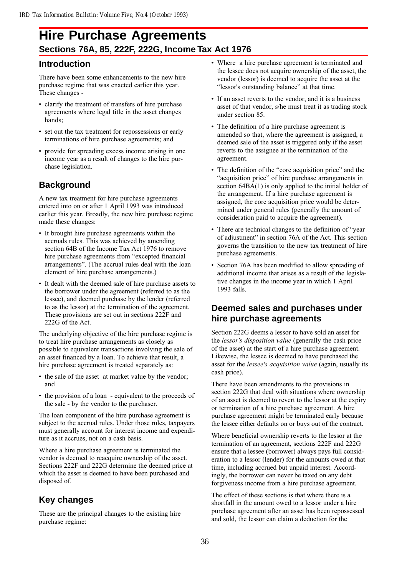## **Hire Purchase Agreements Sections 76A, 85, 222F, 222G, Income Tax Act 1976**

## **Introduction**

There have been some enhancements to the new hire purchase regime that was enacted earlier this year. These changes -

- clarify the treatment of transfers of hire purchase agreements where legal title in the asset changes hands;
- set out the tax treatment for repossessions or early terminations of hire purchase agreements; and
- provide for spreading excess income arising in one income year as a result of changes to the hire purchase legislation.

## **Background**

A new tax treatment for hire purchase agreements entered into on or after 1 April 1993 was introduced earlier this year. Broadly, the new hire purchase regime made these changes:

- It brought hire purchase agreements within the accruals rules. This was achieved by amending section 64B of the Income Tax Act 1976 to remove hire purchase agreements from "excepted financial arrangements". (The accrual rules deal with the loan element of hire purchase arrangements.)
- It dealt with the deemed sale of hire purchase assets to the borrower under the agreement (referred to as the lessee), and deemed purchase by the lender (referred to as the lessor) at the termination of the agreement. These provisions are set out in sections 222F and 222G of the Act.

The underlying objective of the hire purchase regime is to treat hire purchase arrangements as closely as possible to equivalent transactions involving the sale of an asset financed by a loan. To achieve that result, a hire purchase agreement is treated separately as:

- the sale of the asset at market value by the vendor; and
- the provision of a loan equivalent to the proceeds of the sale - by the vendor to the purchaser.

The loan component of the hire purchase agreement is subject to the accrual rules. Under those rules, taxpayers must generally account for interest income and expenditure as it accrues, not on a cash basis.

Where a hire purchase agreement is terminated the vendor is deemed to reacquire ownership of the asset. Sections 222F and 222G determine the deemed price at which the asset is deemed to have been purchased and disposed of.

## **Key changes**

These are the principal changes to the existing hire purchase regime:

- Where a hire purchase agreement is terminated and the lessee does not acquire ownership of the asset, the vendor (lessor) is deemed to acquire the asset at the "lessor's outstanding balance" at that time.
- If an asset reverts to the vendor, and it is a business asset of that vendor, s/he must treat it as trading stock under section 85.
- The definition of a hire purchase agreement is amended so that, where the agreement is assigned, a deemed sale of the asset is triggered only if the asset reverts to the assignee at the termination of the agreement.
- The definition of the "core acquisition price" and the "acquisition price" of hire purchase arrangements in section  $64BA(1)$  is only applied to the initial holder of the arrangement. If a hire purchase agreement is assigned, the core acquisition price would be determined under general rules (generally the amount of consideration paid to acquire the agreement).
- There are technical changes to the definition of "year" of adjustment" in section 76A of the Act. This section governs the transition to the new tax treatment of hire purchase agreements.
- Section 76A has been modified to allow spreading of additional income that arises as a result of the legislative changes in the income year in which 1 April 1993 falls.

## **Deemed sales and purchases under hire purchase agreements**

Section 222G deems a lessor to have sold an asset for the *lessor's disposition value* (generally the cash price of the asset) at the start of a hire purchase agreement. Likewise, the lessee is deemed to have purchased the asset for the *lessee's acquisition value* (again, usually its cash price).

There have been amendments to the provisions in section 222G that deal with situations where ownership of an asset is deemed to revert to the lessor at the expiry or termination of a hire purchase agreement. A hire purchase agreement might be terminated early because the lessee either defaults on or buys out of the contract.

Where beneficial ownership reverts to the lessor at the termination of an agreement, sections 222F and 222G ensure that a lessee (borrower) always pays full consideration to a lessor (lender) for the amounts owed at that time, including accrued but unpaid interest. Accordingly, the borrower can never be taxed on any debt forgiveness income from a hire purchase agreement.

The effect of these sections is that where there is a shortfall in the amount owed to a lessor under a hire purchase agreement after an asset has been repossessed and sold, the lessor can claim a deduction for the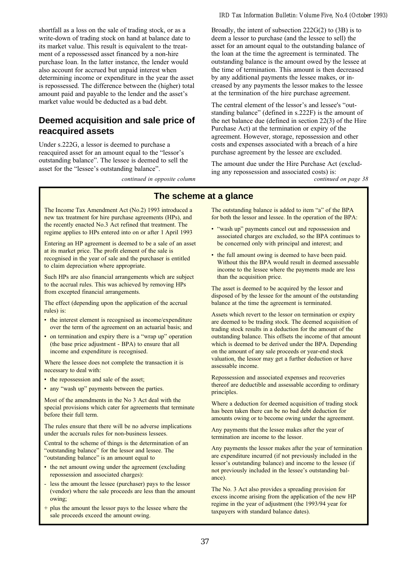shortfall as a loss on the sale of trading stock, or as a write-down of trading stock on hand at balance date to its market value. This result is equivalent to the treatment of a repossessed asset financed by a non-hire purchase loan. In the latter instance, the lender would also account for accrued but unpaid interest when determining income or expenditure in the year the asset is repossessed. The difference between the (higher) total amount paid and payable to the lender and the asset's market value would be deducted as a bad debt.

### **Deemed acquisition and sale price of reacquired assets**

Under s.222G, a lessor is deemed to purchase a reacquired asset for an amount equal to the "lessor's outstanding balance". The lessee is deemed to sell the asset for the "lessee's outstanding balance".

continued in opposite column

#### *IRD Tax Information Bulletin: Volume Five, No.4 (October 1993)*

Broadly, the intent of subsection 222G(2) to (3B) is to deem a lessor to purchase (and the lessee to sell) the asset for an amount equal to the outstanding balance of the loan at the time the agreement is terminated. The outstanding balance is the amount owed by the lessee at the time of termination. This amount is then decreased by any additional payments the lessee makes, or increased by any payments the lessor makes to the lessee at the termination of the hire purchase agreement.

The central element of the lessor's and lessee's "outstanding balance" (defined in  $s.222F$ ) is the amount of the net balance due (defined in section 22(3) of the Hire Purchase Act) at the termination or expiry of the agreement. However, storage, repossession and other costs and expenses associated with a breach of a hire purchase agreement by the lessee are excluded.

The amount due under the Hire Purchase Act (excluding any repossession and associated costs) is:<br>*continued on page* 38

### **The scheme at a glance**

The Income Tax Amendment Act (No.2) 1993 introduced a new tax treatment for hire purchase agreements (HPs), and the recently enacted No.3 Act refined that treatment. The regime applies to HPs entered into on or after 1 April 1993

Entering an HP agreement is deemed to be a sale of an asset at its market price. The profit element of the sale is recognised in the year of sale and the purchaser is entitled to claim depreciation where appropriate.

Such HPs are also financial arrangements which are subject to the accrual rules. This was achieved by removing HPs from excepted financial arrangements.

The effect (depending upon the application of the accrual rules) is:

- the interest element is recognised as income/expenditure over the term of the agreement on an actuarial basis; and
- on termination and expiry there is a "wrap up" operation (the base price adjustment - BPA) to ensure that all income and expenditure is recognised.

Where the lessee does not complete the transaction it is necessary to deal with:

- the repossession and sale of the asset;
- any "wash up" payments between the parties.

Most of the amendments in the No 3 Act deal with the special provisions which cater for agreements that terminate before their full term.

The rules ensure that there will be no adverse implications under the accruals rules for non-business lessees.

Central to the scheme of things is the determination of an "outstanding balance" for the lessor and lessee. The "outstanding balance" is an amount equal to

- the net amount owing under the agreement (excluding repossession and associated charges):
- less the amount the lessee (purchaser) pays to the lessor (vendor) where the sale proceeds are less than the amount owing;
- plus the amount the lessor pays to the lessee where the sale proceeds exceed the amount owing.

The outstanding balance is added to item "a" of the BPA for both the lessor and lessee. In the operation of the BPA:

- . "wash up" payments cancel out and repossession and associated charges are excluded, so the BPA continues to be concerned only with principal and interest; and
- the full amount owing is deemed to have been paid. Without this the BPA would result in deemed assessable income to the lessee where the payments made are less than the acquisition price.

The asset is deemed to be acquired by the lessor and disposed of by the lessee for the amount of the outstanding balance at the time the agreement is terminated.

Assets which revert to the lessor on termination or expiry are deemed to be trading stock. The deemed acquisition of trading stock results in a deduction for the amount of the outstanding balance. This offsets the income of that amount which is deemed to be derived under the BPA. Depending on the amount of any sale proceeds or year-end stock valuation, the lessor may get a further deduction or have assessable income.

Repossession and associated expenses and recoveries thereof are deductible and assessable according to ordinary principles.

Where a deduction for deemed acquisition of trading stock has been taken there can be no bad debt deduction for amounts owing or to become owing under the agreement.

Any payments that the lessee makes after the year of termination are income to the lessor.

Any payments the lessor makes after the year of termination are expenditure incurred (if not previously included in the lessor's outstanding balance) and income to the lessee (if not previously included in the lessee's outstanding balance).

The No. 3 Act also provides a spreading provision for excess income arising from the application of the new HP regime in the year of adjustment (the 1993/94 year for taxpayers with standard balance dates).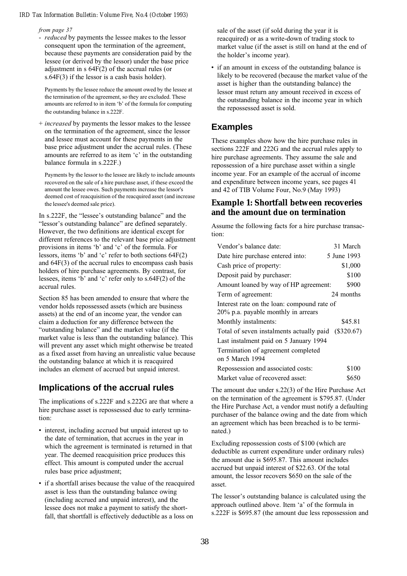#### from page 37

- *reduced* by payments the lessee makes to the lessor consequent upon the termination of the agreement, because these payments are consideration paid by the lessee (or derived by the lessor) under the base price adjustment in s 64F(2) of the accrual rules (or s.64F(3) if the lessor is a cash basis holder).

Payments by the lessee reduce the amount owed by the lessee at the termination of the agreement, so they are excluded. These amounts are referred to in item 'b' of the formula for computing the outstanding balance in s.222F.

+ increased by payments the lessor makes to the lessee on the termination of the agreement, since the lessor and lessee must account for these payments in the base price adjustment under the accrual rules. (These amounts are referred to as item 'c' in the outstanding balance formula in s.222F.)

Payments by the lessor to the lessee are likely to include amounts recovered on the sale of a hire purchase asset, if these exceed the amount the lessee owes. Such payments increase the lessor's deemed cost of reacquisition of the reacquired asset (and increase the lessee's deemed sale price).

In s.222F, the "lessee's outstanding balance" and the "lessor's outstanding balance" are defined separately. However, the two definitions are identical except for different references to the relevant base price adjustment provisions in items 'b' and 'c' of the formula. For lessors, items 'b' and 'c' refer to both sections  $64F(2)$ and 64F(3) of the accrual rules to encompass cash basis holders of hire purchase agreements. By contrast, for lessees, items 'b' and 'c' refer only to  $s.64F(2)$  of the accrual rules.

Section 85 has been amended to ensure that where the vendor holds repossessed assets (which are business assets) at the end of an income year, the vendor can claim a deduction for any difference between the "outstanding balance" and the market value (if the market value is less than the outstanding balance). This will prevent any asset which might otherwise be treated as a fixed asset from having an unrealistic value because the outstanding balance at which it is reacquired includes an element of accrued but unpaid interest.

### **Implications of the accrual rules**

The implications of s.222F and s.222G are that where a hire purchase asset is repossessed due to early termination:

- interest, including accrued but unpaid interest up to the date of termination, that accrues in the year in which the agreement is terminated is returned in that year. The deemed reacquisition price produces this effect. This amount is computed under the accrual rules base price adjustment;
- if a shortfall arises because the value of the reacquired asset is less than the outstanding balance owing (including accrued and unpaid interest), and the lessee does not make a payment to satisfy the shortfall, that shortfall is effectively deductible as a loss on

sale of the asset (if sold during the year it is reacquired) or as a write-down of trading stock to market value (if the asset is still on hand at the end of the holder's income year).

• if an amount in excess of the outstanding balance is likely to be recovered (because the market value of the asset is higher than the outstanding balance) the lessor must return any amount received in excess of the outstanding balance in the income year in which the repossessed asset is sold.

## **Examples**

These examples show how the hire purchase rules in sections 222F and 222G and the accrual rules apply to hire purchase agreements. They assume the sale and repossession of a hire purchase asset within a single income year. For an example of the accrual of income and expenditure between income years, see pages 41 and 42 of TIB Volume Four, No.9 (May 1993)

### **Example 1: Shortfall between recoveries and the amount due on termination**

Assume the following facts for a hire purchase transaction:

| Vendor's balance date:                                                             | 31 March    |
|------------------------------------------------------------------------------------|-------------|
| Date hire purchase entered into:                                                   | 5 June 1993 |
| Cash price of property:                                                            | \$1,000     |
| Deposit paid by purchaser:                                                         | \$100       |
| Amount loaned by way of HP agreement:                                              | \$900       |
| Term of agreement:                                                                 | 24 months   |
| Interest rate on the loan: compound rate of<br>20% p.a. payable monthly in arrears |             |
| Monthly instalments:                                                               | \$45.81     |
| Total of seven instalments actually paid (\$320.67)                                |             |
| Last instalment paid on 5 January 1994                                             |             |
| Termination of agreement completed<br>on 5 March 1994                              |             |
| Repossession and associated costs:                                                 | \$100       |
| Market value of recovered asset:                                                   | \$650       |

The amount due under s.22(3) of the Hire Purchase Act on the termination of the agreement is \$795.87. (Under the Hire Purchase Act, a vendor must notify a defaulting purchaser of the balance owing and the date from which an agreement which has been breached is to be terminated.)

Excluding repossession costs of \$100 (which are deductible as current expenditure under ordinary rules) the amount due is \$695.87. This amount includes accrued but unpaid interest of \$22.63. Of the total amount, the lessor recovers \$650 on the sale of the asset.

The lessor's outstanding balance is calculated using the approach outlined above. Item 'a' of the formula in s.222F is \$695.87 (the amount due less repossession and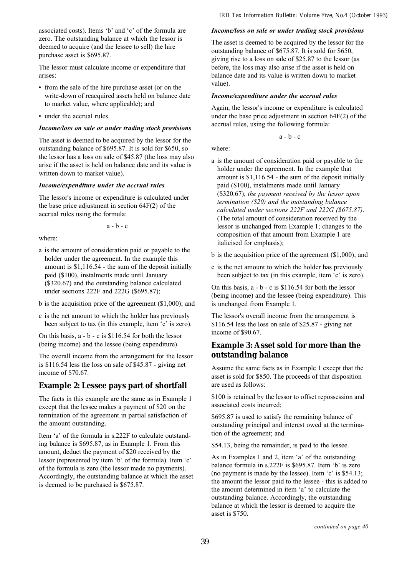associated costs). Items 'b' and 'c' of the formula are zero. The outstanding balance at which the lessor is deemed to acquire (and the lessee to sell) the hire purchase asset is \$695.87.

The lessor must calculate income or expenditure that arises:

- from the sale of the hire purchase asset (or on the write-down of reacquired assets held on balance date to market value, where applicable); and
- under the accrual rules.

#### Income/loss on sale or under trading stock provisions

The asset is deemed to be acquired by the lessor for the outstanding balance of \$695.87. It is sold for \$650, so the lessor has a loss on sale of \$45.87 (the loss may also arise if the asset is held on balance date and its value is written down to market value).

#### Income/expenditure under the accrual rules

The lessor's income or expenditure is calculated under the base price adjustment in section 64F(2) of the accrual rules using the formula:

a - b - c

where:

- a is the amount of consideration paid or payable to the holder under the agreement. In the example this amount is \$1,116.54 - the sum of the deposit initially paid (\$100), instalments made until January (\$320.67) and the outstanding balance calculated under sections 222F and 222G (\$695.87);
- b is the acquisition price of the agreement (\$1,000); and
- c is the net amount to which the holder has previously been subject to tax (in this example, item  $\sim$  is zero).

On this basis, a - b - c is \$116.54 for both the lessor (being income) and the lessee (being expenditure).

The overall income from the arrangement for the lessor is \$116.54 less the loss on sale of \$45.87 - giving net income of \$70.67.

### **Example 2: Lessee pays part of shortfall**

The facts in this example are the same as in Example 1 except that the lessee makes a payment of \$20 on the termination of the agreement in partial satisfaction of the amount outstanding.

Item 'a' of the formula in s.222F to calculate outstanding balance is \$695.87, as in Example 1. From this amount, deduct the payment of \$20 received by the lessor (represented by item 'b' of the formula). Item 'c' of the formula is zero (the lessor made no payments). Accordingly, the outstanding balance at which the asset is deemed to be purchased is \$675.87.

#### Income/loss on sale or under trading stock provisions

The asset is deemed to be acquired by the lessor for the outstanding balance of \$675.87. It is sold for \$650, giving rise to a loss on sale of \$25.87 to the lessor (as before, the loss may also arise if the asset is held on balance date and its value is written down to market value).

#### Income/expenditure under the accrual rules

Again, the lessor's income or expenditure is calculated under the base price adjustment in section 64F(2) of the accrual rules, using the following formula:

a - b - c

where:

- a is the amount of consideration paid or payable to the holder under the agreement. In the example that amount is \$1,116.54 - the sum of the deposit initially paid (\$100), instalments made until January (\$320.67), the payment received by the lessor upon termination (\$20) and the outstanding balance calculated under sections 222F and 222G (\$675.87). (The total amount of consideration received by the lessor is unchanged from Example 1; changes to the composition of that amount from Example 1 are italicised for emphasis);
- b is the acquisition price of the agreement (\$1,000); and
- c is the net amount to which the holder has previously been subject to tax (in this example, item 'c' is zero).

On this basis, a - b - c is \$116.54 for both the lessor (being income) and the lessee (being expenditure). This is unchanged from Example 1.

The lessor's overall income from the arrangement is \$116.54 less the loss on sale of \$25.87 - giving net income of \$90.67.

### **Example 3: Asset sold for more than the outstanding balance**

Assume the same facts as in Example 1 except that the asset is sold for \$850. The proceeds of that disposition are used as follows:

\$100 is retained by the lessor to offset repossession and associated costs incurred;

\$695.87 is used to satisfy the remaining balance of outstanding principal and interest owed at the termination of the agreement; and

\$54.13, being the remainder, is paid to the lessee.

As in Examples 1 and 2, item 'a' of the outstanding balance formula in s.222F is \$695.87. Item 'b' is zero (no payment is made by the lessee). Item  $\degree$ c' is \$54.13; the amount the lessor paid to the lessee - this is added to the amount determined in item 'a' to calculate the outstanding balance. Accordingly, the outstanding balance at which the lessor is deemed to acquire the asset is \$750.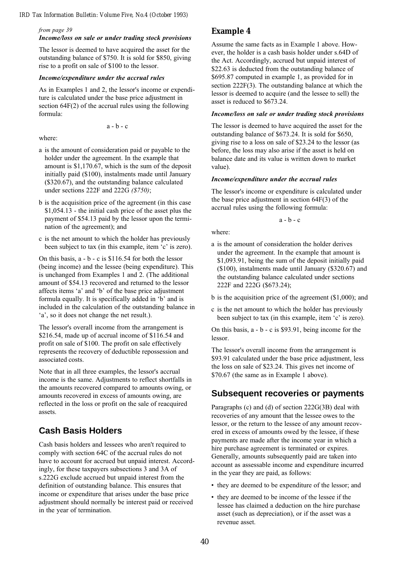#### from page 39

### Income/loss on sale or under trading stock provisions

The lessor is deemed to have acquired the asset for the outstanding balance of \$750. It is sold for \$850, giving rise to a profit on sale of \$100 to the lessor.

### Income/expenditure under the accrual rules

As in Examples 1 and 2, the lessor's income or expenditure is calculated under the base price adjustment in section 64F(2) of the accrual rules using the following formula:

 $a - b - c$ 

where:

- a is the amount of consideration paid or payable to the holder under the agreement. In the example that amount is \$1,170.67, which is the sum of the deposit initially paid (\$100), instalments made until January (\$320.67), and the outstanding balance calculated under sections 222F and 222G (\$750);
- b is the acquisition price of the agreement (in this case \$1,054.13 - the initial cash price of the asset plus the payment of \$54.13 paid by the lessor upon the termination of the agreement); and
- c is the net amount to which the holder has previously been subject to tax (in this example, item 'c' is zero).

On this basis, a - b - c is \$116.54 for both the lessor (being income) and the lessee (being expenditure). This is unchanged from Examples 1 and 2. (The additional amount of \$54.13 recovered and returned to the lessor affects items 'a' and 'b' of the base price adjustment formula equally. It is specifically added in 'b' and is included in the calculation of the outstanding balance in 'a', so it does not change the net result.).

The lessor's overall income from the arrangement is \$216.54, made up of accrual income of \$116.54 and profit on sale of \$100. The profit on sale effectively represents the recovery of deductible repossession and associated costs.

Note that in all three examples, the lessor's accrual income is the same. Adjustments to reflect shortfalls in the amounts recovered compared to amounts owing, or amounts recovered in excess of amounts owing, are reflected in the loss or profit on the sale of reacquired assets.

## **Cash Basis Holders**

Cash basis holders and lessees who aren't required to comply with section 64C of the accrual rules do not have to account for accrued but unpaid interest. Accordingly, for these taxpayers subsections 3 and 3A of s.222G exclude accrued but unpaid interest from the definition of outstanding balance. This ensures that income or expenditure that arises under the base price adjustment should normally be interest paid or received in the year of termination.

### **Example 4**

Assume the same facts as in Example 1 above. However, the holder is a cash basis holder under s.64D of the Act. Accordingly, accrued but unpaid interest of \$22.63 is deducted from the outstanding balance of \$695.87 computed in example 1, as provided for in section 222F(3). The outstanding balance at which the lessor is deemed to acquire (and the lessee to sell) the asset is reduced to \$673.24.

#### Income/loss on sale or under trading stock provisions

The lessor is deemed to have acquired the asset for the outstanding balance of \$673.24. It is sold for \$650, giving rise to a loss on sale of \$23.24 to the lessor (as before, the loss may also arise if the asset is held on balance date and its value is written down to market value).

#### Income/expenditure under the accrual rules

The lessor's income or expenditure is calculated under the base price adjustment in section 64F(3) of the accrual rules using the following formula:

a - b - c

where:

- a is the amount of consideration the holder derives under the agreement. In the example that amount is \$1,093.91, being the sum of the deposit initially paid (\$100), instalments made until January (\$320.67) and the outstanding balance calculated under sections 222F and 222G (\$673.24);
- b is the acquisition price of the agreement (\$1,000); and
- c is the net amount to which the holder has previously been subject to tax (in this example, item 'c' is zero).

On this basis, a - b - c is \$93.91, being income for the lessor.

The lessor's overall income from the arrangement is \$93.91 calculated under the base price adjustment, less the loss on sale of \$23.24. This gives net income of \$70.67 (the same as in Example 1 above).

### **Subsequent recoveries or payments**

Paragraphs (c) and (d) of section 222G(3B) deal with recoveries of any amount that the lessee owes to the lessor, or the return to the lessee of any amount recovered in excess of amounts owed by the lessee, if these payments are made after the income year in which a hire purchase agreement is terminated or expires. Generally, amounts subsequently paid are taken into account as assessable income and expenditure incurred in the year they are paid, as follows:

- they are deemed to be expenditure of the lessor; and
- they are deemed to be income of the lessee if the lessee has claimed a deduction on the hire purchase asset (such as depreciation), or if the asset was a revenue asset.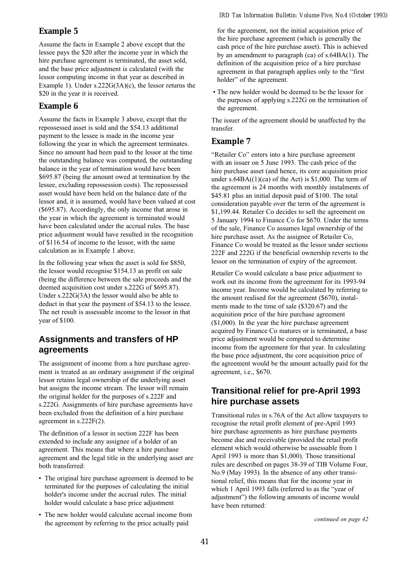### **Example 5**

Assume the facts in Example 2 above except that the lessee pays the \$20 after the income year in which the hire purchase agreement is terminated, the asset sold, and the base price adjustment is calculated (with the lessor computing income in that year as described in Example 1). Under s.222G(3A)(c), the lessor returns the \$20 in the year it is received.

### **Example 6**

Assume the facts in Example 3 above, except that the repossessed asset is sold and the \$54.13 additional payment to the lessee is made in the income year following the year in which the agreement terminates. Since no amount had been paid to the lessor at the time the outstanding balance was computed, the outstanding balance in the year of termination would have been \$695.87 (being the amount owed at termination by the lessee, excluding repossession costs). The repossessed asset would have been held on the balance date of the lessor and, it is assumed, would have been valued at cost (\$695.87). Accordingly, the only income that arose in the year in which the agreement is terminated would have been calculated under the accrual rules. The base price adjustment would have resulted in the recognition of \$116.54 of income to the lessor, with the same calculation as in Example 1 above.

In the following year when the asset is sold for \$850, the lessor would recognise \$154.13 as profit on sale (being the difference between the sale proceeds and the deemed acquisition cost under s.222G of \$695.87). Under s.222G(3A) the lessor would also be able to deduct in that year the payment of \$54.13 to the lessee. The net result is assessable income to the lessor in that year of \$100.

## **Assignments and transfers of HP agreements**

The assignment of income from a hire purchase agreement is treated as an ordinary assignment if the original lessor retains legal ownership of the underlying asset but assigns the income stream. The lessor will remain the original holder for the purposes of s.222F and s.222G. Assignments of hire purchase agreements have been excluded from the definition of a hire purchase agreement in s.222F(2).

The definition of a lessor in section 222F has been extended to include any assignee of a holder of an agreement. This means that where a hire purchase agreement and the legal title in the underlying asset are both transferred:

- The original hire purchase agreement is deemed to be terminated for the purposes of calculating the initial holder's income under the accrual rules. The initial holder would calculate a base price adjustment
- The new holder would calculate accrual income from the agreement by referring to the price actually paid

for the agreement, not the initial acquisition price of the hire purchase agreement (which is generally the cash price of the hire purchase asset). This is achieved by an amendment to paragraph (ca) of s.64BA(1). The definition of the acquisition price of a hire purchase agreement in that paragraph applies only to the "first" holder" of the agreement.

 The new holder would be deemed to be the lessor for the purposes of applying s.222G on the termination of the agreement.

The issuer of the agreement should be unaffected by the transfer.

### **Example 7**

"Retailer Co" enters into a hire purchase agreement with an issuer on 5 June 1993. The cash price of the hire purchase asset (and hence, its core acquisition price under  $s.64BA((1)(ca)$  of the Act) is \$1,000. The term of the agreement is 24 months with monthly instalments of \$45.81 plus an initial deposit paid of \$100. The total consideration payable over the term of the agreement is \$1,199.44. Retailer Co decides to sell the agreement on 5 January 1994 to Finance Co for \$670. Under the terms of the sale, Finance Co assumes legal ownership of the hire purchase asset. As the assignee of Retailer Co, Finance Co would be treated as the lessor under sections 222F and 222G if the beneficial ownership reverts to the lessor on the termination of expiry of the agreement.

Retailer Co would calculate a base price adjustment to work out its income from the agreement for its 1993-94 income year. Income would be calculated by referring to the amount realised for the agreement (\$670), instalments made to the time of sale (\$320.67) and the acquisition price of the hire purchase agreement (\$1,000). In the year the hire purchase agreement acquired by Finance Co matures or is terminated, a base price adjustment would be computed to determine income from the agreement for that year. In calculating the base price adjustment, the core acquisition price of the agreement would be the amount actually paid for the agreement, i.e., \$670.

## **Transitional relief for pre-April 1993 hire purchase assets**

Transitional rules in s.76A of the Act allow taxpayers to recognise the retail profit element of pre-April 1993 hire purchase agreements as hire purchase payments become due and receivable (provided the retail profit element which would otherwise be assessable from 1 April 1993 is more than \$1,000). Those transitional rules are described on pages 38-39 of TIB Volume Four, No.9 (May 1993). In the absence of any other transitional relief, this means that for the income year in which 1 April 1993 falls (referred to as the "year of adjustment") the following amounts of income would have been returned: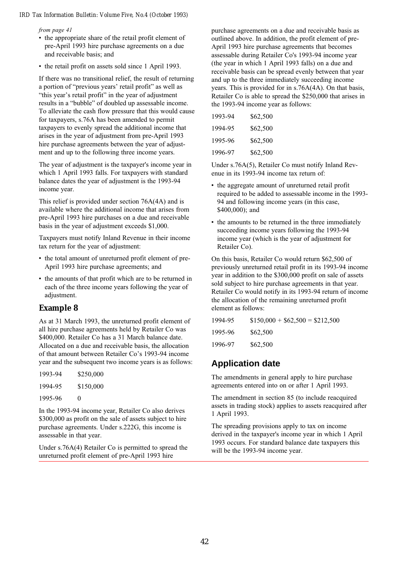#### from page 41

- the appropriate share of the retail profit element of pre-April 1993 hire purchase agreements on a due and receivable basis; and
- the retail profit on assets sold since 1 April 1993.

If there was no transitional relief, the result of returning a portion of "previous years' retail profit" as well as "this year's retail profit" in the year of adjustment results in a "bubble" of doubled up assessable income. To alleviate the cash flow pressure that this would cause for taxpayers, s.76A has been amended to permit taxpayers to evenly spread the additional income that arises in the year of adjustment from pre-April 1993 hire purchase agreements between the year of adjustment and up to the following three income years.

The year of adjustment is the taxpayer's income year in which 1 April 1993 falls. For taxpayers with standard balance dates the year of adjustment is the 1993-94 income year.

This relief is provided under section 76A(4A) and is available where the additional income that arises from pre-April 1993 hire purchases on a due and receivable basis in the year of adjustment exceeds \$1,000.

Taxpayers must notify Inland Revenue in their income tax return for the year of adjustment:

- the total amount of unreturned profit element of pre-April 1993 hire purchase agreements; and
- the amounts of that profit which are to be returned in each of the three income years following the year of adjustment.

### **Example 8**

As at 31 March 1993, the unreturned profit element of all hire purchase agreements held by Retailer Co was \$400,000. Retailer Co has a 31 March balance date. Allocated on a due and receivable basis, the allocation of that amount between Retailer Co's 1993-94 income year and the subsequent two income years is as follows:

| 1993-94 | \$250,000 |
|---------|-----------|
| 1994-95 | \$150,000 |
| 1995-96 | 0         |

In the 1993-94 income year, Retailer Co also derives \$300,000 as profit on the sale of assets subject to hire purchase agreements. Under s.222G, this income is assessable in that year.

Under s.76A(4) Retailer Co is permitted to spread the unreturned profit element of pre-April 1993 hire

purchase agreements on a due and receivable basis as outlined above. In addition, the profit element of pre-April 1993 hire purchase agreements that becomes assessable during Retailer Co's 1993-94 income year (the year in which 1 April 1993 falls) on a due and receivable basis can be spread evenly between that year and up to the three immediately succeeding income years. This is provided for in s.76A(4A). On that basis, Retailer Co is able to spread the \$250,000 that arises in the 1993-94 income year as follows:

| 1993-94 | \$62,500 |
|---------|----------|
| 1994-95 | \$62,500 |
| 1995-96 | \$62,500 |
| 1996-97 | \$62,500 |

Under s.76A(5), Retailer Co must notify Inland Revenue in its 1993-94 income tax return of:

- the aggregate amount of unreturned retail profit required to be added to assessable income in the 1993- 94 and following income years (in this case, \$400,000); and
- the amounts to be returned in the three immediately succeeding income years following the 1993-94 income year (which is the year of adjustment for Retailer Co).

On this basis, Retailer Co would return \$62,500 of previously unreturned retail profit in its 1993-94 income year in addition to the \$300,000 profit on sale of assets sold subject to hire purchase agreements in that year. Retailer Co would notify in its 1993-94 return of income the allocation of the remaining unreturned profit element as follows:

| 1994-95 | $$150,000 + $62,500 = $212,500$ |
|---------|---------------------------------|
| 1995-96 | \$62,500                        |
| 1996-97 | \$62,500                        |

## **Application date**

The amendments in general apply to hire purchase agreements entered into on or after 1 April 1993.

The amendment in section 85 (to include reacquired assets in trading stock) applies to assets reacquired after 1 April 1993.

The spreading provisions apply to tax on income derived in the taxpayer's income year in which 1 April 1993 occurs. For standard balance date taxpayers this will be the 1993-94 income year.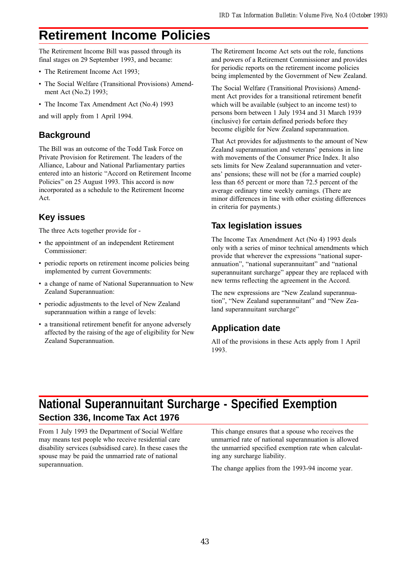## **Retirement Income Policies**

The Retirement Income Bill was passed through its final stages on 29 September 1993, and became:

- The Retirement Income Act 1993;
- The Social Welfare (Transitional Provisions) Amendment Act (No.2) 1993;
- The Income Tax Amendment Act (No.4) 1993

and will apply from 1 April 1994.

## **Background**

The Bill was an outcome of the Todd Task Force on Private Provision for Retirement. The leaders of the Alliance, Labour and National Parliamentary parties entered into an historic "Accord on Retirement Income Policies" on 25 August 1993. This accord is now incorporated as a schedule to the Retirement Income Act.

## **Key issues**

The three Acts together provide for -

- the appointment of an independent Retirement Commissioner:
- periodic reports on retirement income policies being implemented by current Governments:
- a change of name of National Superannuation to New Zealand Superannuation:
- periodic adjustments to the level of New Zealand superannuation within a range of levels:
- a transitional retirement benefit for anyone adversely affected by the raising of the age of eligibility for New Zealand Superannuation.

The Retirement Income Act sets out the role, functions and powers of a Retirement Commissioner and provides for periodic reports on the retirement income policies being implemented by the Government of New Zealand.

The Social Welfare (Transitional Provisions) Amendment Act provides for a transitional retirement benefit which will be available (subject to an income test) to persons born between 1 July 1934 and 31 March 1939 (inclusive) for certain defined periods before they become eligible for New Zealand superannuation.

That Act provides for adjustments to the amount of New Zealand superannuation and veterans' pensions in line with movements of the Consumer Price Index. It also sets limits for New Zealand superannuation and veterans' pensions; these will not be (for a married couple) less than 65 percent or more than 72.5 percent of the average ordinary time weekly earnings. (There are minor differences in line with other existing differences in criteria for payments.)

## **Tax legislation issues**

The Income Tax Amendment Act (No 4) 1993 deals only with a series of minor technical amendments which provide that wherever the expressions "national superannuation", "national superannuitant" and "national superannuitant surcharge" appear they are replaced with new terms reflecting the agreement in the Accord.

The new expressions are "New Zealand superannuation", "New Zealand superannuitant" and "New Zealand superannuitant surcharge"

## **Application date**

All of the provisions in these Acts apply from 1 April 1993.

## **National Superannuitant Surcharge - Specified Exemption Section 336, Income Tax Act 1976**

From 1 July 1993 the Department of Social Welfare may means test people who receive residential care disability services (subsidised care). In these cases the spouse may be paid the unmarried rate of national superannuation.

This change ensures that a spouse who receives the unmarried rate of national superannuation is allowed the unmarried specified exemption rate when calculating any surcharge liability.

The change applies from the 1993-94 income year.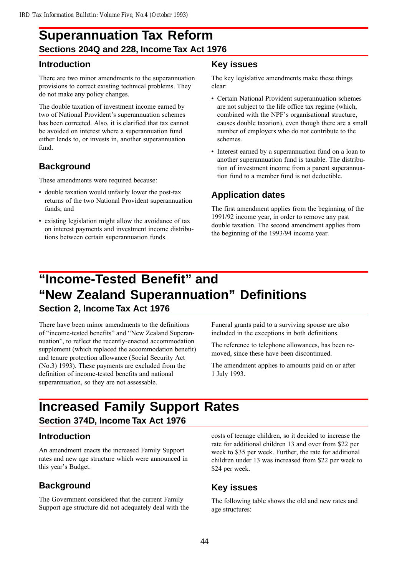## **Superannuation Tax Reform Sections 204Q and 228, Income Tax Act 1976**

## **Introduction**

There are two minor amendments to the superannuation provisions to correct existing technical problems. They do not make any policy changes.

The double taxation of investment income earned by two of National Provident's superannuation schemes has been corrected. Also, it is clarified that tax cannot be avoided on interest where a superannuation fund either lends to, or invests in, another superannuation fund.

## **Background**

These amendments were required because:

- double taxation would unfairly lower the post-tax returns of the two National Provident superannuation funds; and
- existing legislation might allow the avoidance of tax on interest payments and investment income distributions between certain superannuation funds.

### **Key issues**

The key legislative amendments make these things clear:

- Certain National Provident superannuation schemes are not subject to the life office tax regime (which, combined with the NPF's organisational structure, causes double taxation), even though there are a small number of employers who do not contribute to the schemes.
- Interest earned by a superannuation fund on a loan to another superannuation fund is taxable. The distribution of investment income from a parent superannuation fund to a member fund is not deductible.

## **Application dates**

The first amendment applies from the beginning of the 1991/92 income year, in order to remove any past double taxation. The second amendment applies from the beginning of the 1993/94 income year.

# **"Income-Tested Benefit" and "New Zealand Superannuation" Definitions**

### **Section 2, Income Tax Act 1976**

There have been minor amendments to the definitions of "income-tested benefits" and "New Zealand Superannuation", to reflect the recently-enacted accommodation supplement (which replaced the accommodation benefit) and tenure protection allowance (Social Security Act (No.3) 1993). These payments are excluded from the definition of income-tested benefits and national superannuation, so they are not assessable.

Funeral grants paid to a surviving spouse are also included in the exceptions in both definitions.

The reference to telephone allowances, has been removed, since these have been discontinued.

The amendment applies to amounts paid on or after 1 July 1993.

## **Increased Family Support Rates Section 374D, Income Tax Act 1976**

## **Introduction**

An amendment enacts the increased Family Support rates and new age structure which were announced in this year's Budget.

## **Background**

The Government considered that the current Family Support age structure did not adequately deal with the costs of teenage children, so it decided to increase the rate for additional children 13 and over from \$22 per week to \$35 per week. Further, the rate for additional children under 13 was increased from \$22 per week to \$24 per week.

## **Key issues**

The following table shows the old and new rates and age structures: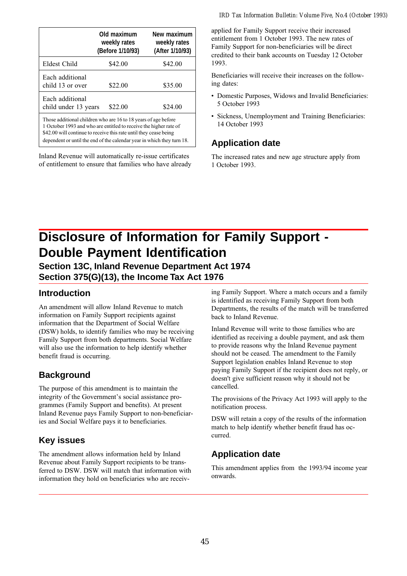|                                                                                                                                                                                                                                                                                    | Old maximum<br>weekly rates<br>(Before 1/10/93) | New maximum<br>weekly rates<br>(After 1/10/93) |  |
|------------------------------------------------------------------------------------------------------------------------------------------------------------------------------------------------------------------------------------------------------------------------------------|-------------------------------------------------|------------------------------------------------|--|
| Eldest Child                                                                                                                                                                                                                                                                       | \$42.00                                         | \$42.00                                        |  |
| Each additional<br>child 13 or over                                                                                                                                                                                                                                                | \$22.00                                         | \$35.00                                        |  |
| Each additional<br>child under 13 years                                                                                                                                                                                                                                            | \$22.00                                         | \$24.00                                        |  |
| Those additional children who are 16 to 18 years of age before<br>1 October 1993 and who are entitled to receive the higher rate of<br>\$42.00 will continue to receive this rate until they cease being<br>dependent or until the end of the calendar year in which they turn 18. |                                                 |                                                |  |

Inland Revenue will automatically re-issue certificates of entitlement to ensure that families who have already applied for Family Support receive their increased entitlement from 1 October 1993. The new rates of Family Support for non-beneficiaries will be direct credited to their bank accounts on Tuesday 12 October 1993.

Beneficiaries will receive their increases on the following dates:

- Domestic Purposes, Widows and Invalid Beneficiaries: 5 October 1993
- Sickness, Unemployment and Training Beneficiaries: 14 October 1993

### **Application date**

The increased rates and new age structure apply from 1 October 1993.

## **Disclosure of Information for Family Support - Double Payment Identification**

**Section 13C, Inland Revenue Department Act 1974 Section 375(G)(13), the Income Tax Act 1976**

## **Introduction**

An amendment will allow Inland Revenue to match information on Family Support recipients against information that the Department of Social Welfare (DSW) holds, to identify families who may be receiving Family Support from both departments. Social Welfare will also use the information to help identify whether benefit fraud is occurring.

## **Background**

The purpose of this amendment is to maintain the integrity of the Government's social assistance programmes (Family Support and benefits). At present Inland Revenue pays Family Support to non-beneficiaries and Social Welfare pays it to beneficiaries.

## **Key issues**

The amendment allows information held by Inland Revenue about Family Support recipients to be transferred to DSW. DSW will match that information with information they hold on beneficiaries who are receiv-

ing Family Support. Where a match occurs and a family is identified as receiving Family Support from both Departments, the results of the match will be transferred back to Inland Revenue.

Inland Revenue will write to those families who are identified as receiving a double payment, and ask them to provide reasons why the Inland Revenue payment should not be ceased. The amendment to the Family Support legislation enables Inland Revenue to stop paying Family Support if the recipient does not reply, or doesn't give sufficient reason why it should not be cancelled.

The provisions of the Privacy Act 1993 will apply to the notification process.

DSW will retain a copy of the results of the information match to help identify whether benefit fraud has occurred.

## **Application date**

This amendment applies from the 1993/94 income year onwards.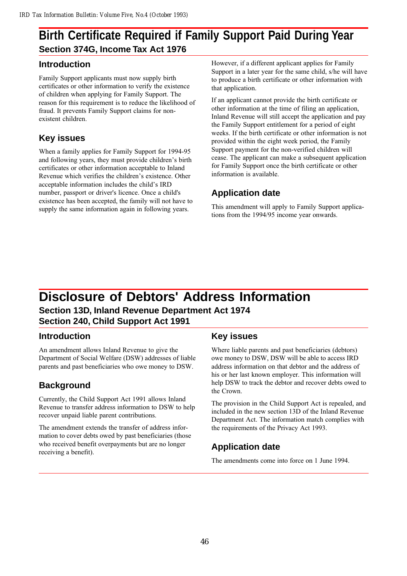## **Birth Certificate Required if Family Support Paid During Year Section 374G, Income Tax Act 1976**

## **Introduction**

Family Support applicants must now supply birth certificates or other information to verify the existence of children when applying for Family Support. The reason for this requirement is to reduce the likelihood of fraud. It prevents Family Support claims for nonexistent children.

## **Key issues**

When a family applies for Family Support for 1994-95 and following years, they must provide children's birth certificates or other information acceptable to Inland Revenue which verifies the children's existence. Other acceptable information includes the child's IRD number, passport or driver's licence. Once a child's existence has been accepted, the family will not have to supply the same information again in following years.

However, if a different applicant applies for Family Support in a later year for the same child, s/he will have to produce a birth certificate or other information with that application.

If an applicant cannot provide the birth certificate or other information at the time of filing an application, Inland Revenue will still accept the application and pay the Family Support entitlement for a period of eight weeks. If the birth certificate or other information is not provided within the eight week period, the Family Support payment for the non-verified children will cease. The applicant can make a subsequent application for Family Support once the birth certificate or other information is available.

## **Application date**

This amendment will apply to Family Support applications from the 1994/95 income year onwards.

## **Disclosure of Debtors' Address Information Section 13D, Inland Revenue Department Act 1974 Section 240, Child Support Act 1991**

## **Introduction**

An amendment allows Inland Revenue to give the Department of Social Welfare (DSW) addresses of liable parents and past beneficiaries who owe money to DSW.

## **Background**

Currently, the Child Support Act 1991 allows Inland Revenue to transfer address information to DSW to help recover unpaid liable parent contributions.

The amendment extends the transfer of address information to cover debts owed by past beneficiaries (those who received benefit overpayments but are no longer receiving a benefit).

## **Key issues**

Where liable parents and past beneficiaries (debtors) owe money to DSW, DSW will be able to access IRD address information on that debtor and the address of his or her last known employer. This information will help DSW to track the debtor and recover debts owed to the Crown.

The provision in the Child Support Act is repealed, and included in the new section 13D of the Inland Revenue Department Act. The information match complies with the requirements of the Privacy Act 1993.

## **Application date**

The amendments come into force on 1 June 1994.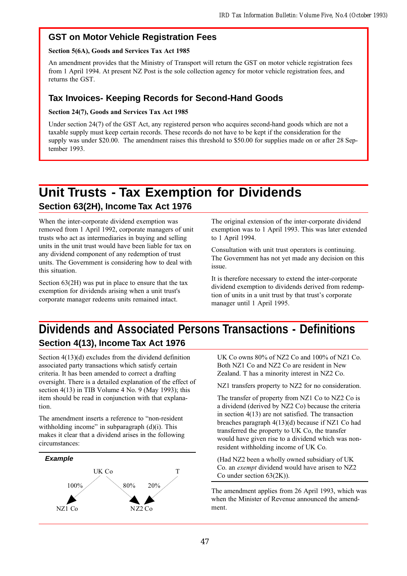## **GST on Motor Vehicle Registration Fees**

### Section 5(6A), Goods and Services Tax Act 1985

An amendment provides that the Ministry of Transport will return the GST on motor vehicle registration fees from 1 April 1994. At present NZ Post is the sole collection agency for motor vehicle registration fees, and returns the GST.

## **Tax Invoices- Keeping Records for Second-Hand Goods**

### Section 24(7), Goods and Services Tax Act 1985

Under section 24(7) of the GST Act, any registered person who acquires second-hand goods which are not a taxable supply must keep certain records. These records do not have to be kept if the consideration for the supply was under \$20.00. The amendment raises this threshold to \$50.00 for supplies made on or after 28 September 1993.

## **Unit Trusts - Tax Exemption for Dividends Section 63(2H), Income Tax Act 1976**

When the inter-corporate dividend exemption was removed from 1 April 1992, corporate managers of unit trusts who act as intermediaries in buying and selling units in the unit trust would have been liable for tax on any dividend component of any redemption of trust units. The Government is considering how to deal with this situation.

Section 63(2H) was put in place to ensure that the tax exemption for dividends arising when a unit trust's corporate manager redeems units remained intact.

The original extension of the inter-corporate dividend exemption was to 1 April 1993. This was later extended to 1 April 1994.

Consultation with unit trust operators is continuing. The Government has not yet made any decision on this issue.

It is therefore necessary to extend the inter-corporate dividend exemption to dividends derived from redemption of units in a unit trust by that trust's corporate manager until 1 April 1995.

## **Dividends and Associated Persons Transactions - Definitions Section 4(13), Income Tax Act 1976**

Section 4(13)(d) excludes from the dividend definition associated party transactions which satisfy certain criteria. It has been amended to correct a drafting oversight. There is a detailed explanation of the effect of section 4(13) in TIB Volume 4 No. 9 (May 1993); this item should be read in conjunction with that explanation.

The amendment inserts a reference to "non-resident" withholding income" in subparagraph  $(d)(i)$ . This makes it clear that a dividend arises in the following circumstances:



UK Co owns 80% of NZ2 Co and 100% of NZ1 Co. Both NZ1 Co and NZ2 Co are resident in New Zealand. T has a minority interest in NZ2 Co.

NZ1 transfers property to NZ2 for no consideration.

The transfer of property from NZ1 Co to NZ2 Co is a dividend (derived by NZ2 Co) because the criteria in section 4(13) are not satisfied. The transaction breaches paragraph 4(13)(d) because if NZ1 Co had transferred the property to UK Co, the transfer would have given rise to a dividend which was nonresident withholding income of UK Co.

(Had NZ2 been a wholly owned subsidiary of UK Co. an exempt dividend would have arisen to NZ2 Co under section 63(2K)).

The amendment applies from 26 April 1993, which was when the Minister of Revenue announced the amendment.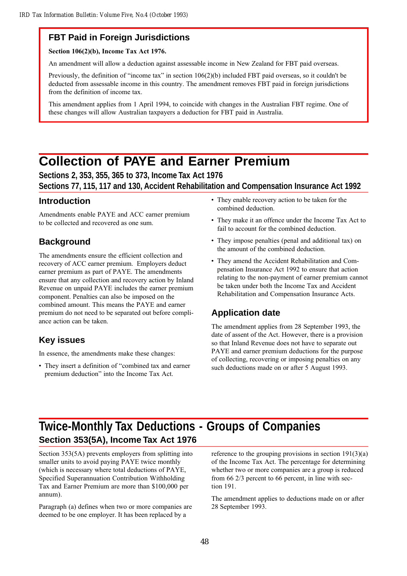## **FBT Paid in Foreign Jurisdictions**

Section 106(2)(b), Income Tax Act 1976.

An amendment will allow a deduction against assessable income in New Zealand for FBT paid overseas.

Previously, the definition of "income tax" in section  $106(2)(b)$  included FBT paid overseas, so it couldn't be deducted from assessable income in this country. The amendment removes FBT paid in foreign jurisdictions from the definition of income tax.

This amendment applies from 1 April 1994, to coincide with changes in the Australian FBT regime. One of these changes will allow Australian taxpayers a deduction for FBT paid in Australia.

## **Collection of PAYE and Earner Premium**

### **Sections 2, 353, 355, 365 to 373, Income Tax Act 1976 Sections 77, 115, 117 and 130, Accident Rehabilitation and Compensation Insurance Act 1992**

### **Introduction**

Amendments enable PAYE and ACC earner premium to be collected and recovered as one sum.

## **Background**

The amendments ensure the efficient collection and recovery of ACC earner premium. Employers deduct earner premium as part of PAYE. The amendments ensure that any collection and recovery action by Inland Revenue on unpaid PAYE includes the earner premium component. Penalties can also be imposed on the combined amount. This means the PAYE and earner premium do not need to be separated out before compliance action can be taken.

## **Key issues**

In essence, the amendments make these changes:

• They insert a definition of "combined tax and earner premium deduction" into the Income Tax Act.

- They enable recovery action to be taken for the combined deduction.
- They make it an offence under the Income Tax Act to fail to account for the combined deduction.
- They impose penalties (penal and additional tax) on the amount of the combined deduction.
- They amend the Accident Rehabilitation and Compensation Insurance Act 1992 to ensure that action relating to the non-payment of earner premium cannot be taken under both the Income Tax and Accident Rehabilitation and Compensation Insurance Acts.

## **Application date**

The amendment applies from 28 September 1993, the date of assent of the Act. However, there is a provision so that Inland Revenue does not have to separate out PAYE and earner premium deductions for the purpose of collecting, recovering or imposing penalties on any such deductions made on or after 5 August 1993.

## **Twice-Monthly Tax Deductions - Groups of Companies Section 353(5A), Income Tax Act 1976**

Section 353(5A) prevents employers from splitting into smaller units to avoid paying PAYE twice monthly (which is necessary where total deductions of PAYE, Specified Superannuation Contribution Withholding Tax and Earner Premium are more than \$100,000 per annum).

Paragraph (a) defines when two or more companies are deemed to be one employer. It has been replaced by a

reference to the grouping provisions in section  $191(3)(a)$ of the Income Tax Act. The percentage for determining whether two or more companies are a group is reduced from 66 2/3 percent to 66 percent, in line with section 191.

The amendment applies to deductions made on or after 28 September 1993.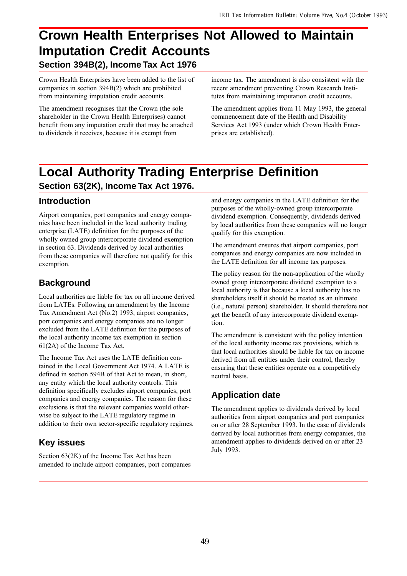## **Crown Health Enterprises Not Allowed to Maintain Imputation Credit Accounts Section 394B(2), Income Tax Act 1976**

Crown Health Enterprises have been added to the list of companies in section 394B(2) which are prohibited from maintaining imputation credit accounts.

The amendment recognises that the Crown (the sole shareholder in the Crown Health Enterprises) cannot benefit from any imputation credit that may be attached to dividends it receives, because it is exempt from

income tax. The amendment is also consistent with the recent amendment preventing Crown Research Institutes from maintaining imputation credit accounts.

The amendment applies from 11 May 1993, the general commencement date of the Health and Disability Services Act 1993 (under which Crown Health Enterprises are established).

## **Local Authority Trading Enterprise Definition Section 63(2K), Income Tax Act 1976.**

## **Introduction**

Airport companies, port companies and energy companies have been included in the local authority trading enterprise (LATE) definition for the purposes of the wholly owned group intercorporate dividend exemption in section 63. Dividends derived by local authorities from these companies will therefore not qualify for this exemption.

## **Background**

Local authorities are liable for tax on all income derived from LATEs. Following an amendment by the Income Tax Amendment Act (No.2) 1993, airport companies, port companies and energy companies are no longer excluded from the LATE definition for the purposes of the local authority income tax exemption in section 61(2A) of the Income Tax Act.

The Income Tax Act uses the LATE definition contained in the Local Government Act 1974. A LATE is defined in section 594B of that Act to mean, in short, any entity which the local authority controls. This definition specifically excludes airport companies, port companies and energy companies. The reason for these exclusions is that the relevant companies would otherwise be subject to the LATE regulatory regime in addition to their own sector-specific regulatory regimes.

## **Key issues**

Section 63(2K) of the Income Tax Act has been amended to include airport companies, port companies and energy companies in the LATE definition for the purposes of the wholly-owned group intercorporate dividend exemption. Consequently, dividends derived by local authorities from these companies will no longer qualify for this exemption.

The amendment ensures that airport companies, port companies and energy companies are now included in the LATE definition for all income tax purposes.

The policy reason for the non-application of the wholly owned group intercorporate dividend exemption to a local authority is that because a local authority has no shareholders itself it should be treated as an ultimate (i.e., natural person) shareholder. It should therefore not get the benefit of any intercorporate dividend exemption.

The amendment is consistent with the policy intention of the local authority income tax provisions, which is that local authorities should be liable for tax on income derived from all entities under their control, thereby ensuring that these entities operate on a competitively neutral basis.

## **Application date**

The amendment applies to dividends derived by local authorities from airport companies and port companies on or after 28 September 1993. In the case of dividends derived by local authorities from energy companies, the amendment applies to dividends derived on or after 23 July 1993.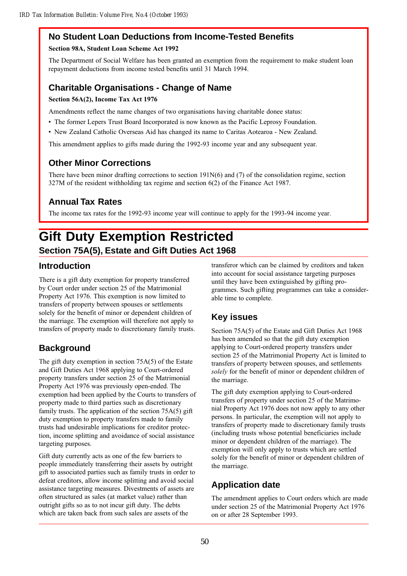## **No Student Loan Deductions from Income-Tested Benefits**

### Section 98A, Student Loan Scheme Act 1992

The Department of Social Welfare has been granted an exemption from the requirement to make student loan repayment deductions from income tested benefits until 31 March 1994.

## **Charitable Organisations - Change of Name**

### Section 56A(2), Income Tax Act 1976

Amendments reflect the name changes of two organisations having charitable donee status:

- The former Lepers Trust Board Incorporated is now known as the Pacific Leprosy Foundation.
- New Zealand Catholic Overseas Aid has changed its name to Caritas Aotearoa New Zealand.

This amendment applies to gifts made during the 1992-93 income year and any subsequent year.

## **Other Minor Corrections**

There have been minor drafting corrections to section  $191N(6)$  and (7) of the consolidation regime, section 327M of the resident withholding tax regime and section 6(2) of the Finance Act 1987.

## **Annual Tax Rates**

The income tax rates for the 1992-93 income year will continue to apply for the 1993-94 income year.

## **Gift Duty Exemption Restricted Section 75A(5), Estate and Gift Duties Act 1968**

## **Introduction**

There is a gift duty exemption for property transferred by Court order under section 25 of the Matrimonial Property Act 1976. This exemption is now limited to transfers of property between spouses or settlements solely for the benefit of minor or dependent children of the marriage. The exemption will therefore not apply to transfers of property made to discretionary family trusts.

## **Background**

The gift duty exemption in section 75A(5) of the Estate and Gift Duties Act 1968 applying to Court-ordered property transfers under section 25 of the Matrimonial Property Act 1976 was previously open-ended. The exemption had been applied by the Courts to transfers of property made to third parties such as discretionary family trusts. The application of the section 75A(5) gift duty exemption to property transfers made to family trusts had undesirable implications for creditor protection, income splitting and avoidance of social assistance targeting purposes.

Gift duty currently acts as one of the few barriers to people immediately transferring their assets by outright gift to associated parties such as family trusts in order to defeat creditors, allow income splitting and avoid social assistance targeting measures. Divestments of assets are often structured as sales (at market value) rather than outright gifts so as to not incur gift duty. The debts which are taken back from such sales are assets of the

transferor which can be claimed by creditors and taken into account for social assistance targeting purposes until they have been extinguished by gifting programmes. Such gifting programmes can take a considerable time to complete.

## **Key issues**

Section 75A(5) of the Estate and Gift Duties Act 1968 has been amended so that the gift duty exemption applying to Court-ordered property transfers under section 25 of the Matrimonial Property Act is limited to transfers of property between spouses, and settlements solely for the benefit of minor or dependent children of the marriage.

The gift duty exemption applying to Court-ordered transfers of property under section 25 of the Matrimonial Property Act 1976 does not now apply to any other persons. In particular, the exemption will not apply to transfers of property made to discretionary family trusts (including trusts whose potential beneficiaries include minor or dependent children of the marriage). The exemption will only apply to trusts which are settled solely for the benefit of minor or dependent children of the marriage.

## **Application date**

The amendment applies to Court orders which are made under section 25 of the Matrimonial Property Act 1976 on or after 28 September 1993.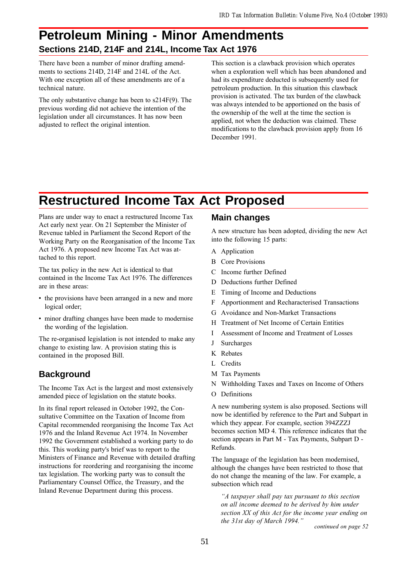## **Petroleum Mining - Minor Amendments Sections 214D, 214F and 214L, Income Tax Act 1976**

There have been a number of minor drafting amendments to sections 214D, 214F and 214L of the Act. With one exception all of these amendments are of a technical nature.

The only substantive change has been to s214F(9). The previous wording did not achieve the intention of the legislation under all circumstances. It has now been adjusted to reflect the original intention.

This section is a clawback provision which operates when a exploration well which has been abandoned and had its expenditure deducted is subsequently used for petroleum production. In this situation this clawback provision is activated. The tax burden of the clawback was always intended to be apportioned on the basis of the ownership of the well at the time the section is applied, not when the deduction was claimed. These modifications to the clawback provision apply from 16 December 1991.

## **Restructured Income Tax Act Proposed**

Plans are under way to enact a restructured Income Tax Act early next year. On 21 September the Minister of Revenue tabled in Parliament the Second Report of the Working Party on the Reorganisation of the Income Tax Act 1976. A proposed new Income Tax Act was attached to this report.

The tax policy in the new Act is identical to that contained in the Income Tax Act 1976. The differences are in these areas:

- the provisions have been arranged in a new and more logical order;
- minor drafting changes have been made to modernise the wording of the legislation.

The re-organised legislation is not intended to make any change to existing law. A provision stating this is contained in the proposed Bill.

## **Background**

The Income Tax Act is the largest and most extensively amended piece of legislation on the statute books.

In its final report released in October 1992, the Consultative Committee on the Taxation of Income from Capital recommended reorganising the Income Tax Act 1976 and the Inland Revenue Act 1974. In November 1992 the Government established a working party to do this. This working party's brief was to report to the Ministers of Finance and Revenue with detailed drafting instructions for reordering and reorganising the income tax legislation. The working party was to consult the Parliamentary Counsel Office, the Treasury, and the Inland Revenue Department during this process.

### **Main changes**

A new structure has been adopted, dividing the new Act into the following 15 parts:

- A Application
- B Core Provisions
- C Income further Defined
- D Deductions further Defined
- E Timing of Income and Deductions
- F Apportionment and Recharacterised Transactions
- G Avoidance and Non-Market Transactions
- H Treatment of Net Income of Certain Entities
- I Assessment of Income and Treatment of Losses
- J Surcharges
- K Rebates
- L Credits
- M Tax Payments
- N Withholding Taxes and Taxes on Income of Others
- O Definitions

A new numbering system is also proposed. Sections will now be identified by reference to the Part and Subpart in which they appear. For example, section 394ZZZJ becomes section MD 4. This reference indicates that the section appears in Part M - Tax Payments, Subpart D - Refunds.

The language of the legislation has been modernised, although the changes have been restricted to those that do not change the meaning of the law. For example, a subsection which read

A taxpayer shall pay tax pursuant to this section on all income deemed to be derived by him under section XX of this Act for the income year ending on the 31st day of March 1994."  $\frac{1}{100}$  continued on page 52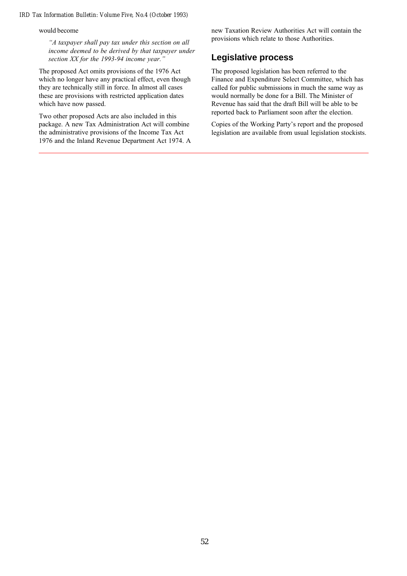would become

A taxpayer shall pay tax under this section on all income deemed to be derived by that taxpayer under section XX for the 1993-94 income year."

The proposed Act omits provisions of the 1976 Act which no longer have any practical effect, even though they are technically still in force. In almost all cases these are provisions with restricted application dates which have now passed.

Two other proposed Acts are also included in this package. A new Tax Administration Act will combine the administrative provisions of the Income Tax Act 1976 and the Inland Revenue Department Act 1974. A new Taxation Review Authorities Act will contain the provisions which relate to those Authorities.

### **Legislative process**

The proposed legislation has been referred to the Finance and Expenditure Select Committee, which has called for public submissions in much the same way as would normally be done for a Bill. The Minister of Revenue has said that the draft Bill will be able to be reported back to Parliament soon after the election.

Copies of the Working Party's report and the proposed legislation are available from usual legislation stockists.